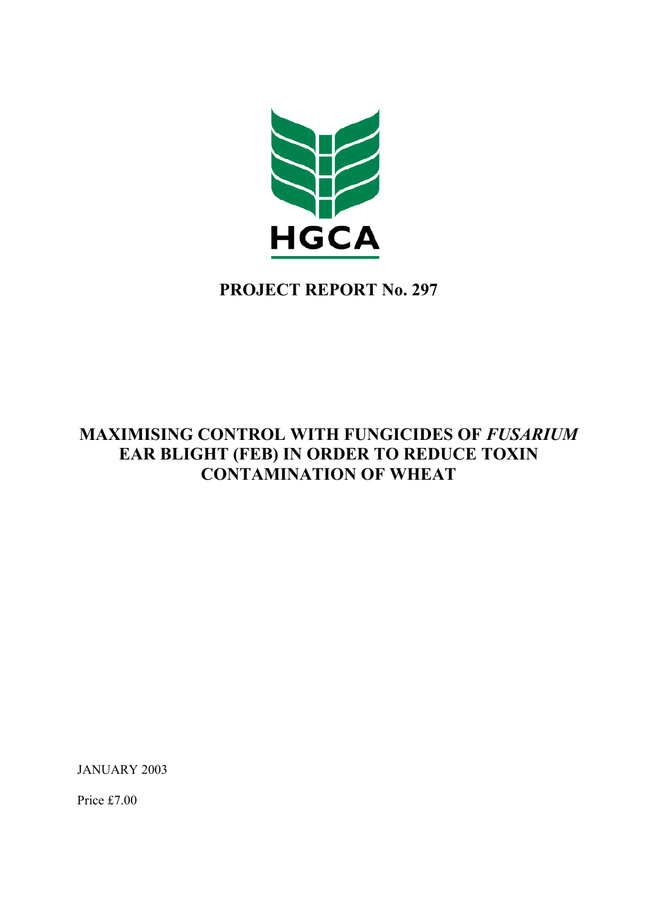

# **PROJECT REPORT No. 297**

# **MAXIMISING CONTROL WITH FUNGICIDES OF** *FUSARIUM* **EAR BLIGHT (FEB) IN ORDER TO REDUCE TOXIN CONTAMINATION OF WHEAT**

JANUARY 2003

Price £7.00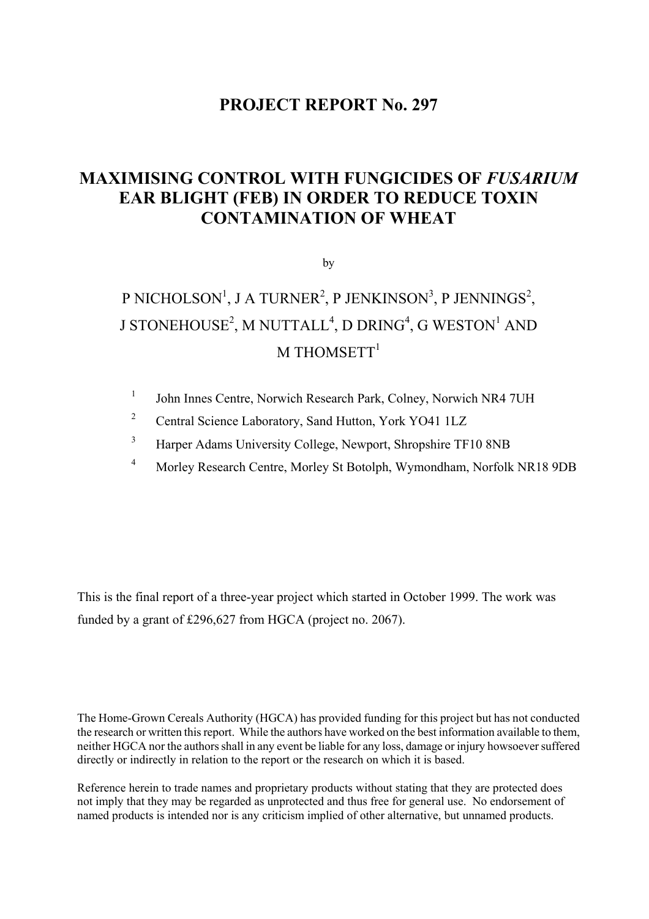# **PROJECT REPORT No. 297**

# **MAXIMISING CONTROL WITH FUNGICIDES OF** *FUSARIUM* **EAR BLIGHT (FEB) IN ORDER TO REDUCE TOXIN CONTAMINATION OF WHEAT**

by

# P NICHOLSON<sup>1</sup>, J A TURNER<sup>2</sup>, P JENKINSON<sup>3</sup>, P JENNINGS<sup>2</sup>, J STONEHOUSE $^2$ , M NUTTALL $^4$ , D DRING $^4$ , G WESTON $^1$  AND M THOMSETT $1$

- <sup>1</sup> John Innes Centre, Norwich Research Park, Colney, Norwich NR4 7UH
- <sup>2</sup> Central Science Laboratory, Sand Hutton, York YO41 1LZ
- <sup>3</sup> Harper Adams University College, Newport, Shropshire TF10 8NB
- 4 Morley Research Centre, Morley St Botolph, Wymondham, Norfolk NR18 9DB

This is the final report of a three-year project which started in October 1999. The work was funded by a grant of £296,627 from HGCA (project no. 2067).

The Home-Grown Cereals Authority (HGCA) has provided funding for this project but has not conducted the research or written this report. While the authors have worked on the best information available to them, neither HGCA nor the authors shall in any event be liable for any loss, damage or injury howsoever suffered directly or indirectly in relation to the report or the research on which it is based.

Reference herein to trade names and proprietary products without stating that they are protected does not imply that they may be regarded as unprotected and thus free for general use. No endorsement of named products is intended nor is any criticism implied of other alternative, but unnamed products.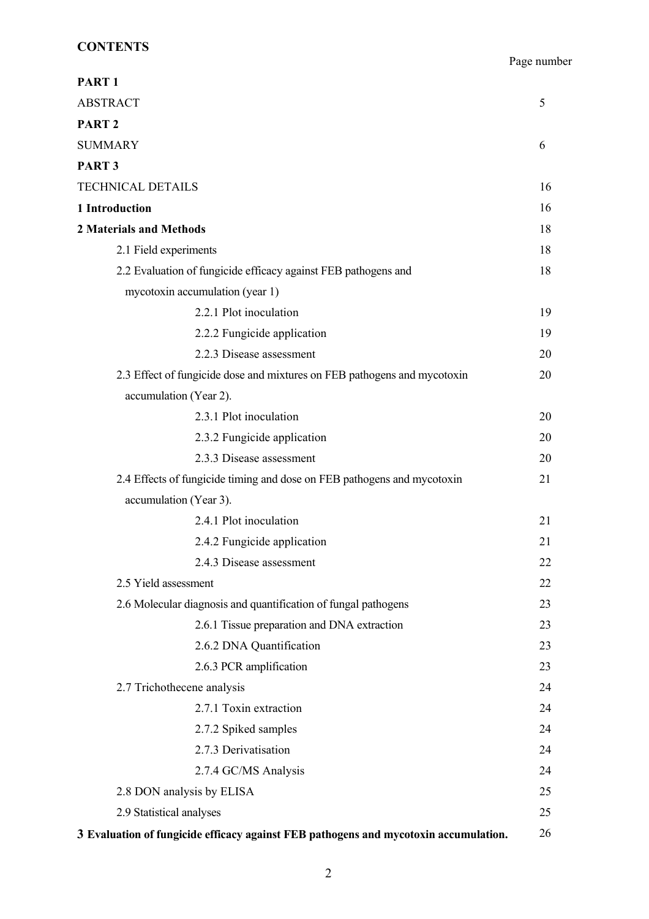| PART <sub>1</sub>                                                                    |    |
|--------------------------------------------------------------------------------------|----|
| <b>ABSTRACT</b>                                                                      | 5  |
| PART <sub>2</sub>                                                                    |    |
| <b>SUMMARY</b>                                                                       | 6  |
| PART <sub>3</sub>                                                                    |    |
| <b>TECHNICAL DETAILS</b>                                                             | 16 |
| 1 Introduction                                                                       | 16 |
| 2 Materials and Methods                                                              | 18 |
| 2.1 Field experiments                                                                | 18 |
| 2.2 Evaluation of fungicide efficacy against FEB pathogens and                       | 18 |
| mycotoxin accumulation (year 1)                                                      |    |
| 2.2.1 Plot inoculation                                                               | 19 |
| 2.2.2 Fungicide application                                                          | 19 |
| 2.2.3 Disease assessment                                                             | 20 |
| 2.3 Effect of fungicide dose and mixtures on FEB pathogens and mycotoxin             | 20 |
| accumulation (Year 2).                                                               |    |
| 2.3.1 Plot inoculation                                                               | 20 |
| 2.3.2 Fungicide application                                                          | 20 |
| 2.3.3 Disease assessment                                                             | 20 |
| 2.4 Effects of fungicide timing and dose on FEB pathogens and mycotoxin              | 21 |
| accumulation (Year 3).                                                               |    |
| 2.4.1 Plot inoculation                                                               | 21 |
| 2.4.2 Fungicide application                                                          | 21 |
| 2.4.3 Disease assessment                                                             | 22 |
| 2.5 Yield assessment                                                                 | 22 |
| 2.6 Molecular diagnosis and quantification of fungal pathogens                       | 23 |
| 2.6.1 Tissue preparation and DNA extraction                                          | 23 |
| 2.6.2 DNA Quantification                                                             | 23 |
| 2.6.3 PCR amplification                                                              | 23 |
| 2.7 Trichothecene analysis                                                           | 24 |
| 2.7.1 Toxin extraction                                                               | 24 |
| 2.7.2 Spiked samples                                                                 | 24 |
| 2.7.3 Derivatisation                                                                 | 24 |
| 2.7.4 GC/MS Analysis                                                                 | 24 |
| 2.8 DON analysis by ELISA                                                            | 25 |
| 2.9 Statistical analyses                                                             | 25 |
| 3 Evaluation of fungicide efficacy against FEB pathogens and mycotoxin accumulation. | 26 |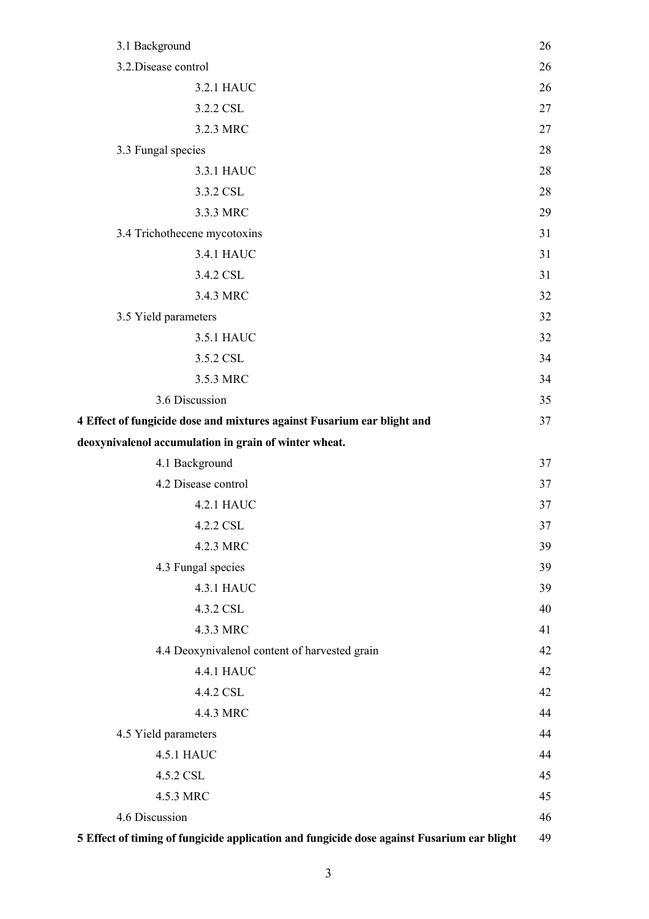| 3.1 Background                                                                             | 26 |
|--------------------------------------------------------------------------------------------|----|
| 3.2. Disease control                                                                       | 26 |
| 3.2.1 HAUC                                                                                 | 26 |
| 3.2.2 CSL                                                                                  | 27 |
| 3.2.3 MRC                                                                                  | 27 |
| 3.3 Fungal species                                                                         | 28 |
| 3.3.1 HAUC                                                                                 | 28 |
| 3.3.2 CSL                                                                                  | 28 |
| 3.3.3 MRC                                                                                  | 29 |
| 3.4 Trichothecene mycotoxins                                                               | 31 |
| 3.4.1 HAUC                                                                                 | 31 |
| 3.4.2 CSL                                                                                  | 31 |
| 3.4.3 MRC                                                                                  | 32 |
| 3.5 Yield parameters                                                                       | 32 |
| 3.5.1 HAUC                                                                                 | 32 |
| 3.5.2 CSL                                                                                  | 34 |
| 3.5.3 MRC                                                                                  | 34 |
| 3.6 Discussion                                                                             | 35 |
| 4 Effect of fungicide dose and mixtures against Fusarium ear blight and                    | 37 |
| deoxynivalenol accumulation in grain of winter wheat.                                      |    |
| 4.1 Background                                                                             | 37 |
| 4.2 Disease control                                                                        | 37 |
| <b>4.2.1 HAUC</b>                                                                          | 37 |
| 4.2.2 CSL                                                                                  | 37 |
| 4.2.3 MRC                                                                                  | 39 |
| 4.3 Fungal species                                                                         | 39 |
| 4.3.1 HAUC                                                                                 | 39 |
| 4.3.2 CSL                                                                                  | 40 |
| 4.3.3 MRC                                                                                  | 41 |
| 4.4 Deoxynivalenol content of harvested grain                                              | 42 |
| 4.4.1 HAUC                                                                                 | 42 |
| 4.4.2 CSL                                                                                  | 42 |
| 4.4.3 MRC                                                                                  | 44 |
| 4.5 Yield parameters                                                                       | 44 |
| 4.5.1 HAUC                                                                                 | 44 |
| 4.5.2 CSL                                                                                  | 45 |
| 4.5.3 MRC                                                                                  | 45 |
| 4.6 Discussion                                                                             | 46 |
| 5 Effect of timing of fungicide application and fungicide dose against Fusarium ear blight | 49 |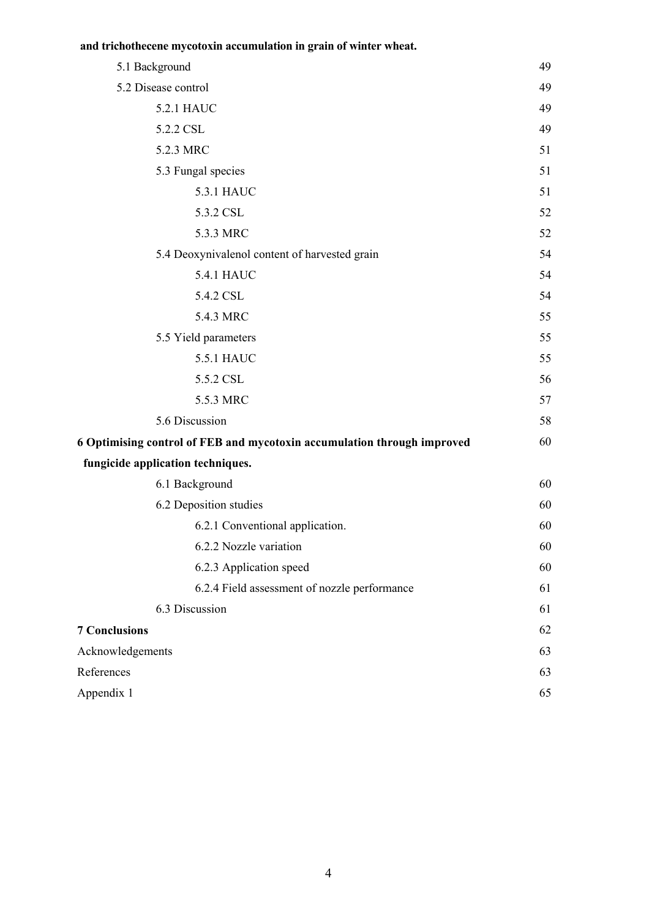**and trichothecene mycotoxin accumulation in grain of winter wheat.**

|                      | 5.1 Background                                                          | 49 |
|----------------------|-------------------------------------------------------------------------|----|
|                      | 5.2 Disease control                                                     | 49 |
|                      | 5.2.1 HAUC                                                              | 49 |
|                      | 5.2.2 CSL                                                               | 49 |
|                      | 5.2.3 MRC                                                               | 51 |
|                      | 5.3 Fungal species                                                      | 51 |
|                      | 5.3.1 HAUC                                                              | 51 |
|                      | 5.3.2 CSL                                                               | 52 |
|                      | 5.3.3 MRC                                                               | 52 |
|                      | 5.4 Deoxynivalenol content of harvested grain                           | 54 |
|                      | 5.4.1 HAUC                                                              | 54 |
|                      | 5.4.2 CSL                                                               | 54 |
|                      | 5.4.3 MRC                                                               | 55 |
|                      | 5.5 Yield parameters                                                    | 55 |
|                      | 5.5.1 HAUC                                                              | 55 |
|                      | 5.5.2 CSL                                                               | 56 |
|                      | 5.5.3 MRC                                                               | 57 |
|                      | 5.6 Discussion                                                          | 58 |
|                      | 6 Optimising control of FEB and mycotoxin accumulation through improved | 60 |
|                      | fungicide application techniques.                                       |    |
|                      | 6.1 Background                                                          | 60 |
|                      | 6.2 Deposition studies                                                  | 60 |
|                      | 6.2.1 Conventional application.                                         | 60 |
|                      | 6.2.2 Nozzle variation                                                  | 60 |
|                      | 6.2.3 Application speed                                                 | 60 |
|                      | 6.2.4 Field assessment of nozzle performance                            | 61 |
|                      | 6.3 Discussion                                                          | 61 |
| <b>7 Conclusions</b> |                                                                         | 62 |
| Acknowledgements     |                                                                         | 63 |
| References           |                                                                         | 63 |
| Appendix 1           |                                                                         | 65 |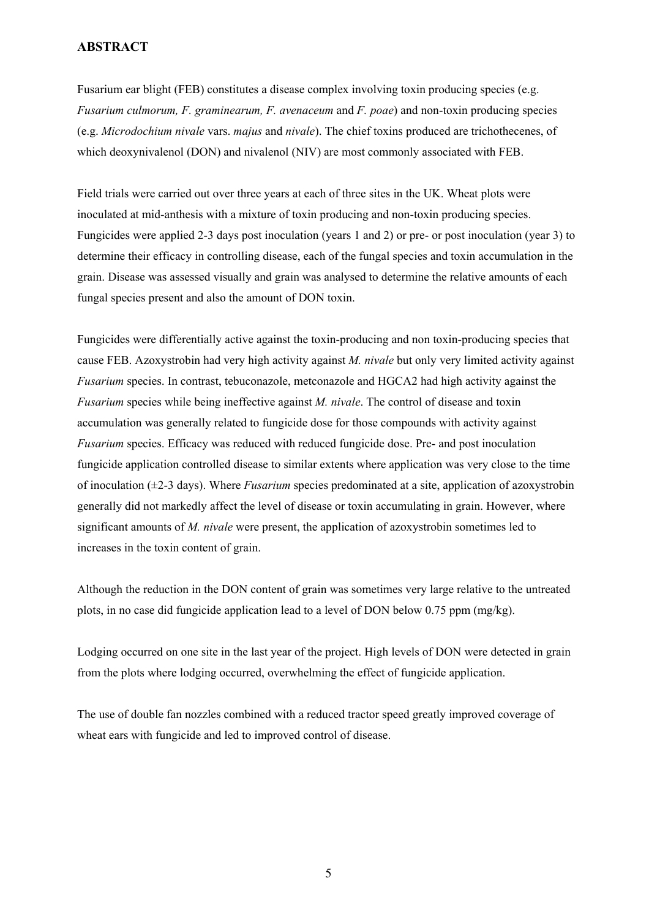## **ABSTRACT**

Fusarium ear blight (FEB) constitutes a disease complex involving toxin producing species (e.g. *Fusarium culmorum, F. graminearum, F. avenaceum* and *F. poae*) and non-toxin producing species (e.g. *Microdochium nivale* vars. *majus* and *nivale*). The chief toxins produced are trichothecenes, of which deoxynivalenol (DON) and nivalenol (NIV) are most commonly associated with FEB.

Field trials were carried out over three years at each of three sites in the UK. Wheat plots were inoculated at mid-anthesis with a mixture of toxin producing and non-toxin producing species. Fungicides were applied 2-3 days post inoculation (years 1 and 2) or pre- or post inoculation (year 3) to determine their efficacy in controlling disease, each of the fungal species and toxin accumulation in the grain. Disease was assessed visually and grain was analysed to determine the relative amounts of each fungal species present and also the amount of DON toxin.

Fungicides were differentially active against the toxin-producing and non toxin-producing species that cause FEB. Azoxystrobin had very high activity against *M. nivale* but only very limited activity against *Fusarium* species. In contrast, tebuconazole, metconazole and HGCA2 had high activity against the *Fusarium* species while being ineffective against *M. nivale*. The control of disease and toxin accumulation was generally related to fungicide dose for those compounds with activity against *Fusarium* species. Efficacy was reduced with reduced fungicide dose. Pre- and post inoculation fungicide application controlled disease to similar extents where application was very close to the time of inoculation (±2-3 days). Where *Fusarium* species predominated at a site, application of azoxystrobin generally did not markedly affect the level of disease or toxin accumulating in grain. However, where significant amounts of *M. nivale* were present, the application of azoxystrobin sometimes led to increases in the toxin content of grain.

Although the reduction in the DON content of grain was sometimes very large relative to the untreated plots, in no case did fungicide application lead to a level of DON below 0.75 ppm (mg/kg).

Lodging occurred on one site in the last year of the project. High levels of DON were detected in grain from the plots where lodging occurred, overwhelming the effect of fungicide application.

The use of double fan nozzles combined with a reduced tractor speed greatly improved coverage of wheat ears with fungicide and led to improved control of disease.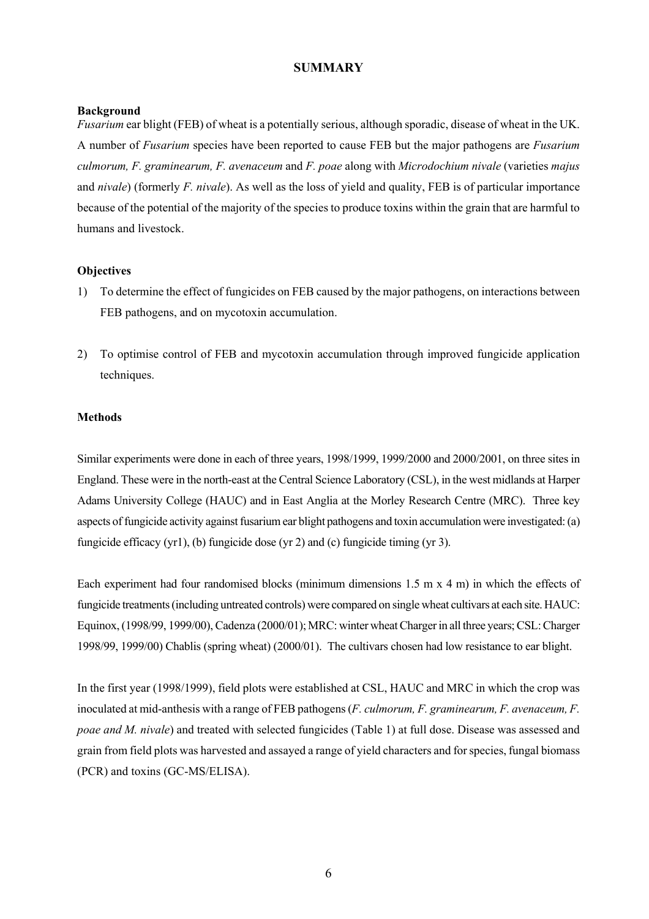#### **SUMMARY**

#### **Background**

*Fusarium* ear blight (FEB) of wheat is a potentially serious, although sporadic, disease of wheat in the UK. A number of *Fusarium* species have been reported to cause FEB but the major pathogens are *Fusarium culmorum, F. graminearum, F. avenaceum* and *F. poae* along with *Microdochium nivale* (varieties *majus* and *nivale*) (formerly *F. nivale*). As well as the loss of yield and quality, FEB is of particular importance because of the potential of the majority of the species to produce toxins within the grain that are harmful to humans and livestock.

#### **Objectives**

- 1) To determine the effect of fungicides on FEB caused by the major pathogens, on interactions between FEB pathogens, and on mycotoxin accumulation.
- 2) To optimise control of FEB and mycotoxin accumulation through improved fungicide application techniques.

#### **Methods**

Similar experiments were done in each of three years, 1998/1999, 1999/2000 and 2000/2001, on three sites in England. These were in the north-east at the Central Science Laboratory (CSL), in the west midlands at Harper Adams University College (HAUC) and in East Anglia at the Morley Research Centre (MRC). Three key aspects of fungicide activity against fusarium ear blight pathogens and toxin accumulation were investigated: (a) fungicide efficacy (yr1), (b) fungicide dose (yr 2) and (c) fungicide timing (yr 3).

Each experiment had four randomised blocks (minimum dimensions 1.5 m x 4 m) in which the effects of fungicide treatments (including untreated controls) were compared on single wheat cultivars at each site. HAUC: Equinox, (1998/99, 1999/00), Cadenza (2000/01); MRC: winter wheat Charger in all three years; CSL: Charger 1998/99, 1999/00) Chablis (spring wheat) (2000/01). The cultivars chosen had low resistance to ear blight.

In the first year (1998/1999), field plots were established at CSL, HAUC and MRC in which the crop was inoculated at mid-anthesis with a range of FEB pathogens (*F. culmorum, F. graminearum, F. avenaceum, F. poae and M. nivale*) and treated with selected fungicides (Table 1) at full dose. Disease was assessed and grain from field plots was harvested and assayed a range of yield characters and for species, fungal biomass (PCR) and toxins (GC-MS/ELISA).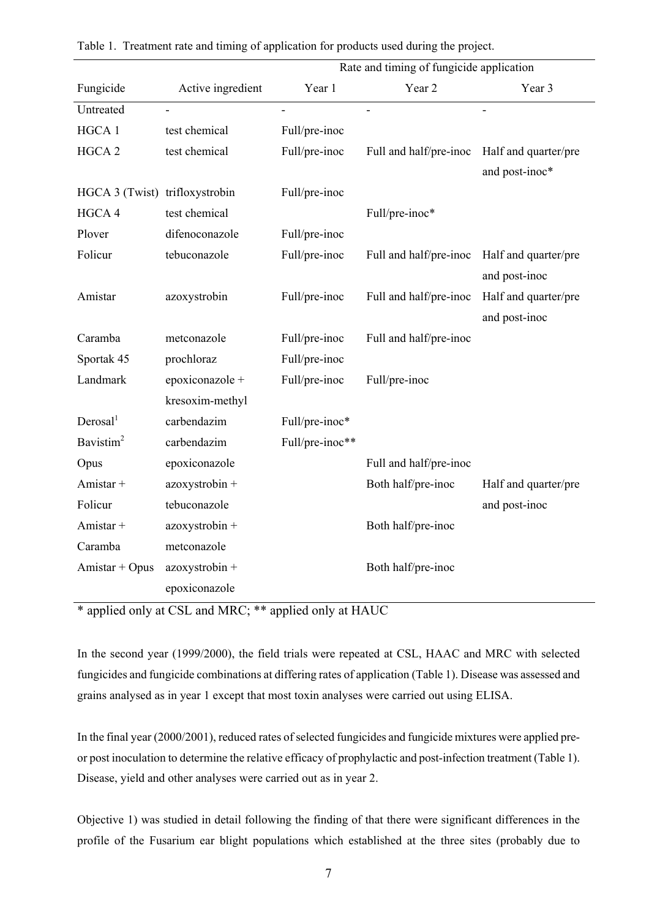|                                | Rate and timing of fungicide application |                 |                        |                      |
|--------------------------------|------------------------------------------|-----------------|------------------------|----------------------|
| Fungicide                      | Active ingredient                        | Year 1          | Year 2                 | Year 3               |
| Untreated                      |                                          |                 | ä,                     | $\overline{a}$       |
| HGCA 1                         | test chemical                            | Full/pre-inoc   |                        |                      |
| HGCA <sub>2</sub>              | test chemical                            | Full/pre-inoc   | Full and half/pre-inoc | Half and quarter/pre |
|                                |                                          |                 |                        | and post-inoc*       |
| HGCA 3 (Twist) trifloxystrobin |                                          | Full/pre-inoc   |                        |                      |
| HGCA 4                         | test chemical                            |                 | Full/pre-inoc*         |                      |
| Plover                         | difenoconazole                           | Full/pre-inoc   |                        |                      |
| Folicur                        | tebuconazole                             | Full/pre-inoc   | Full and half/pre-inoc | Half and quarter/pre |
|                                |                                          |                 |                        | and post-inoc        |
| Amistar                        | azoxystrobin                             | Full/pre-inoc   | Full and half/pre-inoc | Half and quarter/pre |
|                                |                                          |                 |                        | and post-inoc        |
| Caramba                        | metconazole                              | Full/pre-inoc   | Full and half/pre-inoc |                      |
| Sportak 45                     | prochloraz                               | Full/pre-inoc   |                        |                      |
| Landmark                       | epoxiconazole +                          | Full/pre-inoc   | Full/pre-inoc          |                      |
|                                | kresoxim-methyl                          |                 |                        |                      |
| Derosal <sup>1</sup>           | carbendazim                              | Full/pre-inoc*  |                        |                      |
| Bavistim <sup>2</sup>          | carbendazim                              | Full/pre-inoc** |                        |                      |
| Opus                           | epoxiconazole                            |                 | Full and half/pre-inoc |                      |
| Amistar +                      | azoxystrobin +                           |                 | Both half/pre-inoc     | Half and quarter/pre |
| Folicur                        | tebuconazole                             |                 |                        | and post-inoc        |
| Amistar +                      | azoxystrobin +                           |                 | Both half/pre-inoc     |                      |
| Caramba                        | metconazole                              |                 |                        |                      |
| Amistar + Opus                 | azoxystrobin +                           |                 | Both half/pre-inoc     |                      |
|                                | epoxiconazole                            |                 |                        |                      |

| Table 1. Treatment rate and timing of application for products used during the project. |  |  |  |
|-----------------------------------------------------------------------------------------|--|--|--|
|                                                                                         |  |  |  |
|                                                                                         |  |  |  |

\* applied only at CSL and MRC; \*\* applied only at HAUC

In the second year (1999/2000), the field trials were repeated at CSL, HAAC and MRC with selected fungicides and fungicide combinations at differing rates of application (Table 1). Disease was assessed and grains analysed as in year 1 except that most toxin analyses were carried out using ELISA.

In the final year (2000/2001), reduced rates of selected fungicides and fungicide mixtures were applied preor post inoculation to determine the relative efficacy of prophylactic and post-infection treatment (Table 1). Disease, yield and other analyses were carried out as in year 2.

Objective 1) was studied in detail following the finding of that there were significant differences in the profile of the Fusarium ear blight populations which established at the three sites (probably due to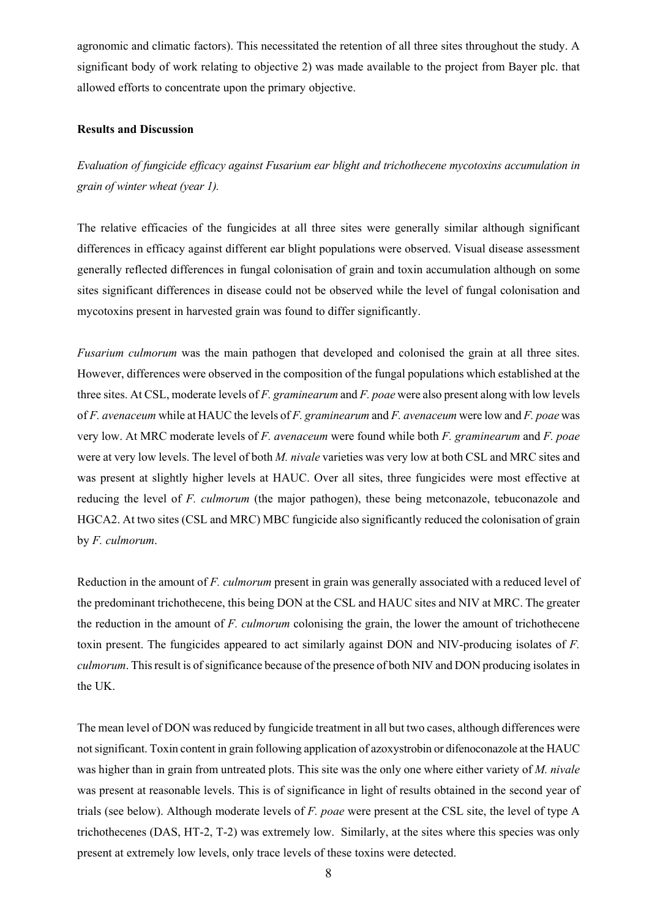agronomic and climatic factors). This necessitated the retention of all three sites throughout the study. A significant body of work relating to objective 2) was made available to the project from Bayer plc. that allowed efforts to concentrate upon the primary objective.

### **Results and Discussion**

*Evaluation of fungicide efficacy against Fusarium ear blight and trichothecene mycotoxins accumulation in grain of winter wheat (year 1).* 

The relative efficacies of the fungicides at all three sites were generally similar although significant differences in efficacy against different ear blight populations were observed. Visual disease assessment generally reflected differences in fungal colonisation of grain and toxin accumulation although on some sites significant differences in disease could not be observed while the level of fungal colonisation and mycotoxins present in harvested grain was found to differ significantly.

*Fusarium culmorum* was the main pathogen that developed and colonised the grain at all three sites. However, differences were observed in the composition of the fungal populations which established at the three sites. At CSL, moderate levels of *F. graminearum* and *F. poae* were also present along with low levels of *F. avenaceum* while at HAUC the levels of *F. graminearum* and *F. avenaceum* were low and *F. poae* was very low. At MRC moderate levels of *F. avenaceum* were found while both *F. graminearum* and *F. poae* were at very low levels. The level of both *M. nivale* varieties was very low at both CSL and MRC sites and was present at slightly higher levels at HAUC. Over all sites, three fungicides were most effective at reducing the level of *F. culmorum* (the major pathogen), these being metconazole, tebuconazole and HGCA2. At two sites (CSL and MRC) MBC fungicide also significantly reduced the colonisation of grain by *F. culmorum*.

Reduction in the amount of *F. culmorum* present in grain was generally associated with a reduced level of the predominant trichothecene, this being DON at the CSL and HAUC sites and NIV at MRC. The greater the reduction in the amount of *F. culmorum* colonising the grain, the lower the amount of trichothecene toxin present. The fungicides appeared to act similarly against DON and NIV-producing isolates of *F. culmorum*. This result is of significance because of the presence of both NIV and DON producing isolates in the UK.

The mean level of DON was reduced by fungicide treatment in all but two cases, although differences were not significant. Toxin content in grain following application of azoxystrobin or difenoconazole at the HAUC was higher than in grain from untreated plots. This site was the only one where either variety of *M. nivale* was present at reasonable levels. This is of significance in light of results obtained in the second year of trials (see below). Although moderate levels of *F. poae* were present at the CSL site, the level of type A trichothecenes (DAS, HT-2, T-2) was extremely low. Similarly, at the sites where this species was only present at extremely low levels, only trace levels of these toxins were detected.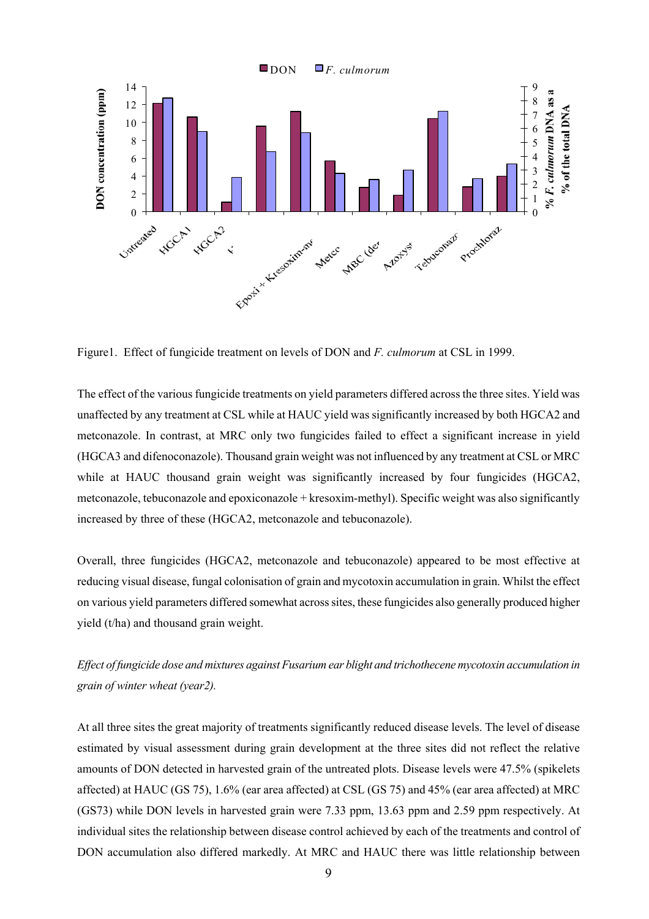

Figure1. Effect of fungicide treatment on levels of DON and *F. culmorum* at CSL in 1999.

The effect of the various fungicide treatments on yield parameters differed across the three sites. Yield was unaffected by any treatment at CSL while at HAUC yield was significantly increased by both HGCA2 and metconazole. In contrast, at MRC only two fungicides failed to effect a significant increase in yield (HGCA3 and difenoconazole). Thousand grain weight was not influenced by any treatment at CSL or MRC while at HAUC thousand grain weight was significantly increased by four fungicides (HGCA2, metconazole, tebuconazole and epoxiconazole + kresoxim-methyl). Specific weight was also significantly increased by three of these (HGCA2, metconazole and tebuconazole).

Overall, three fungicides (HGCA2, metconazole and tebuconazole) appeared to be most effective at reducing visual disease, fungal colonisation of grain and mycotoxin accumulation in grain. Whilst the effect on various yield parameters differed somewhat across sites, these fungicides also generally produced higher yield (t/ha) and thousand grain weight.

*Effect of fungicide dose and mixtures against Fusarium ear blight and trichothecene mycotoxin accumulation in grain of winter wheat (year2).* 

At all three sites the great majority of treatments significantly reduced disease levels. The level of disease estimated by visual assessment during grain development at the three sites did not reflect the relative amounts of DON detected in harvested grain of the untreated plots. Disease levels were 47.5% (spikelets affected) at HAUC (GS 75), 1.6% (ear area affected) at CSL (GS 75) and 45% (ear area affected) at MRC (GS73) while DON levels in harvested grain were 7.33 ppm, 13.63 ppm and 2.59 ppm respectively. At individual sites the relationship between disease control achieved by each of the treatments and control of DON accumulation also differed markedly. At MRC and HAUC there was little relationship between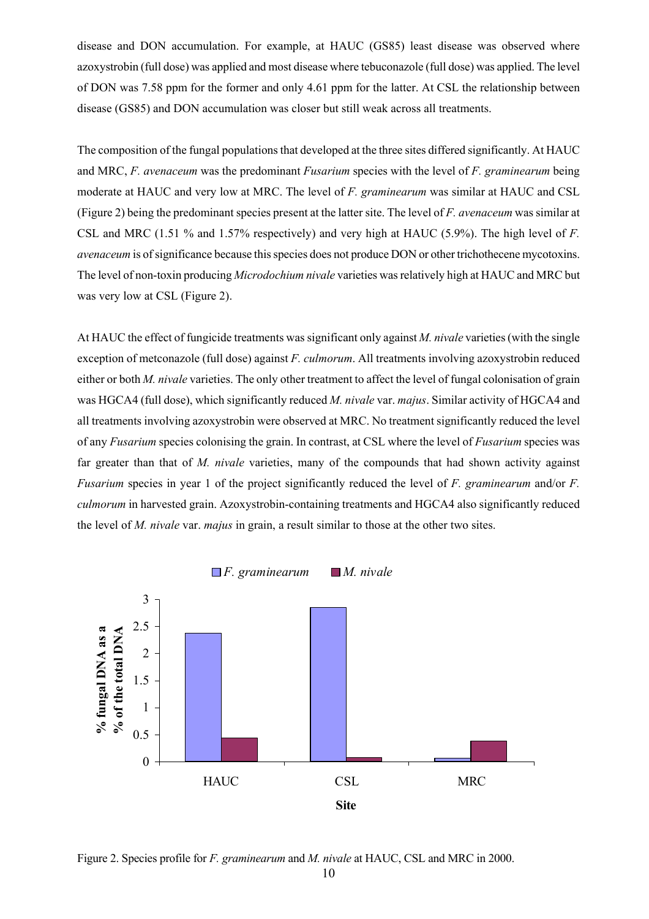disease and DON accumulation. For example, at HAUC (GS85) least disease was observed where azoxystrobin (full dose) was applied and most disease where tebuconazole (full dose) was applied. The level of DON was 7.58 ppm for the former and only 4.61 ppm for the latter. At CSL the relationship between disease (GS85) and DON accumulation was closer but still weak across all treatments.

The composition of the fungal populations that developed at the three sites differed significantly. At HAUC and MRC, *F. avenaceum* was the predominant *Fusarium* species with the level of *F. graminearum* being moderate at HAUC and very low at MRC. The level of *F. graminearum* was similar at HAUC and CSL (Figure 2) being the predominant species present at the latter site. The level of *F. avenaceum* was similar at CSL and MRC (1.51 % and 1.57% respectively) and very high at HAUC (5.9%). The high level of *F. avenaceum* is of significance because this species does not produce DON or other trichothecene mycotoxins. The level of non-toxin producing *Microdochium nivale* varieties was relatively high at HAUC and MRC but was very low at CSL (Figure 2).

At HAUC the effect of fungicide treatments was significant only against *M. nivale* varieties (with the single exception of metconazole (full dose) against *F. culmorum*. All treatments involving azoxystrobin reduced either or both *M. nivale* varieties. The only other treatment to affect the level of fungal colonisation of grain was HGCA4 (full dose), which significantly reduced *M. nivale* var. *majus*. Similar activity of HGCA4 and all treatments involving azoxystrobin were observed at MRC. No treatment significantly reduced the level of any *Fusarium* species colonising the grain. In contrast, at CSL where the level of *Fusarium* species was far greater than that of *M. nivale* varieties, many of the compounds that had shown activity against *Fusarium* species in year 1 of the project significantly reduced the level of *F. graminearum* and/or *F. culmorum* in harvested grain. Azoxystrobin-containing treatments and HGCA4 also significantly reduced the level of *M. nivale* var. *majus* in grain, a result similar to those at the other two sites.



Figure 2. Species profile for *F. graminearum* and *M. nivale* at HAUC, CSL and MRC in 2000.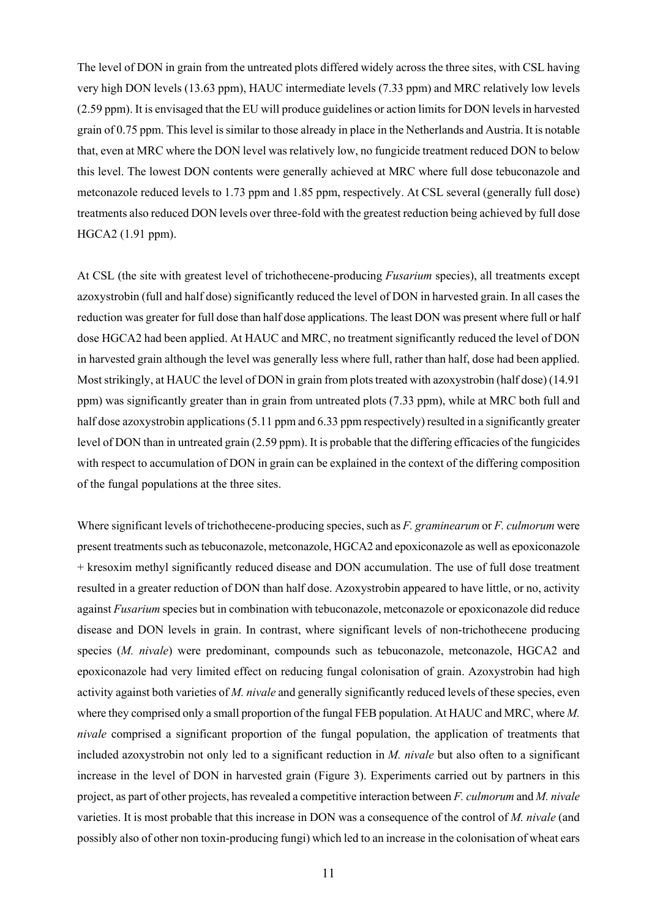The level of DON in grain from the untreated plots differed widely across the three sites, with CSL having very high DON levels (13.63 ppm), HAUC intermediate levels (7.33 ppm) and MRC relatively low levels (2.59 ppm). It is envisaged that the EU will produce guidelines or action limits for DON levels in harvested grain of 0.75 ppm. This level is similar to those already in place in the Netherlands and Austria. It is notable that, even at MRC where the DON level was relatively low, no fungicide treatment reduced DON to below this level. The lowest DON contents were generally achieved at MRC where full dose tebuconazole and metconazole reduced levels to 1.73 ppm and 1.85 ppm, respectively. At CSL several (generally full dose) treatments also reduced DON levels over three-fold with the greatest reduction being achieved by full dose HGCA2 (1.91 ppm).

At CSL (the site with greatest level of trichothecene-producing *Fusarium* species), all treatments except azoxystrobin (full and half dose) significantly reduced the level of DON in harvested grain. In all cases the reduction was greater for full dose than half dose applications. The least DON was present where full or half dose HGCA2 had been applied. At HAUC and MRC, no treatment significantly reduced the level of DON in harvested grain although the level was generally less where full, rather than half, dose had been applied. Most strikingly, at HAUC the level of DON in grain from plots treated with azoxystrobin (half dose) (14.91 ppm) was significantly greater than in grain from untreated plots (7.33 ppm), while at MRC both full and half dose azoxystrobin applications (5.11 ppm and 6.33 ppm respectively) resulted in a significantly greater level of DON than in untreated grain (2.59 ppm). It is probable that the differing efficacies of the fungicides with respect to accumulation of DON in grain can be explained in the context of the differing composition of the fungal populations at the three sites.

Where significant levels of trichothecene-producing species, such as *F. graminearum* or *F. culmorum* were present treatments such as tebuconazole, metconazole, HGCA2 and epoxiconazole as well as epoxiconazole + kresoxim methyl significantly reduced disease and DON accumulation. The use of full dose treatment resulted in a greater reduction of DON than half dose. Azoxystrobin appeared to have little, or no, activity against *Fusarium* species but in combination with tebuconazole, metconazole or epoxiconazole did reduce disease and DON levels in grain. In contrast, where significant levels of non-trichothecene producing species (*M. nivale*) were predominant, compounds such as tebuconazole, metconazole, HGCA2 and epoxiconazole had very limited effect on reducing fungal colonisation of grain. Azoxystrobin had high activity against both varieties of *M. nivale* and generally significantly reduced levels of these species, even where they comprised only a small proportion of the fungal FEB population. At HAUC and MRC, where *M. nivale* comprised a significant proportion of the fungal population, the application of treatments that included azoxystrobin not only led to a significant reduction in *M. nivale* but also often to a significant increase in the level of DON in harvested grain (Figure 3). Experiments carried out by partners in this project, as part of other projects, has revealed a competitive interaction between *F. culmorum* and *M. nivale* varieties. It is most probable that this increase in DON was a consequence of the control of *M. nivale* (and possibly also of other non toxin-producing fungi) which led to an increase in the colonisation of wheat ears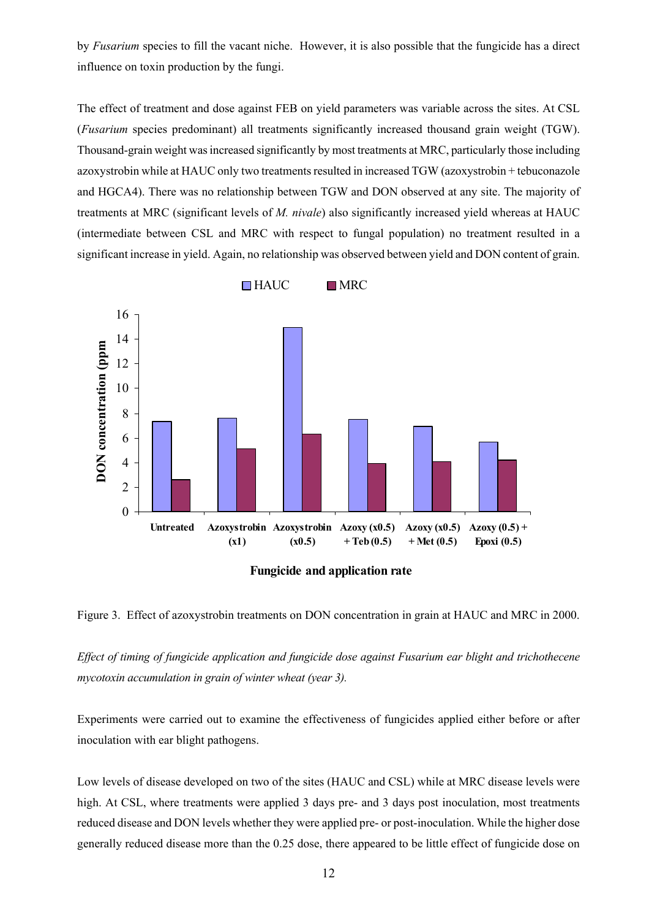by *Fusarium* species to fill the vacant niche. However, it is also possible that the fungicide has a direct influence on toxin production by the fungi.

The effect of treatment and dose against FEB on yield parameters was variable across the sites. At CSL (*Fusarium* species predominant) all treatments significantly increased thousand grain weight (TGW). Thousand-grain weight was increased significantly by most treatments at MRC, particularly those including azoxystrobin while at HAUC only two treatments resulted in increased TGW (azoxystrobin + tebuconazole and HGCA4). There was no relationship between TGW and DON observed at any site. The majority of treatments at MRC (significant levels of *M. nivale*) also significantly increased yield whereas at HAUC (intermediate between CSL and MRC with respect to fungal population) no treatment resulted in a significant increase in yield. Again, no relationship was observed between yield and DON content of grain.



Figure 3. Effect of azoxystrobin treatments on DON concentration in grain at HAUC and MRC in 2000.

*Effect of timing of fungicide application and fungicide dose against Fusarium ear blight and trichothecene mycotoxin accumulation in grain of winter wheat (year 3).* 

Experiments were carried out to examine the effectiveness of fungicides applied either before or after inoculation with ear blight pathogens.

Low levels of disease developed on two of the sites (HAUC and CSL) while at MRC disease levels were high. At CSL, where treatments were applied 3 days pre- and 3 days post inoculation, most treatments reduced disease and DON levels whether they were applied pre- or post-inoculation. While the higher dose generally reduced disease more than the 0.25 dose, there appeared to be little effect of fungicide dose on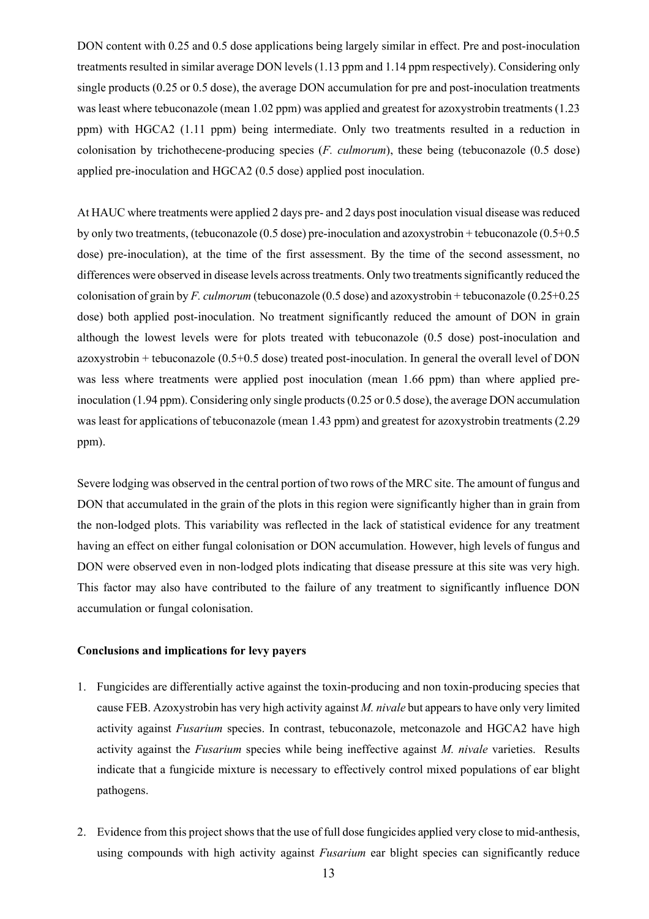DON content with 0.25 and 0.5 dose applications being largely similar in effect. Pre and post-inoculation treatments resulted in similar average DON levels (1.13 ppm and 1.14 ppm respectively). Considering only single products (0.25 or 0.5 dose), the average DON accumulation for pre and post-inoculation treatments was least where tebuconazole (mean 1.02 ppm) was applied and greatest for azoxystrobin treatments (1.23 ppm) with HGCA2 (1.11 ppm) being intermediate. Only two treatments resulted in a reduction in colonisation by trichothecene-producing species (*F. culmorum*), these being (tebuconazole (0.5 dose) applied pre-inoculation and HGCA2 (0.5 dose) applied post inoculation.

At HAUC where treatments were applied 2 days pre- and 2 days post inoculation visual disease was reduced by only two treatments, (tebuconazole (0.5 dose) pre-inoculation and azoxystrobin + tebuconazole (0.5+0.5 dose) pre-inoculation), at the time of the first assessment. By the time of the second assessment, no differences were observed in disease levels across treatments. Only two treatments significantly reduced the colonisation of grain by *F. culmorum* (tebuconazole (0.5 dose) and azoxystrobin + tebuconazole (0.25+0.25 dose) both applied post-inoculation. No treatment significantly reduced the amount of DON in grain although the lowest levels were for plots treated with tebuconazole (0.5 dose) post-inoculation and azoxystrobin + tebuconazole (0.5+0.5 dose) treated post-inoculation. In general the overall level of DON was less where treatments were applied post inoculation (mean 1.66 ppm) than where applied preinoculation (1.94 ppm). Considering only single products (0.25 or 0.5 dose), the average DON accumulation was least for applications of tebuconazole (mean 1.43 ppm) and greatest for azoxystrobin treatments (2.29 ppm).

Severe lodging was observed in the central portion of two rows of the MRC site. The amount of fungus and DON that accumulated in the grain of the plots in this region were significantly higher than in grain from the non-lodged plots. This variability was reflected in the lack of statistical evidence for any treatment having an effect on either fungal colonisation or DON accumulation. However, high levels of fungus and DON were observed even in non-lodged plots indicating that disease pressure at this site was very high. This factor may also have contributed to the failure of any treatment to significantly influence DON accumulation or fungal colonisation.

#### **Conclusions and implications for levy payers**

- 1. Fungicides are differentially active against the toxin-producing and non toxin-producing species that cause FEB. Azoxystrobin has very high activity against *M. nivale* but appears to have only very limited activity against *Fusarium* species. In contrast, tebuconazole, metconazole and HGCA2 have high activity against the *Fusarium* species while being ineffective against *M. nivale* varieties. Results indicate that a fungicide mixture is necessary to effectively control mixed populations of ear blight pathogens.
- 2. Evidence from this project shows that the use of full dose fungicides applied very close to mid-anthesis, using compounds with high activity against *Fusarium* ear blight species can significantly reduce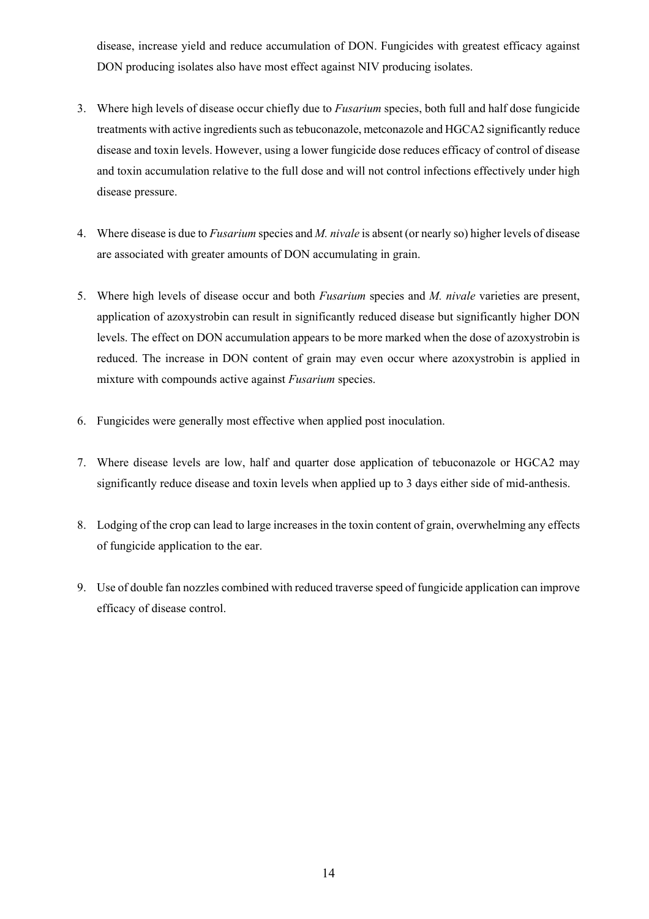disease, increase yield and reduce accumulation of DON. Fungicides with greatest efficacy against DON producing isolates also have most effect against NIV producing isolates.

- 3. Where high levels of disease occur chiefly due to *Fusarium* species, both full and half dose fungicide treatments with active ingredients such as tebuconazole, metconazole and HGCA2 significantly reduce disease and toxin levels. However, using a lower fungicide dose reduces efficacy of control of disease and toxin accumulation relative to the full dose and will not control infections effectively under high disease pressure.
- 4. Where disease is due to *Fusarium* species and *M. nivale* is absent (or nearly so) higher levels of disease are associated with greater amounts of DON accumulating in grain.
- 5. Where high levels of disease occur and both *Fusarium* species and *M. nivale* varieties are present, application of azoxystrobin can result in significantly reduced disease but significantly higher DON levels. The effect on DON accumulation appears to be more marked when the dose of azoxystrobin is reduced. The increase in DON content of grain may even occur where azoxystrobin is applied in mixture with compounds active against *Fusarium* species.
- 6. Fungicides were generally most effective when applied post inoculation.
- 7. Where disease levels are low, half and quarter dose application of tebuconazole or HGCA2 may significantly reduce disease and toxin levels when applied up to 3 days either side of mid-anthesis.
- 8. Lodging of the crop can lead to large increases in the toxin content of grain, overwhelming any effects of fungicide application to the ear.
- 9. Use of double fan nozzles combined with reduced traverse speed of fungicide application can improve efficacy of disease control.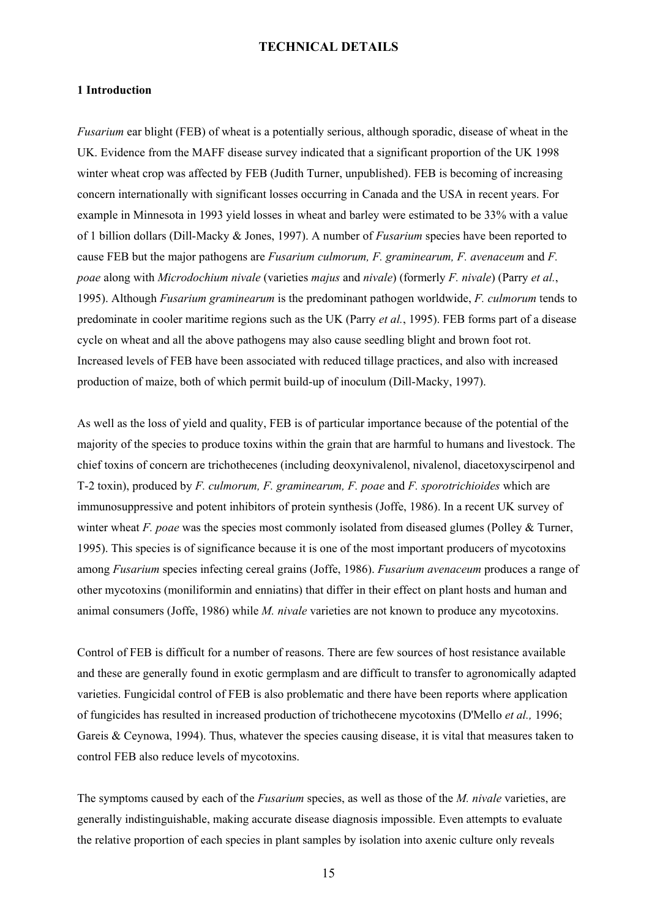#### **TECHNICAL DETAILS**

#### **1 Introduction**

*Fusarium* ear blight (FEB) of wheat is a potentially serious, although sporadic, disease of wheat in the UK. Evidence from the MAFF disease survey indicated that a significant proportion of the UK 1998 winter wheat crop was affected by FEB (Judith Turner, unpublished). FEB is becoming of increasing concern internationally with significant losses occurring in Canada and the USA in recent years. For example in Minnesota in 1993 yield losses in wheat and barley were estimated to be 33% with a value of 1 billion dollars (Dill-Macky & Jones, 1997). A number of *Fusarium* species have been reported to cause FEB but the major pathogens are *Fusarium culmorum, F. graminearum, F. avenaceum* and *F. poae* along with *Microdochium nivale* (varieties *majus* and *nivale*) (formerly *F. nivale*) (Parry *et al.*, 1995). Although *Fusarium graminearum* is the predominant pathogen worldwide, *F. culmorum* tends to predominate in cooler maritime regions such as the UK (Parry *et al.*, 1995). FEB forms part of a disease cycle on wheat and all the above pathogens may also cause seedling blight and brown foot rot. Increased levels of FEB have been associated with reduced tillage practices, and also with increased production of maize, both of which permit build-up of inoculum (Dill-Macky, 1997).

As well as the loss of yield and quality, FEB is of particular importance because of the potential of the majority of the species to produce toxins within the grain that are harmful to humans and livestock. The chief toxins of concern are trichothecenes (including deoxynivalenol, nivalenol, diacetoxyscirpenol and T-2 toxin), produced by *F. culmorum, F. graminearum, F. poae* and *F. sporotrichioides* which are immunosuppressive and potent inhibitors of protein synthesis (Joffe, 1986). In a recent UK survey of winter wheat *F. poae* was the species most commonly isolated from diseased glumes (Polley & Turner, 1995). This species is of significance because it is one of the most important producers of mycotoxins among *Fusarium* species infecting cereal grains (Joffe, 1986). *Fusarium avenaceum* produces a range of other mycotoxins (moniliformin and enniatins) that differ in their effect on plant hosts and human and animal consumers (Joffe, 1986) while *M. nivale* varieties are not known to produce any mycotoxins.

Control of FEB is difficult for a number of reasons. There are few sources of host resistance available and these are generally found in exotic germplasm and are difficult to transfer to agronomically adapted varieties. Fungicidal control of FEB is also problematic and there have been reports where application of fungicides has resulted in increased production of trichothecene mycotoxins (D'Mello *et al.,* 1996; Gareis & Ceynowa, 1994). Thus, whatever the species causing disease, it is vital that measures taken to control FEB also reduce levels of mycotoxins.

The symptoms caused by each of the *Fusarium* species, as well as those of the *M. nivale* varieties, are generally indistinguishable, making accurate disease diagnosis impossible. Even attempts to evaluate the relative proportion of each species in plant samples by isolation into axenic culture only reveals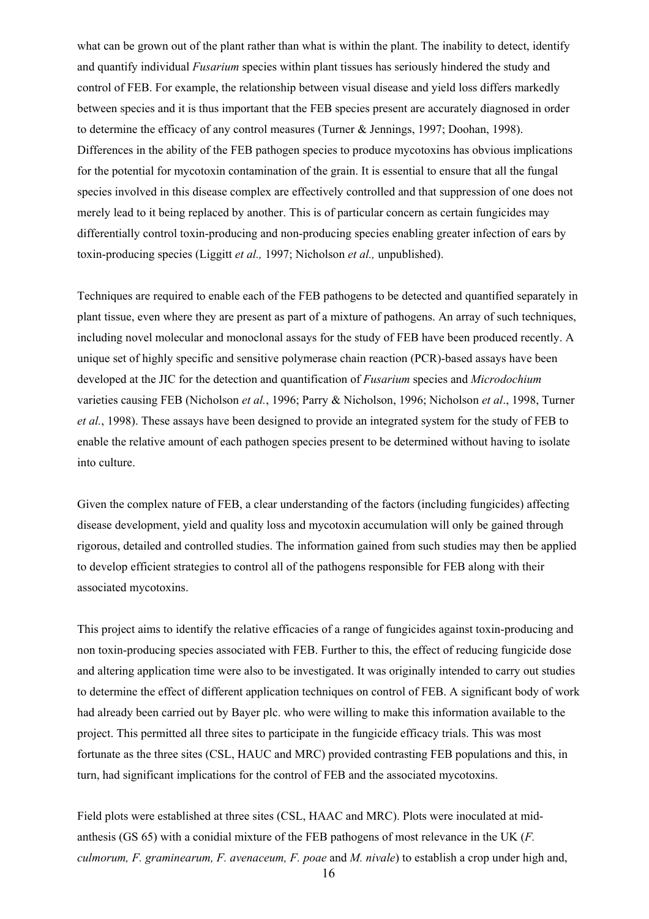what can be grown out of the plant rather than what is within the plant. The inability to detect, identify and quantify individual *Fusarium* species within plant tissues has seriously hindered the study and control of FEB. For example, the relationship between visual disease and yield loss differs markedly between species and it is thus important that the FEB species present are accurately diagnosed in order to determine the efficacy of any control measures (Turner & Jennings, 1997; Doohan, 1998). Differences in the ability of the FEB pathogen species to produce mycotoxins has obvious implications for the potential for mycotoxin contamination of the grain. It is essential to ensure that all the fungal species involved in this disease complex are effectively controlled and that suppression of one does not merely lead to it being replaced by another. This is of particular concern as certain fungicides may differentially control toxin-producing and non-producing species enabling greater infection of ears by toxin-producing species (Liggitt *et al.,* 1997; Nicholson *et al.,* unpublished).

Techniques are required to enable each of the FEB pathogens to be detected and quantified separately in plant tissue, even where they are present as part of a mixture of pathogens. An array of such techniques, including novel molecular and monoclonal assays for the study of FEB have been produced recently. A unique set of highly specific and sensitive polymerase chain reaction (PCR)-based assays have been developed at the JIC for the detection and quantification of *Fusarium* species and *Microdochium* varieties causing FEB (Nicholson *et al.*, 1996; Parry & Nicholson, 1996; Nicholson *et al*., 1998, Turner *et al.*, 1998). These assays have been designed to provide an integrated system for the study of FEB to enable the relative amount of each pathogen species present to be determined without having to isolate into culture.

Given the complex nature of FEB, a clear understanding of the factors (including fungicides) affecting disease development, yield and quality loss and mycotoxin accumulation will only be gained through rigorous, detailed and controlled studies. The information gained from such studies may then be applied to develop efficient strategies to control all of the pathogens responsible for FEB along with their associated mycotoxins.

This project aims to identify the relative efficacies of a range of fungicides against toxin-producing and non toxin-producing species associated with FEB. Further to this, the effect of reducing fungicide dose and altering application time were also to be investigated. It was originally intended to carry out studies to determine the effect of different application techniques on control of FEB. A significant body of work had already been carried out by Bayer plc. who were willing to make this information available to the project. This permitted all three sites to participate in the fungicide efficacy trials. This was most fortunate as the three sites (CSL, HAUC and MRC) provided contrasting FEB populations and this, in turn, had significant implications for the control of FEB and the associated mycotoxins.

Field plots were established at three sites (CSL, HAAC and MRC). Plots were inoculated at midanthesis (GS 65) with a conidial mixture of the FEB pathogens of most relevance in the UK (*F. culmorum, F. graminearum, F. avenaceum, F. poae* and *M. nivale*) to establish a crop under high and,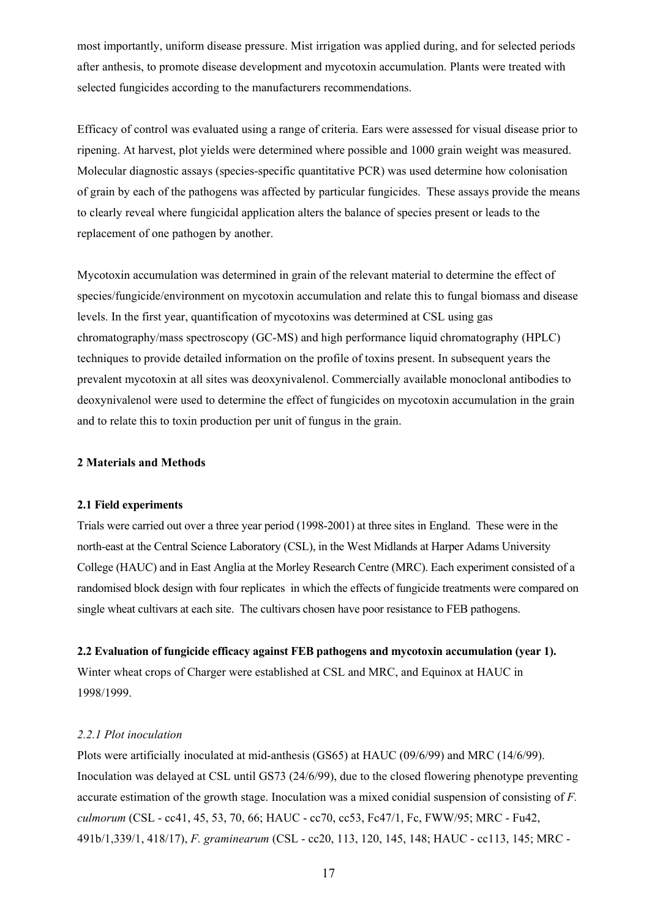most importantly, uniform disease pressure. Mist irrigation was applied during, and for selected periods after anthesis, to promote disease development and mycotoxin accumulation. Plants were treated with selected fungicides according to the manufacturers recommendations.

Efficacy of control was evaluated using a range of criteria. Ears were assessed for visual disease prior to ripening. At harvest, plot yields were determined where possible and 1000 grain weight was measured. Molecular diagnostic assays (species-specific quantitative PCR) was used determine how colonisation of grain by each of the pathogens was affected by particular fungicides. These assays provide the means to clearly reveal where fungicidal application alters the balance of species present or leads to the replacement of one pathogen by another.

Mycotoxin accumulation was determined in grain of the relevant material to determine the effect of species/fungicide/environment on mycotoxin accumulation and relate this to fungal biomass and disease levels. In the first year, quantification of mycotoxins was determined at CSL using gas chromatography/mass spectroscopy (GC-MS) and high performance liquid chromatography (HPLC) techniques to provide detailed information on the profile of toxins present. In subsequent years the prevalent mycotoxin at all sites was deoxynivalenol. Commercially available monoclonal antibodies to deoxynivalenol were used to determine the effect of fungicides on mycotoxin accumulation in the grain and to relate this to toxin production per unit of fungus in the grain.

# **2 Materials and Methods**

#### **2.1 Field experiments**

Trials were carried out over a three year period (1998-2001) at three sites in England. These were in the north-east at the Central Science Laboratory (CSL), in the West Midlands at Harper Adams University College (HAUC) and in East Anglia at the Morley Research Centre (MRC). Each experiment consisted of a randomised block design with four replicates in which the effects of fungicide treatments were compared on single wheat cultivars at each site. The cultivars chosen have poor resistance to FEB pathogens.

#### **2.2 Evaluation of fungicide efficacy against FEB pathogens and mycotoxin accumulation (year 1).**

Winter wheat crops of Charger were established at CSL and MRC, and Equinox at HAUC in 1998/1999.

#### *2.2.1 Plot inoculation*

Plots were artificially inoculated at mid-anthesis (GS65) at HAUC (09/6/99) and MRC (14/6/99). Inoculation was delayed at CSL until GS73 (24/6/99), due to the closed flowering phenotype preventing accurate estimation of the growth stage. Inoculation was a mixed conidial suspension of consisting of *F. culmorum* (CSL - cc41, 45, 53, 70, 66; HAUC - cc70, cc53, Fc47/1, Fc, FWW/95; MRC - Fu42, 491b/1,339/1, 418/17), *F. graminearum* (CSL - cc20, 113, 120, 145, 148; HAUC - cc113, 145; MRC -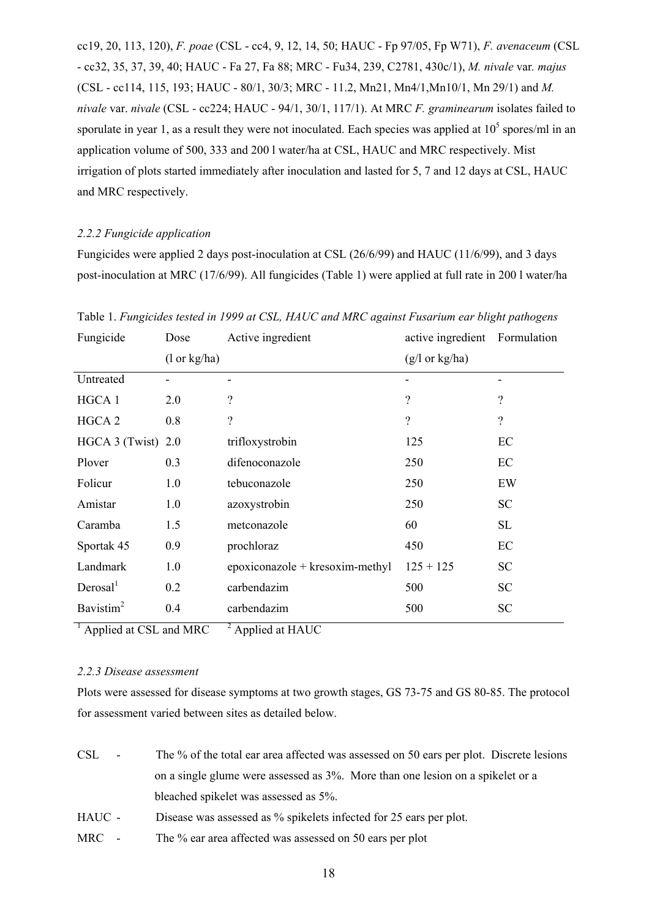cc19, 20, 113, 120), *F. poae* (CSL - cc4, 9, 12, 14, 50; HAUC - Fp 97/05, Fp W71), *F. avenaceum* (CSL - cc32, 35, 37, 39, 40; HAUC - Fa 27, Fa 88; MRC - Fu34, 239, C2781, 430c/1), *M. nivale* var*. majus* (CSL - cc114, 115, 193; HAUC - 80/1, 30/3; MRC - 11.2, Mn21, Mn4/1,Mn10/1, Mn 29/1) and *M. nivale* var. *nivale* (CSL - cc224; HAUC - 94/1, 30/1, 117/1). At MRC *F. graminearum* isolates failed to sporulate in year 1, as a result they were not inoculated. Each species was applied at  $10<sup>5</sup>$  spores/ml in an application volume of 500, 333 and 200 l water/ha at CSL, HAUC and MRC respectively. Mist irrigation of plots started immediately after inoculation and lasted for 5, 7 and 12 days at CSL, HAUC and MRC respectively.

#### *2.2.2 Fungicide application*

Fungicides were applied 2 days post-inoculation at CSL (26/6/99) and HAUC (11/6/99), and 3 days post-inoculation at MRC (17/6/99). All fungicides (Table 1) were applied at full rate in 200 l water/ha

| Fungicide                                         | Dose                           | Active ingredient                       | active ingredient         | Formulation              |
|---------------------------------------------------|--------------------------------|-----------------------------------------|---------------------------|--------------------------|
|                                                   | $(1 \text{ or } \text{kg/ha})$ |                                         | $(g/l \text{ or } kg/ha)$ |                          |
| Untreated                                         |                                | -                                       | ۰                         |                          |
| HGCA 1                                            | 2.0                            | ?                                       | $\gamma$                  | $\overline{\mathcal{L}}$ |
| HGCA <sub>2</sub>                                 | 0.8                            | $\overline{\mathcal{L}}$                | $\gamma$                  | $\gamma$                 |
| HGCA $3$ (Twist) $2.0$                            |                                | trifloxystrobin                         | 125                       | EC                       |
| Plover                                            | 0.3                            | difenoconazole                          | 250                       | EC                       |
| Folicur                                           | 1.0                            | tebuconazole                            | 250                       | EW                       |
| Amistar                                           | 1.0                            | azoxystrobin                            | 250                       | <b>SC</b>                |
| Caramba                                           | 1.5                            | metconazole                             | 60                        | SL                       |
| Sportak 45                                        | 0.9                            | prochloraz                              | 450                       | EC                       |
| Landmark                                          | 1.0                            | $epoxiconazole + kresoxim-methyl$       | $125 + 125$               | <b>SC</b>                |
| Derosal <sup>1</sup>                              | 0.2                            | carbendazim                             | 500                       | <b>SC</b>                |
| Bavistim <sup>2</sup><br>$\overline{\phantom{a}}$ | 0.4                            | carbendazim<br>$\overline{\phantom{0}}$ | 500                       | <b>SC</b>                |

Table 1. *Fungicides tested in 1999 at CSL, HAUC and MRC against Fusarium ear blight pathogens* 

 $<sup>1</sup>$  Applied at CSL and MRC  $<sup>2</sup>$ </sup></sup> <sup>2</sup> Applied at HAUC

#### *2.2.3 Disease assessment*

Plots were assessed for disease symptoms at two growth stages, GS 73-75 and GS 80-85. The protocol for assessment varied between sites as detailed below.

- CSL The % of the total ear area affected was assessed on 50 ears per plot. Discrete lesions on a single glume were assessed as 3%. More than one lesion on a spikelet or a bleached spikelet was assessed as 5%.
- HAUC Disease was assessed as % spikelets infected for 25 ears per plot.
- MRC The % ear area affected was assessed on 50 ears per plot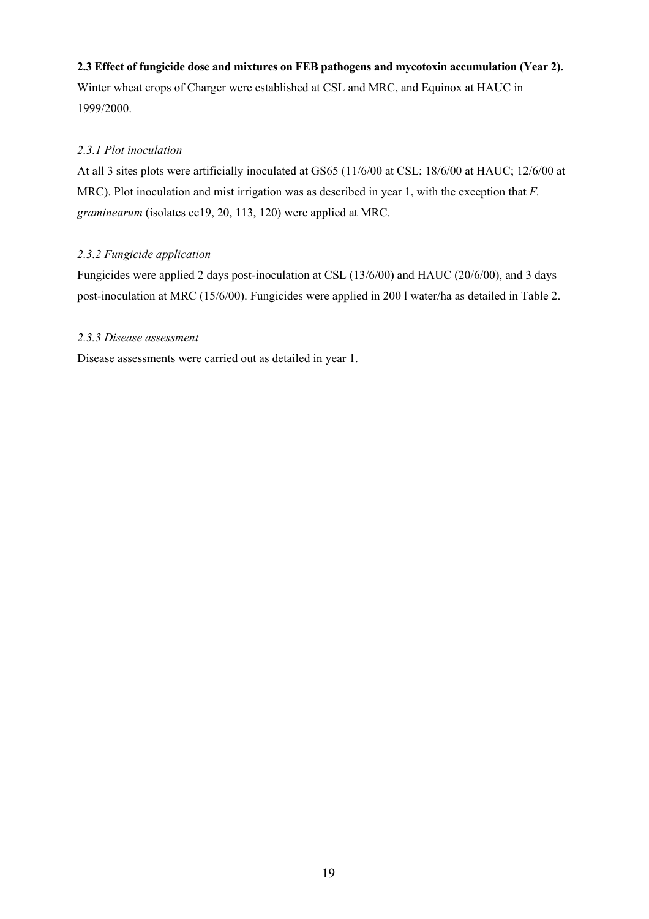# **2.3 Effect of fungicide dose and mixtures on FEB pathogens and mycotoxin accumulation (Year 2).**

Winter wheat crops of Charger were established at CSL and MRC, and Equinox at HAUC in 1999/2000.

# *2.3.1 Plot inoculation*

At all 3 sites plots were artificially inoculated at GS65 (11/6/00 at CSL; 18/6/00 at HAUC; 12/6/00 at MRC). Plot inoculation and mist irrigation was as described in year 1, with the exception that *F. graminearum* (isolates cc19, 20, 113, 120) were applied at MRC.

# *2.3.2 Fungicide application*

Fungicides were applied 2 days post-inoculation at CSL (13/6/00) and HAUC (20/6/00), and 3 days post-inoculation at MRC (15/6/00). Fungicides were applied in 200 l water/ha as detailed in Table 2.

# *2.3.3 Disease assessment*

Disease assessments were carried out as detailed in year 1.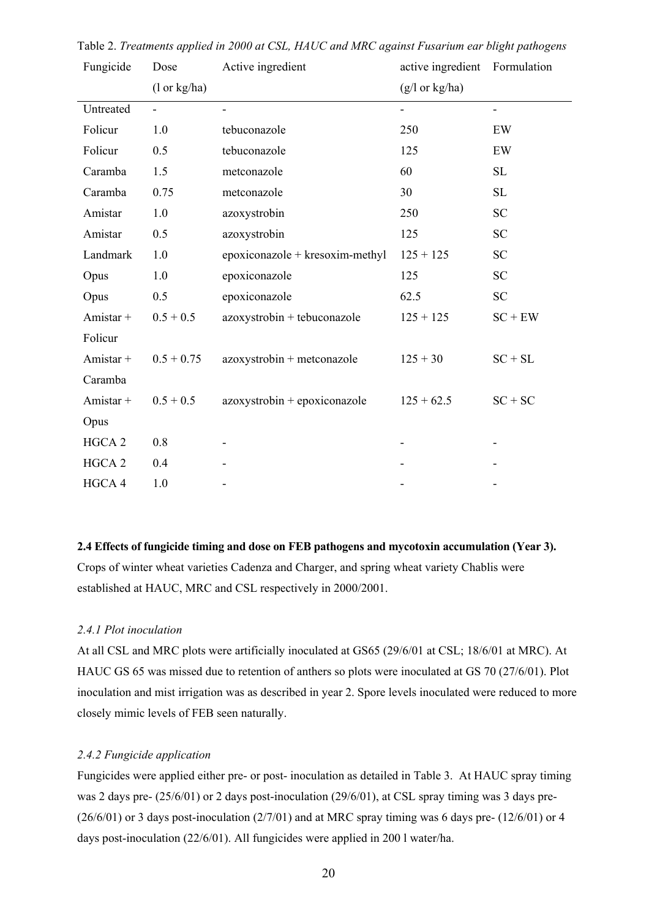| Fungicide         | Dose                           | Active ingredient               | active ingredient         | Formulation                  |
|-------------------|--------------------------------|---------------------------------|---------------------------|------------------------------|
|                   | $(1 \text{ or } \text{kg/ha})$ |                                 | $(g/l \text{ or } kg/ha)$ |                              |
| Untreated         | $\blacksquare$                 | $\overline{\phantom{a}}$        | $\overline{\phantom{a}}$  | $\qquad \qquad \blacksquare$ |
| Folicur           | 1.0                            | tebuconazole                    | 250                       | EW                           |
| Folicur           | 0.5                            | tebuconazole                    | 125                       | EW                           |
| Caramba           | 1.5                            | metconazole                     | 60                        | SL                           |
| Caramba           | 0.75                           | metconazole                     | 30                        | <b>SL</b>                    |
| Amistar           | 1.0                            | azoxystrobin                    | 250                       | <b>SC</b>                    |
| Amistar           | 0.5                            | azoxystrobin                    | 125                       | <b>SC</b>                    |
| Landmark          | 1.0                            | epoxiconazole + kresoxim-methyl | $125 + 125$               | <b>SC</b>                    |
| Opus              | 1.0                            | epoxiconazole                   | 125                       | <b>SC</b>                    |
| Opus              | 0.5                            | epoxiconazole                   | 62.5                      | <b>SC</b>                    |
| Amistar +         | $0.5 + 0.5$                    | azoxystrobin + tebuconazole     | $125 + 125$               | $SC + EW$                    |
| Folicur           |                                |                                 |                           |                              |
| Amistar +         | $0.5 + 0.75$                   | azoxystrobin + metconazole      | $125 + 30$                | $SC + SL$                    |
| Caramba           |                                |                                 |                           |                              |
| Amistar +         | $0.5 + 0.5$                    | azoxystrobin + epoxiconazole    | $125 + 62.5$              | $SC + SC$                    |
| Opus              |                                |                                 |                           |                              |
| HGCA <sub>2</sub> | $0.8\,$                        |                                 |                           |                              |
| HGCA <sub>2</sub> | 0.4                            |                                 |                           |                              |
| HGCA 4            | 1.0                            |                                 |                           |                              |

Table 2. *Treatments applied in 2000 at CSL, HAUC and MRC against Fusarium ear blight pathogens* 

# **2.4 Effects of fungicide timing and dose on FEB pathogens and mycotoxin accumulation (Year 3).**  Crops of winter wheat varieties Cadenza and Charger, and spring wheat variety Chablis were established at HAUC, MRC and CSL respectively in 2000/2001.

#### *2.4.1 Plot inoculation*

At all CSL and MRC plots were artificially inoculated at GS65 (29/6/01 at CSL; 18/6/01 at MRC). At HAUC GS 65 was missed due to retention of anthers so plots were inoculated at GS 70 (27/6/01). Plot inoculation and mist irrigation was as described in year 2. Spore levels inoculated were reduced to more closely mimic levels of FEB seen naturally.

#### *2.4.2 Fungicide application*

Fungicides were applied either pre- or post- inoculation as detailed in Table 3. At HAUC spray timing was 2 days pre- (25/6/01) or 2 days post-inoculation (29/6/01), at CSL spray timing was 3 days pre- $(26/6/01)$  or 3 days post-inoculation  $(2/7/01)$  and at MRC spray timing was 6 days pre- $(12/6/01)$  or 4 days post-inoculation (22/6/01). All fungicides were applied in 200 l water/ha.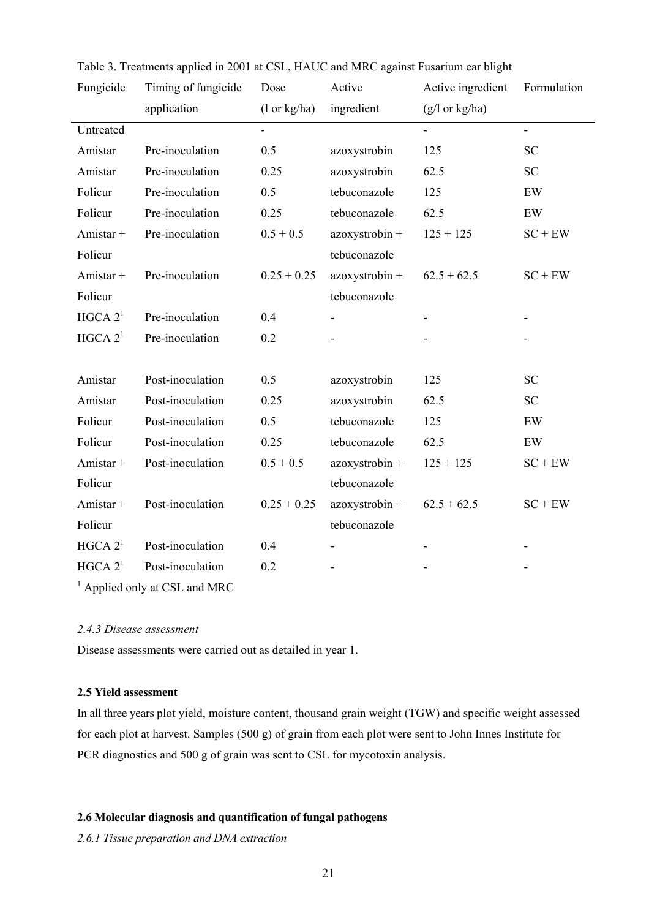| Fungicide   | Timing of fungicide | Dose          | Active         | Active ingredient         | Formulation    |
|-------------|---------------------|---------------|----------------|---------------------------|----------------|
|             | application         | (1 or kg/ha)  | ingredient     | $(g/l \text{ or } kg/ha)$ |                |
| Untreated   |                     |               |                | $\blacksquare$            | $\blacksquare$ |
| Amistar     | Pre-inoculation     | 0.5           | azoxystrobin   | 125                       | <b>SC</b>      |
| Amistar     | Pre-inoculation     | 0.25          | azoxystrobin   | 62.5                      | <b>SC</b>      |
| Folicur     | Pre-inoculation     | 0.5           | tebuconazole   | 125                       | EW             |
| Folicur     | Pre-inoculation     | 0.25          | tebuconazole   | 62.5                      | EW             |
| Amistar +   | Pre-inoculation     | $0.5 + 0.5$   | azoxystrobin + | $125 + 125$               | $SC + EW$      |
| Folicur     |                     |               | tebuconazole   |                           |                |
| Amistar +   | Pre-inoculation     | $0.25 + 0.25$ | azoxystrobin + | $62.5 + 62.5$             | $SC + EW$      |
| Folicur     |                     |               | tebuconazole   |                           |                |
| $HGCA$ $21$ | Pre-inoculation     | 0.4           |                |                           |                |
| HGCA $2^1$  | Pre-inoculation     | 0.2           |                |                           |                |
|             |                     |               |                |                           |                |
| Amistar     | Post-inoculation    | 0.5           | azoxystrobin   | 125                       | <b>SC</b>      |
| Amistar     | Post-inoculation    | 0.25          | azoxystrobin   | 62.5                      | <b>SC</b>      |
| Folicur     | Post-inoculation    | 0.5           | tebuconazole   | 125                       | $\mathbf{EW}$  |
| Folicur     | Post-inoculation    | 0.25          | tebuconazole   | 62.5                      | EW             |
| Amistar +   | Post-inoculation    | $0.5 + 0.5$   | azoxystrobin + | $125 + 125$               | $SC + EW$      |
| Folicur     |                     |               | tebuconazole   |                           |                |
| Amistar +   | Post-inoculation    | $0.25 + 0.25$ | azoxystrobin + | $62.5 + 62.5$             | $SC + EW$      |
| Folicur     |                     |               | tebuconazole   |                           |                |
| HGCA $2^1$  | Post-inoculation    | 0.4           |                |                           |                |
| HGCA $21$   | Post-inoculation    | 0.2           |                |                           |                |
|             |                     |               |                |                           |                |

Table 3. Treatments applied in 2001 at CSL, HAUC and MRC against Fusarium ear blight

<sup>1</sup> Applied only at CSL and MRC

#### *2.4.3 Disease assessment*

Disease assessments were carried out as detailed in year 1.

## **2.5 Yield assessment**

In all three years plot yield, moisture content, thousand grain weight (TGW) and specific weight assessed for each plot at harvest. Samples (500 g) of grain from each plot were sent to John Innes Institute for PCR diagnostics and 500 g of grain was sent to CSL for mycotoxin analysis.

# **2.6 Molecular diagnosis and quantification of fungal pathogens**

*2.6.1 Tissue preparation and DNA extraction*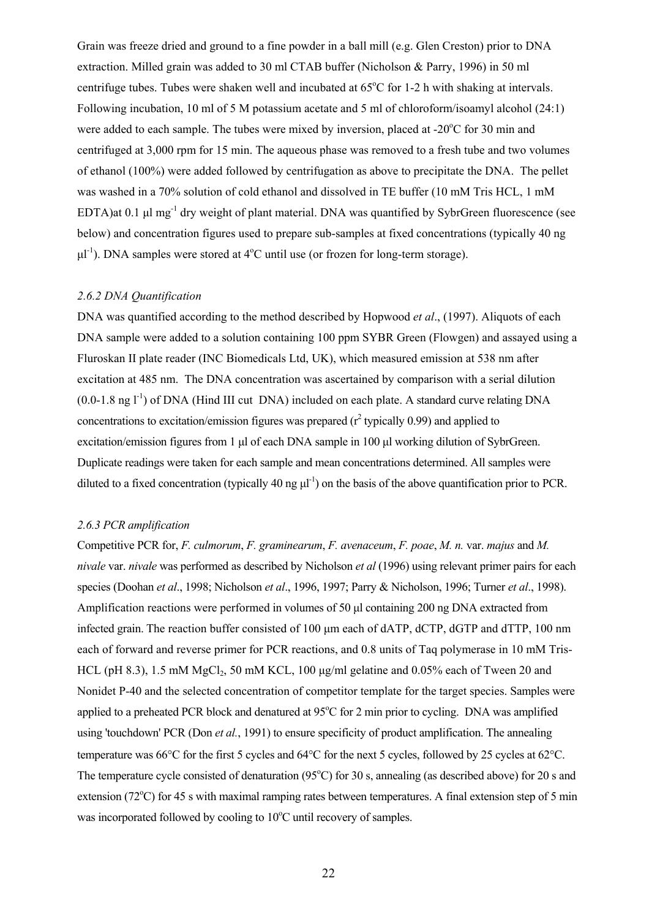Grain was freeze dried and ground to a fine powder in a ball mill (e.g. Glen Creston) prior to DNA extraction. Milled grain was added to 30 ml CTAB buffer (Nicholson & Parry, 1996) in 50 ml centrifuge tubes. Tubes were shaken well and incubated at  $65^{\circ}$ C for 1-2 h with shaking at intervals. Following incubation, 10 ml of 5 M potassium acetate and 5 ml of chloroform/isoamyl alcohol (24:1) were added to each sample. The tubes were mixed by inversion, placed at -20°C for 30 min and centrifuged at 3,000 rpm for 15 min. The aqueous phase was removed to a fresh tube and two volumes of ethanol (100%) were added followed by centrifugation as above to precipitate the DNA. The pellet was washed in a 70% solution of cold ethanol and dissolved in TE buffer (10 mM Tris HCL, 1 mM EDTA)at 0.1 µl mg<sup>-1</sup> dry weight of plant material. DNA was quantified by SybrGreen fluorescence (see below) and concentration figures used to prepare sub-samples at fixed concentrations (typically 40 ng  $\mu$ l<sup>-1</sup>). DNA samples were stored at 4<sup>o</sup>C until use (or frozen for long-term storage).

#### *2.6.2 DNA Quantification*

DNA was quantified according to the method described by Hopwood *et al.*, (1997). Aliquots of each DNA sample were added to a solution containing 100 ppm SYBR Green (Flowgen) and assayed using a Fluroskan II plate reader (INC Biomedicals Ltd, UK), which measured emission at 538 nm after excitation at 485 nm. The DNA concentration was ascertained by comparison with a serial dilution  $(0.0-1.8 \text{ ng } l^{-1})$  of DNA (Hind III cut DNA) included on each plate. A standard curve relating DNA concentrations to excitation/emission figures was prepared  $(r^2$  typically 0.99) and applied to excitation/emission figures from 1 µl of each DNA sample in 100 µl working dilution of SybrGreen. Duplicate readings were taken for each sample and mean concentrations determined. All samples were diluted to a fixed concentration (typically 40 ng  $\mu$ <sup>1</sup>) on the basis of the above quantification prior to PCR.

#### *2.6.3 PCR amplification*

Competitive PCR for, *F. culmorum*, *F. graminearum*, *F. avenaceum*, *F. poae*, *M. n.* var. *majus* and *M. nivale* var. *nivale* was performed as described by Nicholson *et al* (1996) using relevant primer pairs for each species (Doohan *et al*., 1998; Nicholson *et al*., 1996, 1997; Parry & Nicholson, 1996; Turner *et al*., 1998). Amplification reactions were performed in volumes of 50 µl containing 200 ng DNA extracted from infected grain. The reaction buffer consisted of 100  $\mu$ m each of dATP, dCTP, dGTP and dTTP, 100 nm each of forward and reverse primer for PCR reactions, and 0.8 units of Taq polymerase in 10 mM Tris-HCL (pH 8.3), 1.5 mM MgCl<sub>2</sub>, 50 mM KCL, 100  $\mu$ g/ml gelatine and 0.05% each of Tween 20 and Nonidet P-40 and the selected concentration of competitor template for the target species. Samples were applied to a preheated PCR block and denatured at 95°C for 2 min prior to cycling. DNA was amplified using 'touchdown' PCR (Don *et al.*, 1991) to ensure specificity of product amplification. The annealing temperature was 66°C for the first 5 cycles and 64°C for the next 5 cycles, followed by 25 cycles at 62°C. The temperature cycle consisted of denaturation (95°C) for 30 s, annealing (as described above) for 20 s and extension (72<sup>o</sup>C) for 45 s with maximal ramping rates between temperatures. A final extension step of 5 min was incorporated followed by cooling to 10°C until recovery of samples.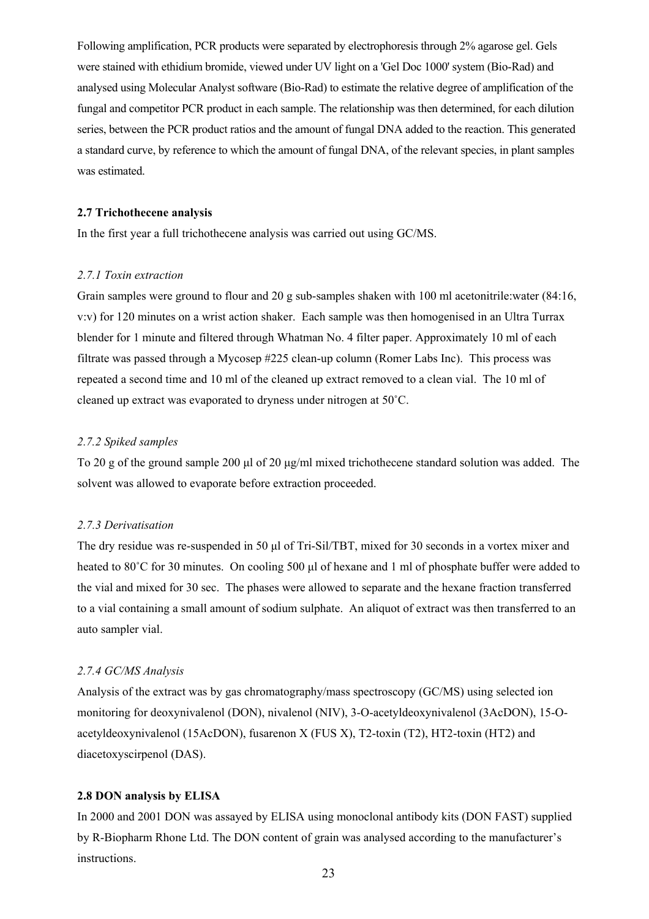Following amplification, PCR products were separated by electrophoresis through 2% agarose gel. Gels were stained with ethidium bromide, viewed under UV light on a 'Gel Doc 1000' system (Bio-Rad) and analysed using Molecular Analyst software (Bio-Rad) to estimate the relative degree of amplification of the fungal and competitor PCR product in each sample. The relationship was then determined, for each dilution series, between the PCR product ratios and the amount of fungal DNA added to the reaction. This generated a standard curve, by reference to which the amount of fungal DNA, of the relevant species, in plant samples was estimated.

#### **2.7 Trichothecene analysis**

In the first year a full trichothecene analysis was carried out using GC/MS.

#### *2.7.1 Toxin extraction*

Grain samples were ground to flour and 20 g sub-samples shaken with 100 ml acetonitrile: water (84:16, v:v) for 120 minutes on a wrist action shaker. Each sample was then homogenised in an Ultra Turrax blender for 1 minute and filtered through Whatman No. 4 filter paper. Approximately 10 ml of each filtrate was passed through a Mycosep #225 clean-up column (Romer Labs Inc). This process was repeated a second time and 10 ml of the cleaned up extract removed to a clean vial. The 10 ml of cleaned up extract was evaporated to dryness under nitrogen at 50˚C.

## *2.7.2 Spiked samples*

To 20 g of the ground sample 200 µl of 20 µg/ml mixed trichothecene standard solution was added. The solvent was allowed to evaporate before extraction proceeded.

#### *2.7.3 Derivatisation*

The dry residue was re-suspended in 50 µl of Tri-Sil/TBT, mixed for 30 seconds in a vortex mixer and heated to 80°C for 30 minutes. On cooling 500 µl of hexane and 1 ml of phosphate buffer were added to the vial and mixed for 30 sec. The phases were allowed to separate and the hexane fraction transferred to a vial containing a small amount of sodium sulphate. An aliquot of extract was then transferred to an auto sampler vial.

#### *2.7.4 GC/MS Analysis*

Analysis of the extract was by gas chromatography/mass spectroscopy (GC/MS) using selected ion monitoring for deoxynivalenol (DON), nivalenol (NIV), 3-O-acetyldeoxynivalenol (3AcDON), 15-Oacetyldeoxynivalenol (15AcDON), fusarenon X (FUS X), T2-toxin (T2), HT2-toxin (HT2) and diacetoxyscirpenol (DAS).

#### **2.8 DON analysis by ELISA**

In 2000 and 2001 DON was assayed by ELISA using monoclonal antibody kits (DON FAST) supplied by R-Biopharm Rhone Ltd. The DON content of grain was analysed according to the manufacturer's instructions.

23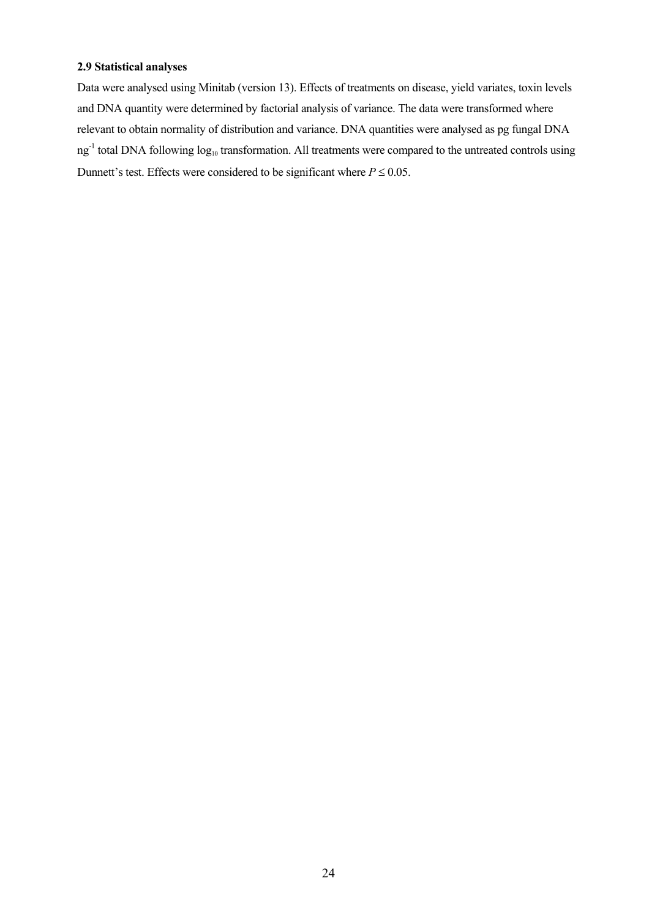## **2.9 Statistical analyses**

Data were analysed using Minitab (version 13). Effects of treatments on disease, yield variates, toxin levels and DNA quantity were determined by factorial analysis of variance. The data were transformed where relevant to obtain normality of distribution and variance. DNA quantities were analysed as pg fungal DNA  $ng^{-1}$  total DNA following  $log_{10}$  transformation. All treatments were compared to the untreated controls using Dunnett's test. Effects were considered to be significant where  $P \le 0.05$ .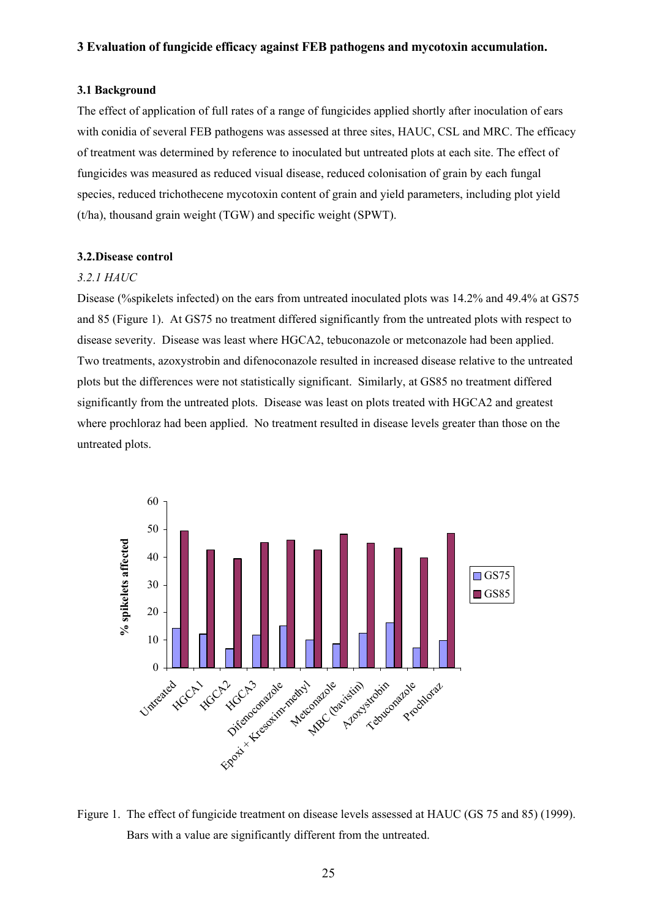#### **3 Evaluation of fungicide efficacy against FEB pathogens and mycotoxin accumulation.**

## **3.1 Background**

The effect of application of full rates of a range of fungicides applied shortly after inoculation of ears with conidia of several FEB pathogens was assessed at three sites, HAUC, CSL and MRC. The efficacy of treatment was determined by reference to inoculated but untreated plots at each site. The effect of fungicides was measured as reduced visual disease, reduced colonisation of grain by each fungal species, reduced trichothecene mycotoxin content of grain and yield parameters, including plot yield (t/ha), thousand grain weight (TGW) and specific weight (SPWT).

#### **3.2.Disease control**

#### *3.2.1 HAUC*

Disease (%spikelets infected) on the ears from untreated inoculated plots was 14.2% and 49.4% at GS75 and 85 (Figure 1). At GS75 no treatment differed significantly from the untreated plots with respect to disease severity. Disease was least where HGCA2, tebuconazole or metconazole had been applied. Two treatments, azoxystrobin and difenoconazole resulted in increased disease relative to the untreated plots but the differences were not statistically significant. Similarly, at GS85 no treatment differed significantly from the untreated plots. Disease was least on plots treated with HGCA2 and greatest where prochloraz had been applied. No treatment resulted in disease levels greater than those on the untreated plots.



Figure 1. The effect of fungicide treatment on disease levels assessed at HAUC (GS 75 and 85) (1999). Bars with a value are significantly different from the untreated.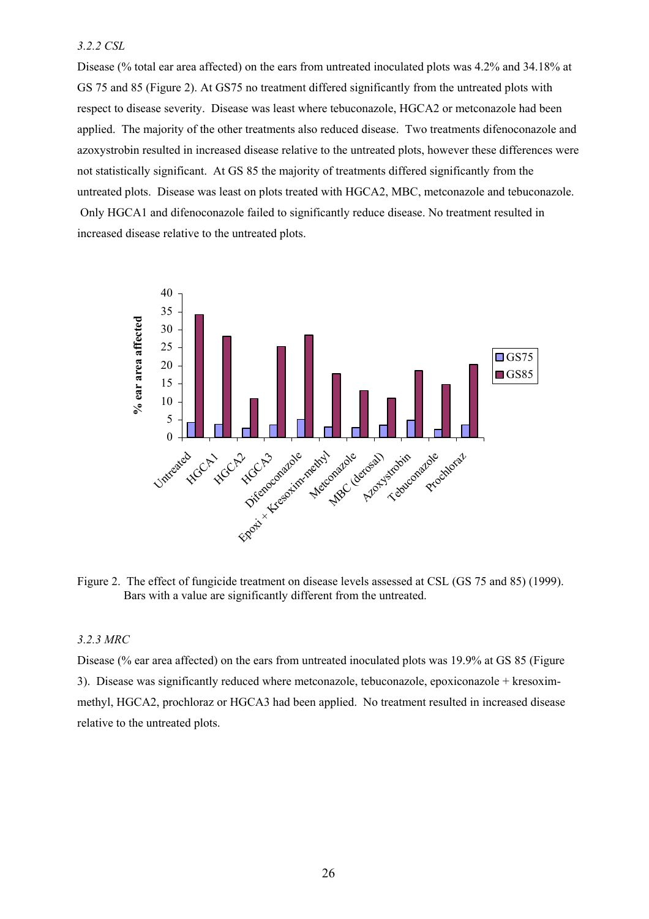## *3.2.2 CSL*

Disease (% total ear area affected) on the ears from untreated inoculated plots was 4.2% and 34.18% at GS 75 and 85 (Figure 2). At GS75 no treatment differed significantly from the untreated plots with respect to disease severity. Disease was least where tebuconazole, HGCA2 or metconazole had been applied. The majority of the other treatments also reduced disease. Two treatments difenoconazole and azoxystrobin resulted in increased disease relative to the untreated plots, however these differences were not statistically significant. At GS 85 the majority of treatments differed significantly from the untreated plots. Disease was least on plots treated with HGCA2, MBC, metconazole and tebuconazole. Only HGCA1 and difenoconazole failed to significantly reduce disease. No treatment resulted in increased disease relative to the untreated plots.



Figure 2. The effect of fungicide treatment on disease levels assessed at CSL (GS 75 and 85) (1999). Bars with a value are significantly different from the untreated.

#### *3.2.3 MRC*

Disease (% ear area affected) on the ears from untreated inoculated plots was 19.9% at GS 85 (Figure 3). Disease was significantly reduced where metconazole, tebuconazole, epoxiconazole + kresoximmethyl, HGCA2, prochloraz or HGCA3 had been applied. No treatment resulted in increased disease relative to the untreated plots.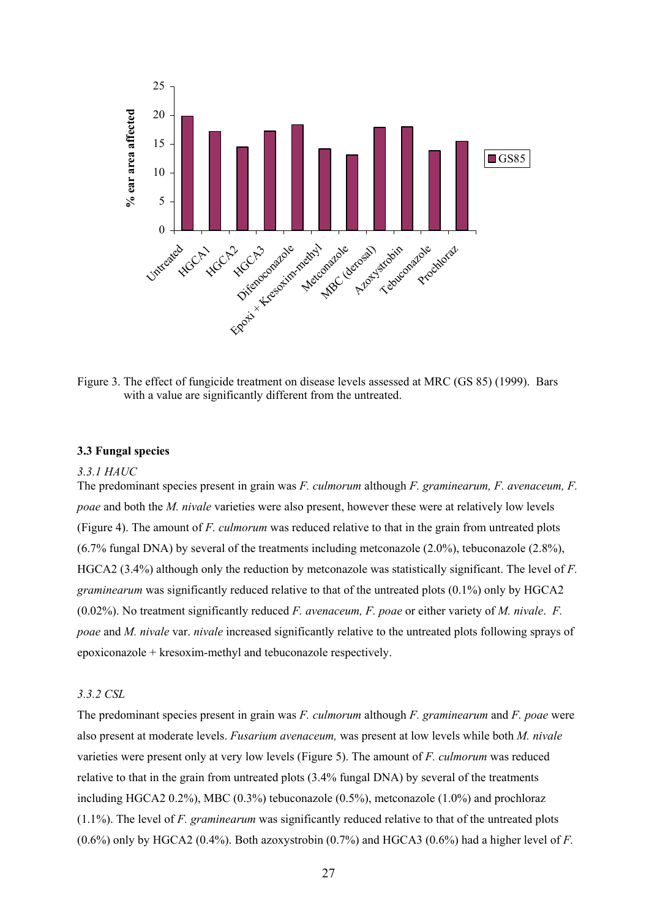

Figure 3. The effect of fungicide treatment on disease levels assessed at MRC (GS 85) (1999). Bars with a value are significantly different from the untreated.

#### **3.3 Fungal species**

#### *3.3.1 HAUC*

The predominant species present in grain was *F. culmorum* although *F. graminearum, F. avenaceum, F. poae* and both the *M. nivale* varieties were also present, however these were at relatively low levels (Figure 4). The amount of *F. culmorum* was reduced relative to that in the grain from untreated plots  $(6.7\%$  fungal DNA) by several of the treatments including metconazole  $(2.0\%)$ , tebuconazole  $(2.8\%)$ , HGCA2 (3.4%) although only the reduction by metconazole was statistically significant. The level of *F. graminearum* was significantly reduced relative to that of the untreated plots (0.1%) only by HGCA2 (0.02%). No treatment significantly reduced *F. avenaceum, F. poae* or either variety of *M. nivale*. *F. poae* and *M. nivale* var. *nivale* increased significantly relative to the untreated plots following sprays of epoxiconazole + kresoxim-methyl and tebuconazole respectively.

#### *3.3.2 CSL*

The predominant species present in grain was *F. culmorum* although *F. graminearum* and *F. poae* were also present at moderate levels. *Fusarium avenaceum,* was present at low levels while both *M. nivale* varieties were present only at very low levels (Figure 5). The amount of *F. culmorum* was reduced relative to that in the grain from untreated plots (3.4% fungal DNA) by several of the treatments including HGCA2 0.2%), MBC (0.3%) tebuconazole (0.5%), metconazole (1.0%) and prochloraz (1.1%). The level of *F. graminearum* was significantly reduced relative to that of the untreated plots (0.6%) only by HGCA2 (0.4%). Both azoxystrobin (0.7%) and HGCA3 (0.6%) had a higher level of *F.*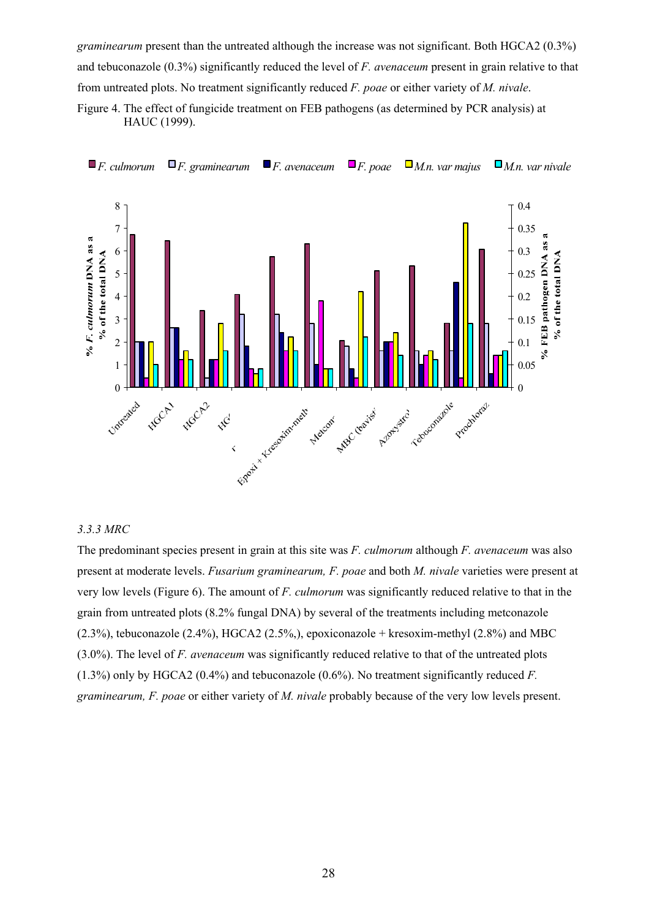*graminearum* present than the untreated although the increase was not significant. Both HGCA2 (0.3%) and tebuconazole (0.3%) significantly reduced the level of *F. avenaceum* present in grain relative to that from untreated plots. No treatment significantly reduced *F. poae* or either variety of *M. nivale*.

Figure 4. The effect of fungicide treatment on FEB pathogens (as determined by PCR analysis) at HAUC (1999).



#### *3.3.3 MRC*

The predominant species present in grain at this site was *F. culmorum* although *F. avenaceum* was also present at moderate levels. *Fusarium graminearum, F. poae* and both *M. nivale* varieties were present at very low levels (Figure 6). The amount of *F. culmorum* was significantly reduced relative to that in the grain from untreated plots (8.2% fungal DNA) by several of the treatments including metconazole  $(2.3\%)$ , tebuconazole  $(2.4\%)$ , HGCA2  $(2.5\%)$ , epoxiconazole + kresoxim-methyl  $(2.8\%)$  and MBC (3.0%). The level of *F. avenaceum* was significantly reduced relative to that of the untreated plots (1.3%) only by HGCA2 (0.4%) and tebuconazole (0.6%). No treatment significantly reduced *F. graminearum, F. poae* or either variety of *M. nivale* probably because of the very low levels present.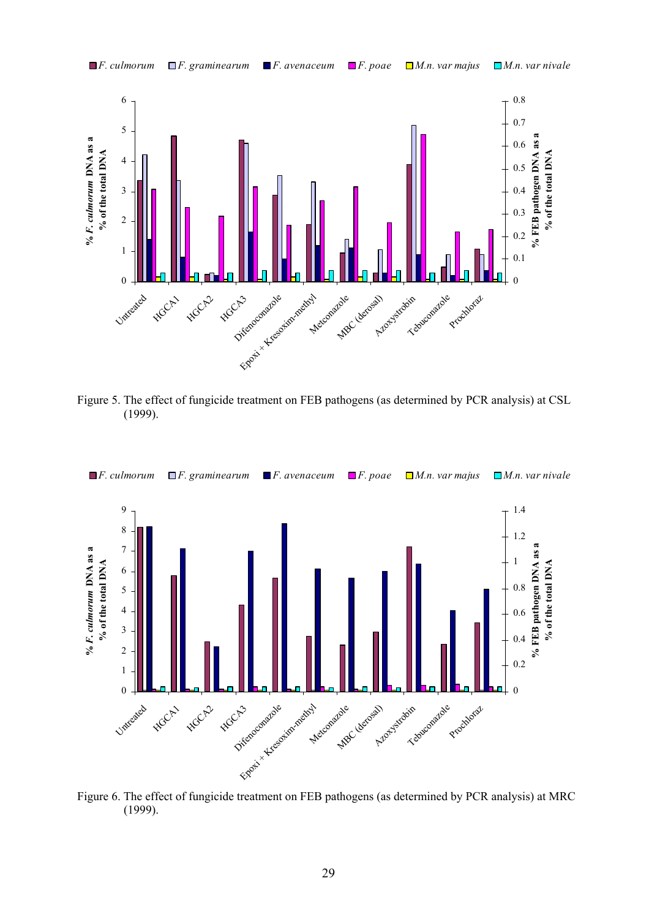



Figure 5. The effect of fungicide treatment on FEB pathogens (as determined by PCR analysis) at CSL (1999).



Figure 6. The effect of fungicide treatment on FEB pathogens (as determined by PCR analysis) at MRC (1999).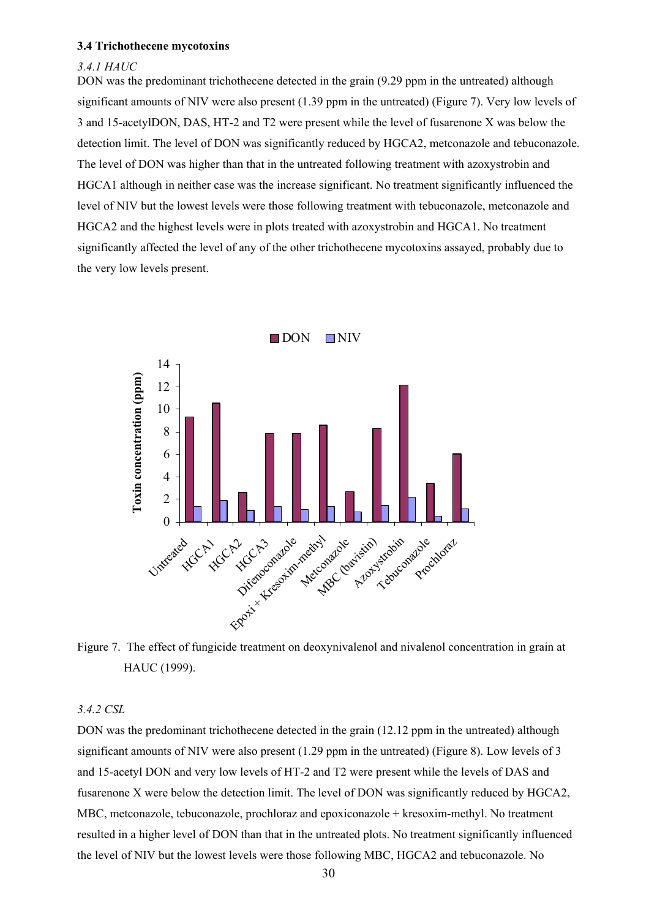#### **3.4 Trichothecene mycotoxins**

#### *3.4.1 HAUC*

DON was the predominant trichothecene detected in the grain (9.29 ppm in the untreated) although significant amounts of NIV were also present (1.39 ppm in the untreated) (Figure 7). Very low levels of 3 and 15-acetylDON, DAS, HT-2 and T2 were present while the level of fusarenone X was below the detection limit. The level of DON was significantly reduced by HGCA2, metconazole and tebuconazole. The level of DON was higher than that in the untreated following treatment with azoxystrobin and HGCA1 although in neither case was the increase significant. No treatment significantly influenced the level of NIV but the lowest levels were those following treatment with tebuconazole, metconazole and HGCA2 and the highest levels were in plots treated with azoxystrobin and HGCA1. No treatment significantly affected the level of any of the other trichothecene mycotoxins assayed, probably due to the very low levels present.



Figure 7. The effect of fungicide treatment on deoxynivalenol and nivalenol concentration in grain at HAUC (1999).

*3.4.2 CSL* 

DON was the predominant trichothecene detected in the grain (12.12 ppm in the untreated) although significant amounts of NIV were also present (1.29 ppm in the untreated) (Figure 8). Low levels of 3 and 15-acetyl DON and very low levels of HT-2 and T2 were present while the levels of DAS and fusarenone X were below the detection limit. The level of DON was significantly reduced by HGCA2, MBC, metconazole, tebuconazole, prochloraz and epoxiconazole + kresoxim-methyl. No treatment resulted in a higher level of DON than that in the untreated plots. No treatment significantly influenced the level of NIV but the lowest levels were those following MBC, HGCA2 and tebuconazole. No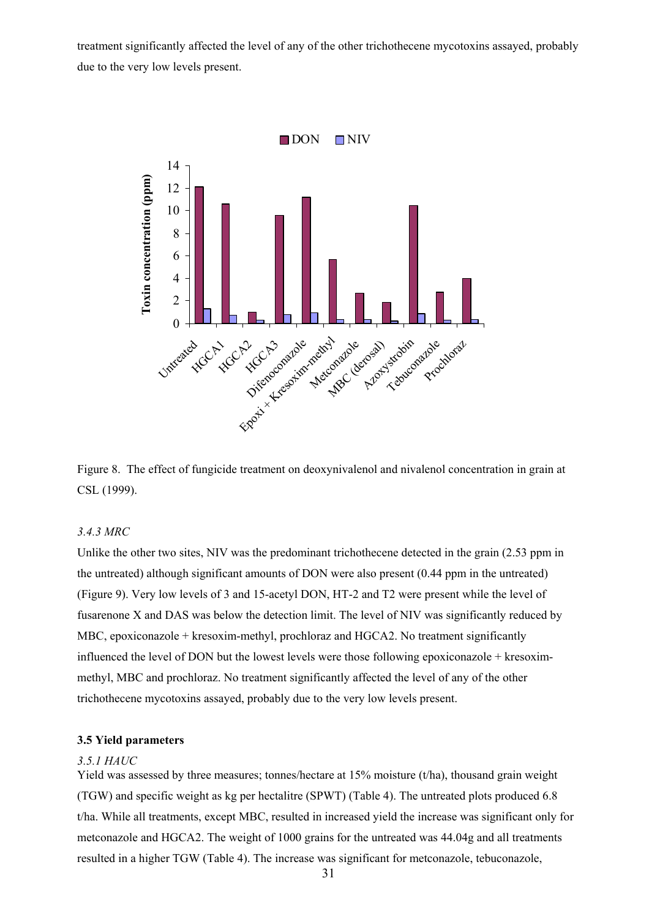treatment significantly affected the level of any of the other trichothecene mycotoxins assayed, probably due to the very low levels present.



Figure 8. The effect of fungicide treatment on deoxynivalenol and nivalenol concentration in grain at CSL (1999).

#### *3.4.3 MRC*

Unlike the other two sites, NIV was the predominant trichothecene detected in the grain (2.53 ppm in the untreated) although significant amounts of DON were also present (0.44 ppm in the untreated) (Figure 9). Very low levels of 3 and 15-acetyl DON, HT-2 and T2 were present while the level of fusarenone X and DAS was below the detection limit. The level of NIV was significantly reduced by MBC, epoxiconazole + kresoxim-methyl, prochloraz and HGCA2. No treatment significantly influenced the level of DON but the lowest levels were those following epoxiconazole + kresoximmethyl, MBC and prochloraz. No treatment significantly affected the level of any of the other trichothecene mycotoxins assayed, probably due to the very low levels present.

#### **3.5 Yield parameters**

#### *3.5.1 HAUC*

Yield was assessed by three measures; tonnes/hectare at 15% moisture (t/ha), thousand grain weight (TGW) and specific weight as kg per hectalitre (SPWT) (Table 4). The untreated plots produced 6.8 t/ha. While all treatments, except MBC, resulted in increased yield the increase was significant only for metconazole and HGCA2. The weight of 1000 grains for the untreated was 44.04g and all treatments resulted in a higher TGW (Table 4). The increase was significant for metconazole, tebuconazole,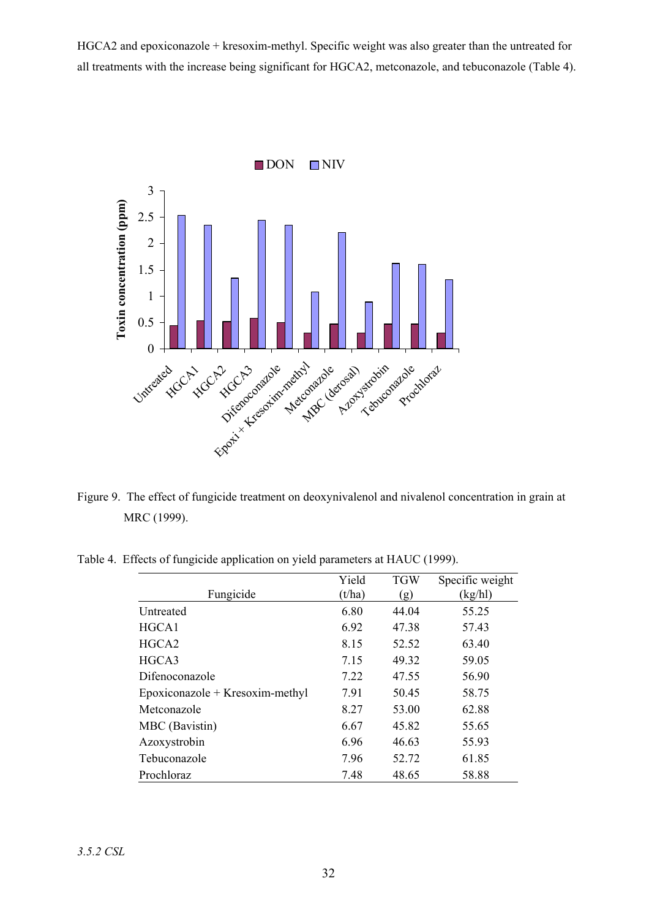HGCA2 and epoxiconazole + kresoxim-methyl. Specific weight was also greater than the untreated for all treatments with the increase being significant for HGCA2, metconazole, and tebuconazole (Table 4).



Figure 9. The effect of fungicide treatment on deoxynivalenol and nivalenol concentration in grain at MRC (1999).

Table 4. Effects of fungicide application on yield parameters at HAUC (1999).

|                                   | Yield  | <b>TGW</b> | Specific weight |
|-----------------------------------|--------|------------|-----------------|
| Fungicide                         | (t/ha) | (g)        | (kg/hl)         |
| Untreated                         | 6.80   | 44.04      | 55.25           |
| HGCA1                             | 6.92   | 47.38      | 57.43           |
| HGCA <sub>2</sub>                 | 8.15   | 52.52      | 63.40           |
| HGCA3                             | 7.15   | 49.32      | 59.05           |
| Difenoconazole                    | 7.22   | 47.55      | 56.90           |
| $Epoxiconazole + Kresoxim-methyl$ | 7.91   | 50.45      | 58.75           |
| Metconazole                       | 8.27   | 53.00      | 62.88           |
| MBC (Bavistin)                    | 6.67   | 45.82      | 55.65           |
| Azoxystrobin                      | 6.96   | 46.63      | 55.93           |
| Tebuconazole                      | 7.96   | 52.72      | 61.85           |
| Prochloraz                        | 7.48   | 48.65      | 58.88           |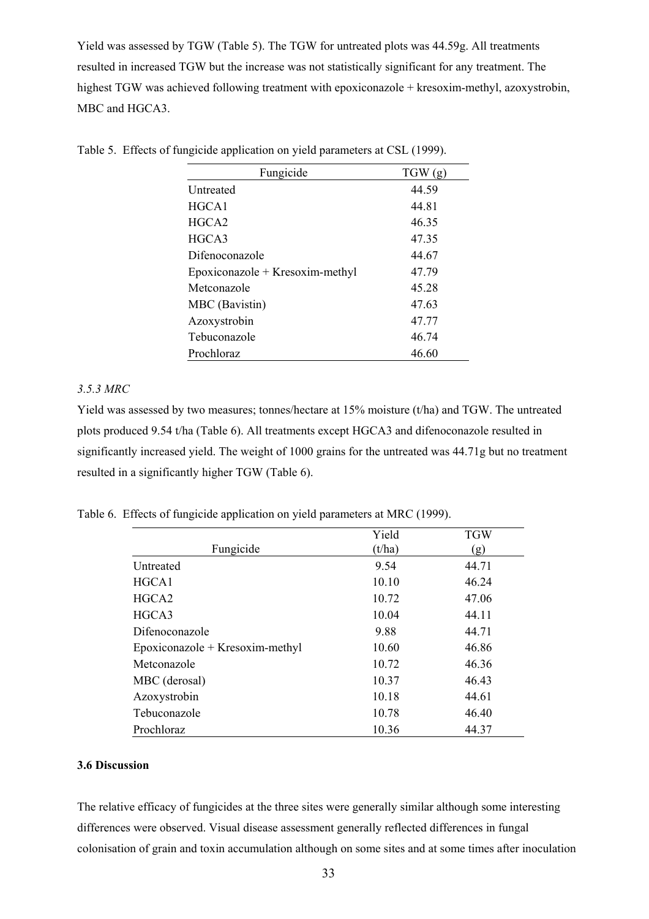Yield was assessed by TGW (Table 5). The TGW for untreated plots was 44.59g. All treatments resulted in increased TGW but the increase was not statistically significant for any treatment. The highest TGW was achieved following treatment with epoxiconazole + kresoxim-methyl, azoxystrobin, MBC and HGCA3.

| Fungicide                       | TGW(g) |
|---------------------------------|--------|
| Untreated                       | 44.59  |
| HGCA1                           | 44.81  |
| HGCA2                           | 46.35  |
| HGCA3                           | 47.35  |
| Difenoconazole                  | 44.67  |
| Epoxiconazole + Kresoxim-methyl | 47.79  |
| Metconazole                     | 45.28  |
| <b>MBC</b> (Bavistin)           | 47.63  |
| Azoxystrobin                    | 47.77  |
| Tebuconazole                    | 46.74  |
| Prochloraz                      | 46.60  |

Table 5. Effects of fungicide application on yield parameters at CSL (1999).

#### *3.5.3 MRC*

Yield was assessed by two measures; tonnes/hectare at 15% moisture (t/ha) and TGW. The untreated plots produced 9.54 t/ha (Table 6). All treatments except HGCA3 and difenoconazole resulted in significantly increased yield. The weight of 1000 grains for the untreated was 44.71g but no treatment resulted in a significantly higher TGW (Table 6).

Table 6. Effects of fungicide application on yield parameters at MRC (1999).

|                                   | Yield  | <b>TGW</b> |
|-----------------------------------|--------|------------|
| Fungicide                         | (t/ha) | (g)        |
| Untreated                         | 9.54   | 44.71      |
| HGCA1                             | 10.10  | 46.24      |
| HGCA <sub>2</sub>                 | 10.72  | 47.06      |
| HGCA3                             | 10.04  | 44.11      |
| Difenoconazole                    | 9.88   | 44.71      |
| $Epoxiconazole + Kresoxim-methyl$ | 10.60  | 46.86      |
| Metconazole                       | 10.72  | 46.36      |
| MBC (derosal)                     | 10.37  | 46.43      |
| Azoxystrobin                      | 10.18  | 44.61      |
| Tebuconazole                      | 10.78  | 46.40      |
| Prochloraz                        | 10.36  | 44.37      |

#### **3.6 Discussion**

The relative efficacy of fungicides at the three sites were generally similar although some interesting differences were observed. Visual disease assessment generally reflected differences in fungal colonisation of grain and toxin accumulation although on some sites and at some times after inoculation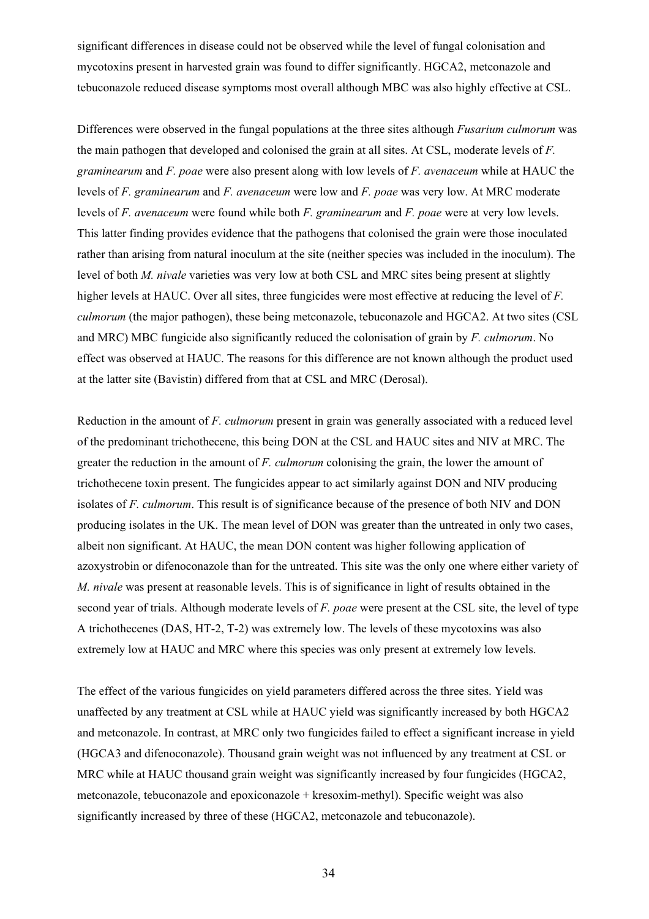significant differences in disease could not be observed while the level of fungal colonisation and mycotoxins present in harvested grain was found to differ significantly. HGCA2, metconazole and tebuconazole reduced disease symptoms most overall although MBC was also highly effective at CSL.

Differences were observed in the fungal populations at the three sites although *Fusarium culmorum* was the main pathogen that developed and colonised the grain at all sites. At CSL, moderate levels of *F. graminearum* and *F. poae* were also present along with low levels of *F. avenaceum* while at HAUC the levels of *F. graminearum* and *F. avenaceum* were low and *F. poae* was very low. At MRC moderate levels of *F. avenaceum* were found while both *F. graminearum* and *F. poae* were at very low levels. This latter finding provides evidence that the pathogens that colonised the grain were those inoculated rather than arising from natural inoculum at the site (neither species was included in the inoculum). The level of both *M. nivale* varieties was very low at both CSL and MRC sites being present at slightly higher levels at HAUC. Over all sites, three fungicides were most effective at reducing the level of *F. culmorum* (the major pathogen), these being metconazole, tebuconazole and HGCA2. At two sites (CSL and MRC) MBC fungicide also significantly reduced the colonisation of grain by *F. culmorum*. No effect was observed at HAUC. The reasons for this difference are not known although the product used at the latter site (Bavistin) differed from that at CSL and MRC (Derosal).

Reduction in the amount of *F. culmorum* present in grain was generally associated with a reduced level of the predominant trichothecene, this being DON at the CSL and HAUC sites and NIV at MRC. The greater the reduction in the amount of *F. culmorum* colonising the grain, the lower the amount of trichothecene toxin present. The fungicides appear to act similarly against DON and NIV producing isolates of *F. culmorum*. This result is of significance because of the presence of both NIV and DON producing isolates in the UK. The mean level of DON was greater than the untreated in only two cases, albeit non significant. At HAUC, the mean DON content was higher following application of azoxystrobin or difenoconazole than for the untreated. This site was the only one where either variety of *M. nivale* was present at reasonable levels. This is of significance in light of results obtained in the second year of trials. Although moderate levels of *F. poae* were present at the CSL site, the level of type A trichothecenes (DAS, HT-2, T-2) was extremely low. The levels of these mycotoxins was also extremely low at HAUC and MRC where this species was only present at extremely low levels.

The effect of the various fungicides on yield parameters differed across the three sites. Yield was unaffected by any treatment at CSL while at HAUC yield was significantly increased by both HGCA2 and metconazole. In contrast, at MRC only two fungicides failed to effect a significant increase in yield (HGCA3 and difenoconazole). Thousand grain weight was not influenced by any treatment at CSL or MRC while at HAUC thousand grain weight was significantly increased by four fungicides (HGCA2, metconazole, tebuconazole and epoxiconazole + kresoxim-methyl). Specific weight was also significantly increased by three of these (HGCA2, metconazole and tebuconazole).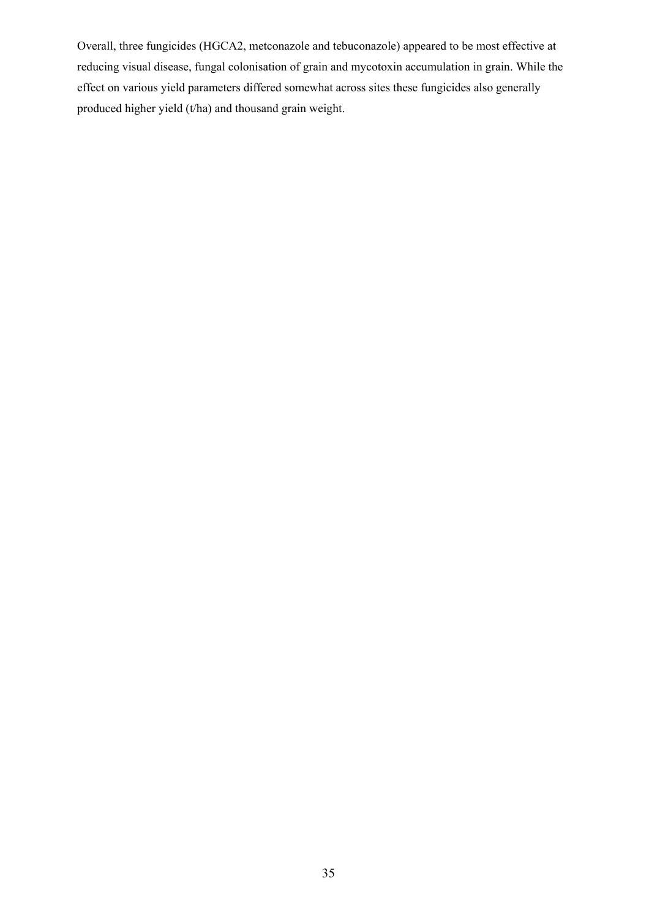Overall, three fungicides (HGCA2, metconazole and tebuconazole) appeared to be most effective at reducing visual disease, fungal colonisation of grain and mycotoxin accumulation in grain. While the effect on various yield parameters differed somewhat across sites these fungicides also generally produced higher yield (t/ha) and thousand grain weight.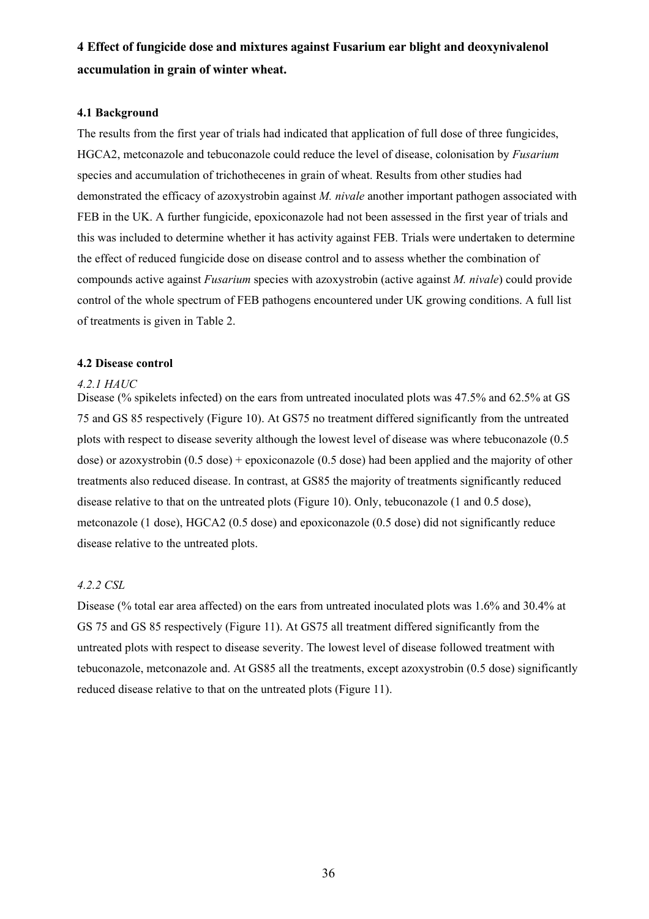# **4 Effect of fungicide dose and mixtures against Fusarium ear blight and deoxynivalenol accumulation in grain of winter wheat.**

# **4.1 Background**

The results from the first year of trials had indicated that application of full dose of three fungicides, HGCA2, metconazole and tebuconazole could reduce the level of disease, colonisation by *Fusarium* species and accumulation of trichothecenes in grain of wheat. Results from other studies had demonstrated the efficacy of azoxystrobin against *M. nivale* another important pathogen associated with FEB in the UK. A further fungicide, epoxiconazole had not been assessed in the first year of trials and this was included to determine whether it has activity against FEB. Trials were undertaken to determine the effect of reduced fungicide dose on disease control and to assess whether the combination of compounds active against *Fusarium* species with azoxystrobin (active against *M. nivale*) could provide control of the whole spectrum of FEB pathogens encountered under UK growing conditions. A full list of treatments is given in Table 2.

# **4.2 Disease control**

# *4.2.1 HAUC*

Disease (% spikelets infected) on the ears from untreated inoculated plots was 47.5% and 62.5% at GS 75 and GS 85 respectively (Figure 10). At GS75 no treatment differed significantly from the untreated plots with respect to disease severity although the lowest level of disease was where tebuconazole (0.5 dose) or azoxystrobin (0.5 dose) + epoxiconazole (0.5 dose) had been applied and the majority of other treatments also reduced disease. In contrast, at GS85 the majority of treatments significantly reduced disease relative to that on the untreated plots (Figure 10). Only, tebuconazole (1 and 0.5 dose), metconazole (1 dose), HGCA2 (0.5 dose) and epoxiconazole (0.5 dose) did not significantly reduce disease relative to the untreated plots.

# *4.2.2 CSL*

Disease (% total ear area affected) on the ears from untreated inoculated plots was 1.6% and 30.4% at GS 75 and GS 85 respectively (Figure 11). At GS75 all treatment differed significantly from the untreated plots with respect to disease severity. The lowest level of disease followed treatment with tebuconazole, metconazole and. At GS85 all the treatments, except azoxystrobin (0.5 dose) significantly reduced disease relative to that on the untreated plots (Figure 11).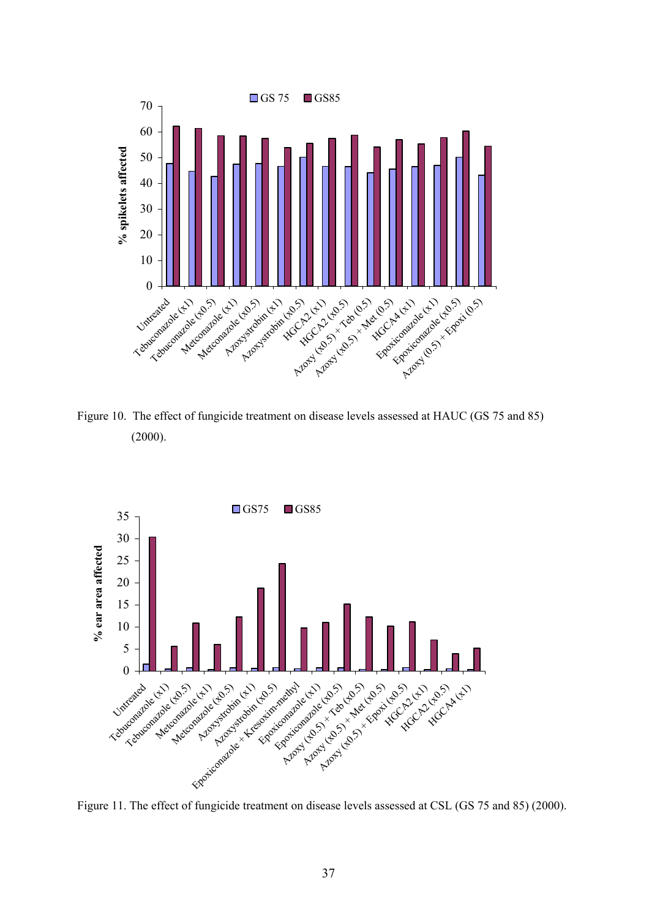

Figure 10. The effect of fungicide treatment on disease levels assessed at HAUC (GS 75 and 85) (2000).



Figure 11. The effect of fungicide treatment on disease levels assessed at CSL (GS 75 and 85) (2000).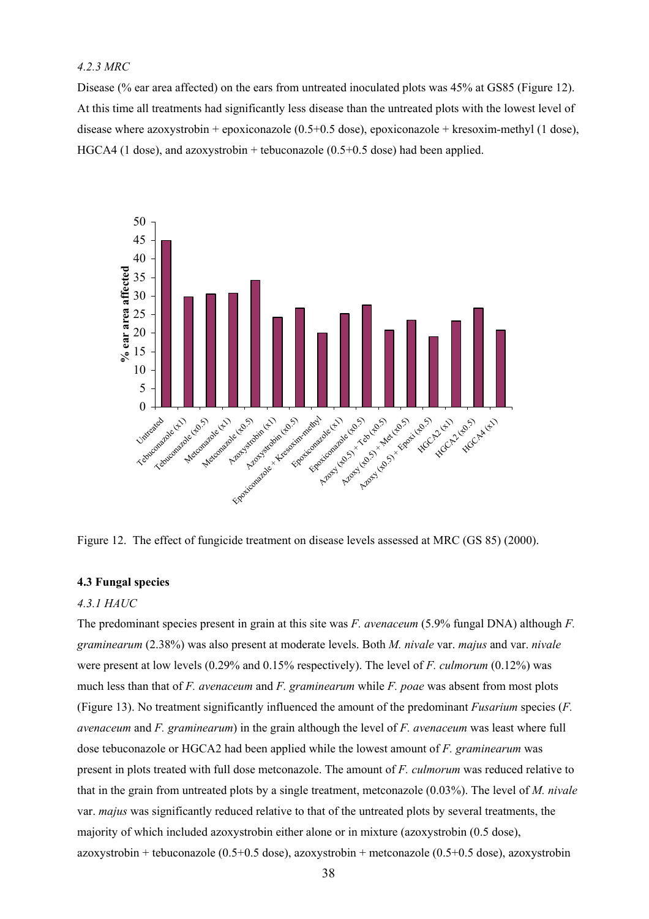# *4.2.3 MRC*

Disease (% ear area affected) on the ears from untreated inoculated plots was 45% at GS85 (Figure 12). At this time all treatments had significantly less disease than the untreated plots with the lowest level of disease where azoxystrobin + epoxiconazole (0.5+0.5 dose), epoxiconazole + kresoxim-methyl (1 dose), HGCA4 (1 dose), and azoxystrobin + tebuconazole (0.5+0.5 dose) had been applied.



Figure 12. The effect of fungicide treatment on disease levels assessed at MRC (GS 85) (2000).

#### **4.3 Fungal species**

#### *4.3.1 HAUC*

The predominant species present in grain at this site was *F. avenaceum* (5.9% fungal DNA) although *F. graminearum* (2.38%) was also present at moderate levels. Both *M. nivale* var. *majus* and var. *nivale* were present at low levels (0.29% and 0.15% respectively). The level of *F. culmorum* (0.12%) was much less than that of *F. avenaceum* and *F. graminearum* while *F. poae* was absent from most plots (Figure 13). No treatment significantly influenced the amount of the predominant *Fusarium* species (*F. avenaceum* and *F. graminearum*) in the grain although the level of *F. avenaceum* was least where full dose tebuconazole or HGCA2 had been applied while the lowest amount of *F. graminearum* was present in plots treated with full dose metconazole. The amount of *F. culmorum* was reduced relative to that in the grain from untreated plots by a single treatment, metconazole (0.03%). The level of *M. nivale* var. *majus* was significantly reduced relative to that of the untreated plots by several treatments, the majority of which included azoxystrobin either alone or in mixture (azoxystrobin (0.5 dose), azoxystrobin + tebuconazole (0.5+0.5 dose), azoxystrobin + metconazole (0.5+0.5 dose), azoxystrobin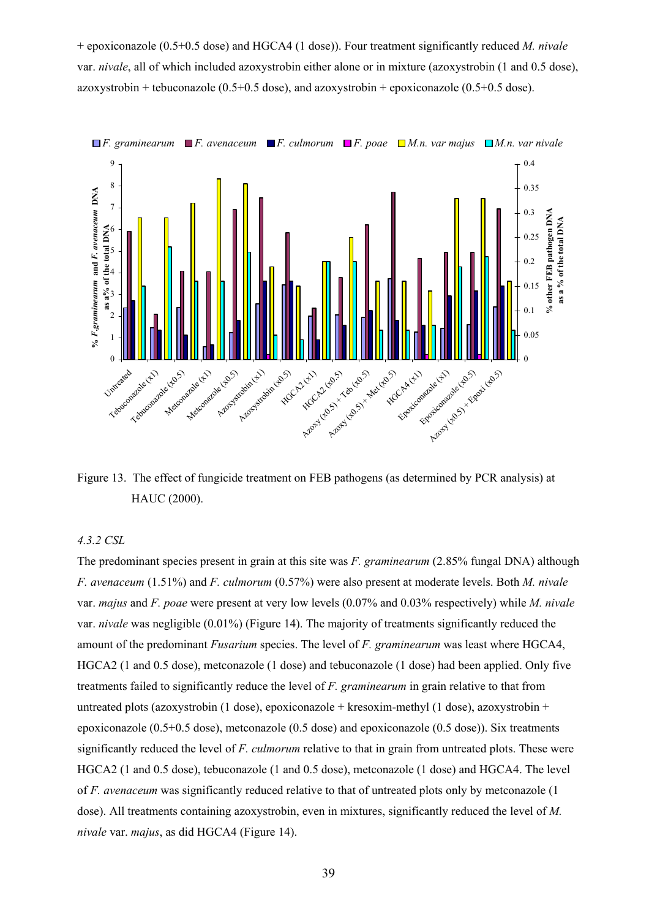+ epoxiconazole (0.5+0.5 dose) and HGCA4 (1 dose)). Four treatment significantly reduced *M. nivale* var. *nivale*, all of which included azoxystrobin either alone or in mixture (azoxystrobin (1 and 0.5 dose), azoxystrobin + tebuconazole (0.5+0.5 dose), and azoxystrobin + epoxiconazole (0.5+0.5 dose).



Figure 13. The effect of fungicide treatment on FEB pathogens (as determined by PCR analysis) at HAUC (2000).

#### *4.3.2 CSL*

The predominant species present in grain at this site was *F. graminearum* (2.85% fungal DNA) although *F. avenaceum* (1.51%) and *F. culmorum* (0.57%) were also present at moderate levels. Both *M. nivale* var. *majus* and *F. poae* were present at very low levels (0.07% and 0.03% respectively) while *M. nivale* var. *nivale* was negligible (0.01%) (Figure 14). The majority of treatments significantly reduced the amount of the predominant *Fusarium* species. The level of *F. graminearum* was least where HGCA4, HGCA2 (1 and 0.5 dose), metconazole (1 dose) and tebuconazole (1 dose) had been applied. Only five treatments failed to significantly reduce the level of *F. graminearum* in grain relative to that from untreated plots (azoxystrobin (1 dose), epoxiconazole + kresoxim-methyl (1 dose), azoxystrobin + epoxiconazole (0.5+0.5 dose), metconazole (0.5 dose) and epoxiconazole (0.5 dose)). Six treatments significantly reduced the level of *F. culmorum* relative to that in grain from untreated plots. These were HGCA2 (1 and 0.5 dose), tebuconazole (1 and 0.5 dose), metconazole (1 dose) and HGCA4. The level of *F. avenaceum* was significantly reduced relative to that of untreated plots only by metconazole (1 dose). All treatments containing azoxystrobin, even in mixtures, significantly reduced the level of *M. nivale* var. *majus*, as did HGCA4 (Figure 14).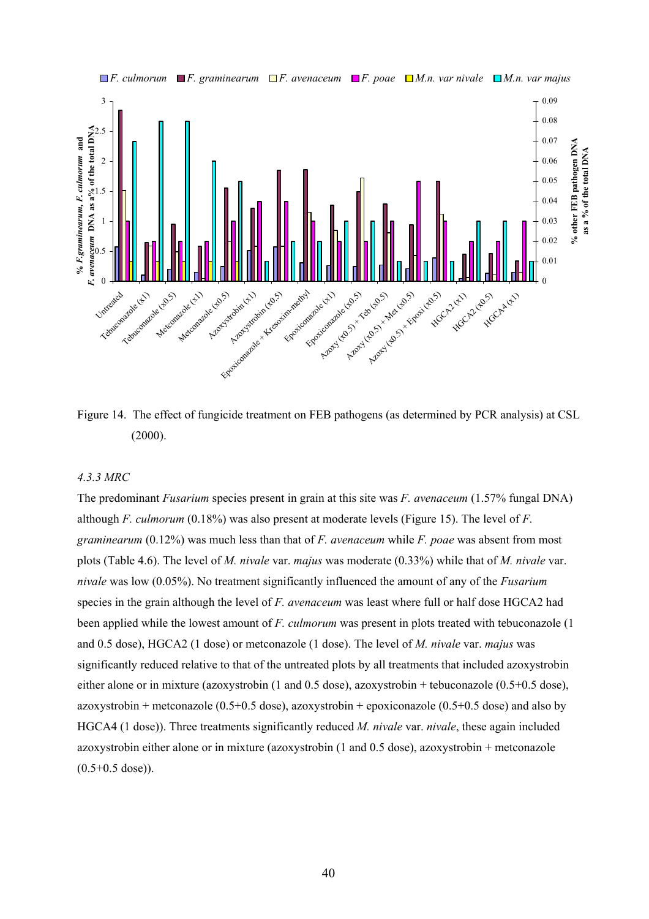

Figure 14. The effect of fungicide treatment on FEB pathogens (as determined by PCR analysis) at CSL (2000).

#### *4.3.3 MRC*

The predominant *Fusarium* species present in grain at this site was *F. avenaceum* (1.57% fungal DNA) although *F. culmorum* (0.18%) was also present at moderate levels (Figure 15). The level of *F. graminearum* (0.12%) was much less than that of *F. avenaceum* while *F. poae* was absent from most plots (Table 4.6). The level of *M. nivale* var. *majus* was moderate (0.33%) while that of *M. nivale* var. *nivale* was low (0.05%). No treatment significantly influenced the amount of any of the *Fusarium* species in the grain although the level of *F. avenaceum* was least where full or half dose HGCA2 had been applied while the lowest amount of *F. culmorum* was present in plots treated with tebuconazole (1 and 0.5 dose), HGCA2 (1 dose) or metconazole (1 dose). The level of *M. nivale* var. *majus* was significantly reduced relative to that of the untreated plots by all treatments that included azoxystrobin either alone or in mixture (azoxystrobin (1 and 0.5 dose), azoxystrobin + tebuconazole (0.5+0.5 dose), azoxystrobin + metconazole (0.5+0.5 dose), azoxystrobin + epoxiconazole (0.5+0.5 dose) and also by HGCA4 (1 dose)). Three treatments significantly reduced *M. nivale* var. *nivale*, these again included azoxystrobin either alone or in mixture (azoxystrobin (1 and 0.5 dose), azoxystrobin + metconazole  $(0.5+0.5$  dose)).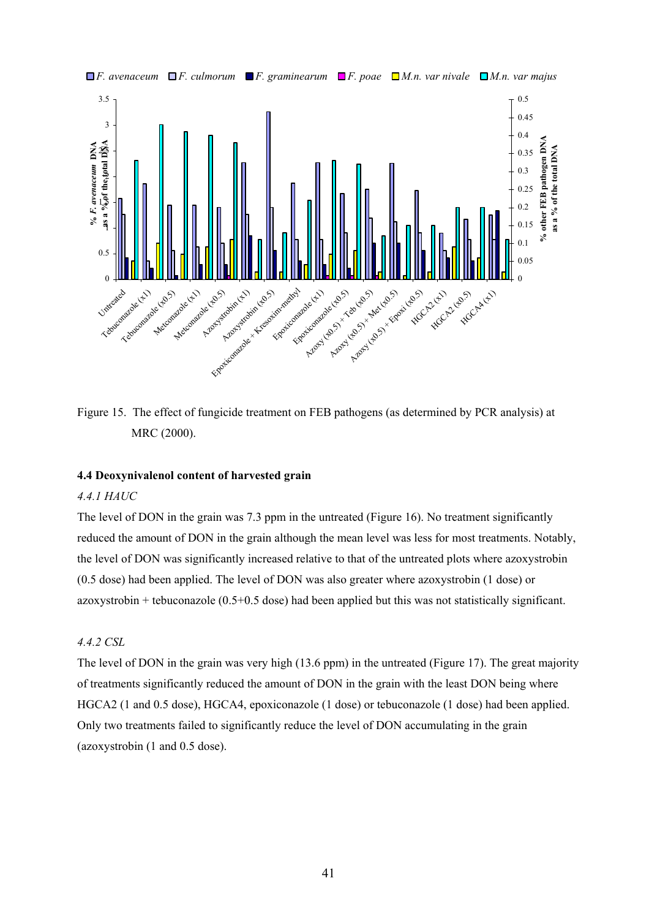

# Figure 15. The effect of fungicide treatment on FEB pathogens (as determined by PCR analysis) at MRC (2000).

## **4.4 Deoxynivalenol content of harvested grain**

## *4.4.1 HAUC*

The level of DON in the grain was 7.3 ppm in the untreated (Figure 16). No treatment significantly reduced the amount of DON in the grain although the mean level was less for most treatments. Notably, the level of DON was significantly increased relative to that of the untreated plots where azoxystrobin (0.5 dose) had been applied. The level of DON was also greater where azoxystrobin (1 dose) or azoxystrobin + tebuconazole  $(0.5+0.5$  dose) had been applied but this was not statistically significant.

# *4.4.2 CSL*

The level of DON in the grain was very high (13.6 ppm) in the untreated (Figure 17). The great majority of treatments significantly reduced the amount of DON in the grain with the least DON being where HGCA2 (1 and 0.5 dose), HGCA4, epoxiconazole (1 dose) or tebuconazole (1 dose) had been applied. Only two treatments failed to significantly reduce the level of DON accumulating in the grain (azoxystrobin (1 and 0.5 dose).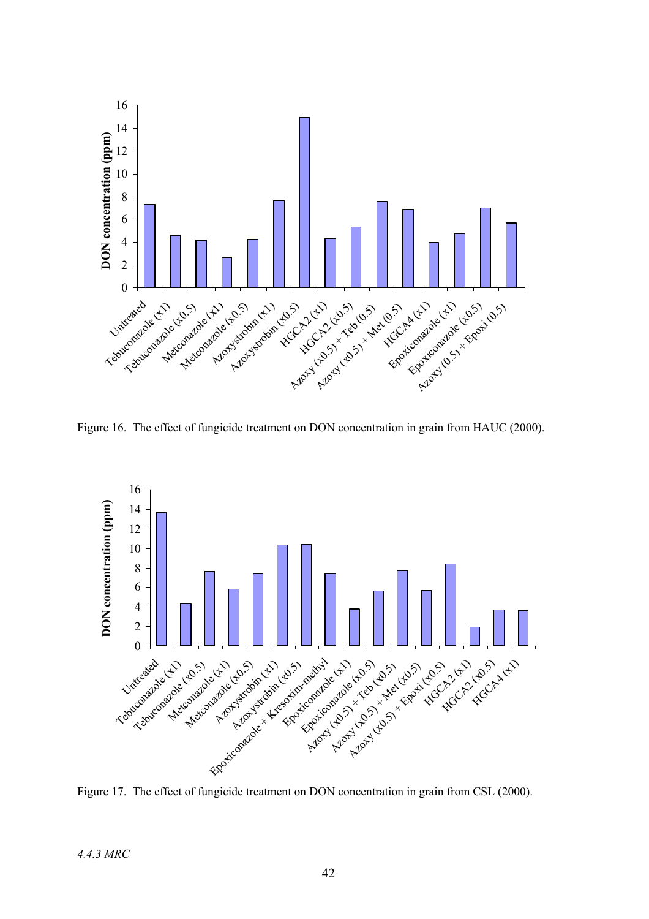

Figure 16. The effect of fungicide treatment on DON concentration in grain from HAUC (2000).



Figure 17. The effect of fungicide treatment on DON concentration in grain from CSL (2000).

*4.4.3 MRC*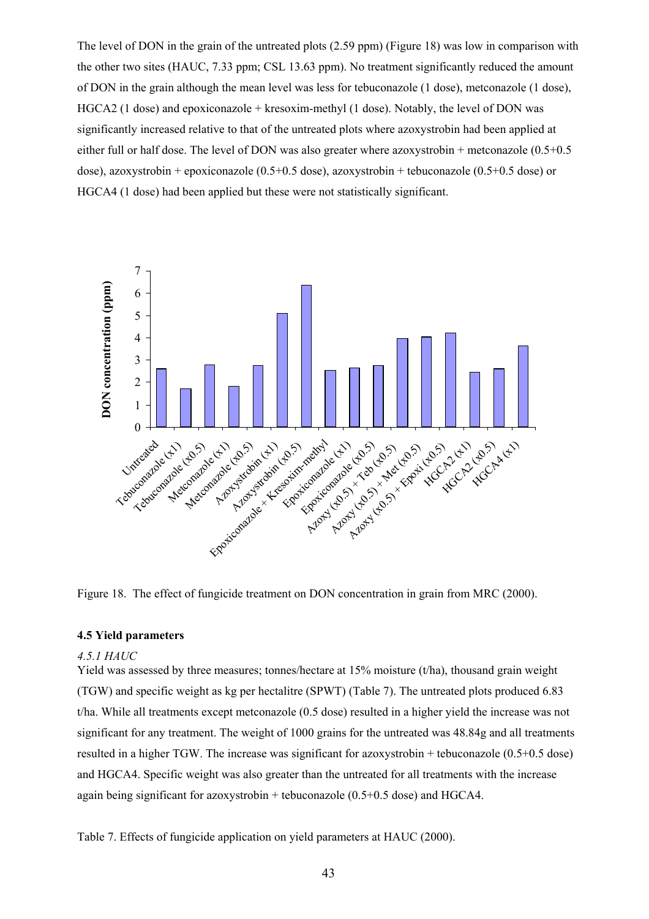The level of DON in the grain of the untreated plots (2.59 ppm) (Figure 18) was low in comparison with the other two sites (HAUC, 7.33 ppm; CSL 13.63 ppm). No treatment significantly reduced the amount of DON in the grain although the mean level was less for tebuconazole (1 dose), metconazole (1 dose), HGCA2 (1 dose) and epoxiconazole + kresoxim-methyl (1 dose). Notably, the level of DON was significantly increased relative to that of the untreated plots where azoxystrobin had been applied at either full or half dose. The level of DON was also greater where azoxystrobin + metconazole (0.5+0.5 dose), azoxystrobin + epoxiconazole (0.5+0.5 dose), azoxystrobin + tebuconazole (0.5+0.5 dose) or HGCA4 (1 dose) had been applied but these were not statistically significant.



Figure 18. The effect of fungicide treatment on DON concentration in grain from MRC (2000).

#### **4.5 Yield parameters**

#### *4.5.1 HAUC*

Yield was assessed by three measures; tonnes/hectare at 15% moisture (t/ha), thousand grain weight (TGW) and specific weight as kg per hectalitre (SPWT) (Table 7). The untreated plots produced 6.83 t/ha. While all treatments except metconazole (0.5 dose) resulted in a higher yield the increase was not significant for any treatment. The weight of 1000 grains for the untreated was 48.84g and all treatments resulted in a higher TGW. The increase was significant for azoxystrobin + tebuconazole (0.5+0.5 dose) and HGCA4. Specific weight was also greater than the untreated for all treatments with the increase again being significant for azoxystrobin + tebuconazole  $(0.5+0.5$  dose) and HGCA4.

Table 7. Effects of fungicide application on yield parameters at HAUC (2000).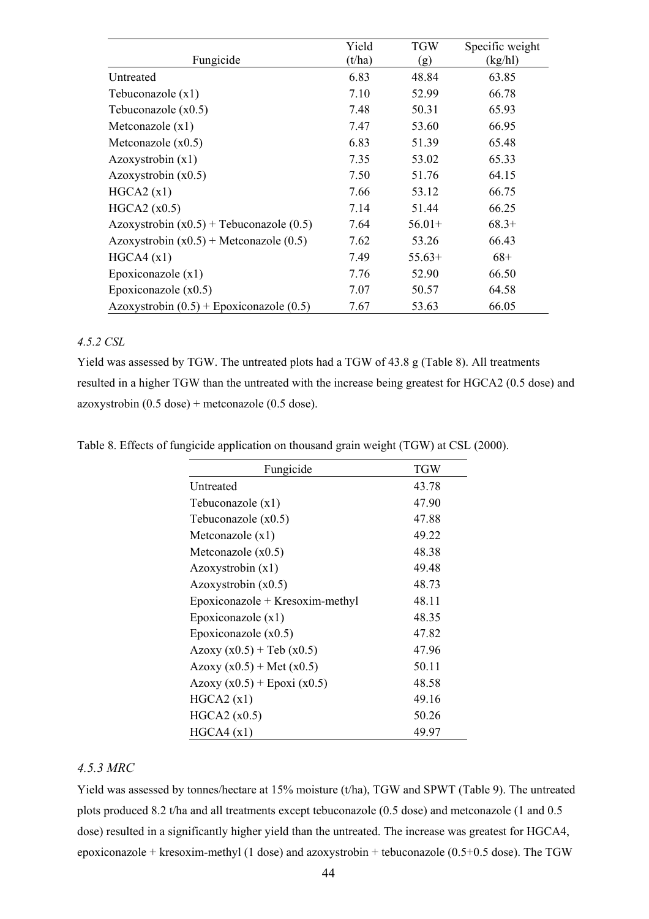|                                              | Yield  | TGW      | Specific weight |
|----------------------------------------------|--------|----------|-----------------|
| Fungicide                                    | (t/ha) | (g)      | (kg/hl)         |
| Untreated                                    | 6.83   | 48.84    | 63.85           |
| Tebuconazole $(x1)$                          | 7.10   | 52.99    | 66.78           |
| Tebuconazole $(x0.5)$                        | 7.48   | 50.31    | 65.93           |
| Metconazole $(x1)$                           | 7.47   | 53.60    | 66.95           |
| Metconazole $(x0.5)$                         | 6.83   | 51.39    | 65.48           |
| Azoxystrobin $(x1)$                          | 7.35   | 53.02    | 65.33           |
| Azoxystrobin $(x0.5)$                        | 7.50   | 51.76    | 64.15           |
| HGCA2(x1)                                    | 7.66   | 53.12    | 66.75           |
| HGCA2 $(x0.5)$                               | 7.14   | 51.44    | 66.25           |
| Azoxystrobin $(x0.5)$ + Tebuconazole (0.5)   | 7.64   | $56.01+$ | $68.3+$         |
| Azoxystrobin $(x0.5)$ + Metconazole (0.5)    | 7.62   | 53.26    | 66.43           |
| HGCA4(x1)                                    | 7.49   | $55.63+$ | $68+$           |
| Epoxiconazole $(x1)$                         | 7.76   | 52.90    | 66.50           |
| Epoxiconazole $(x0.5)$                       | 7.07   | 50.57    | 64.58           |
| Azoxystrobin $(0.5)$ + Epoxiconazole $(0.5)$ | 7.67   | 53.63    | 66.05           |

# *4.5.2 CSL*

Yield was assessed by TGW. The untreated plots had a TGW of 43.8 g (Table 8). All treatments resulted in a higher TGW than the untreated with the increase being greatest for HGCA2 (0.5 dose) and azoxystrobin (0.5 dose) + metconazole (0.5 dose).

Table 8. Effects of fungicide application on thousand grain weight (TGW) at CSL (2000).

| Fungicide                         | TGW   |
|-----------------------------------|-------|
| Untreated                         | 43.78 |
| Tebuconazole $(x1)$               | 47.90 |
| Tebuconazole $(x0.5)$             | 47.88 |
| Metconazole $(x1)$                | 49.22 |
| Metconazole $(x0.5)$              | 48.38 |
| Azoxystrobin(x1)                  | 49.48 |
| Azoxystrobin $(x0.5)$             | 48.73 |
| $Epoxiconazole + Kresoxim-methyl$ | 48.11 |
| Epoxiconazole $(x1)$              | 48.35 |
| Epoxiconazole $(x0.5)$            | 47.82 |
| Azoxy $(x0.5)$ + Teb $(x0.5)$     | 47.96 |
| Azoxy $(x0.5)$ + Met $(x0.5)$     | 50.11 |
| Azoxy $(x0.5)$ + Epoxi $(x0.5)$   | 48.58 |
| HGCA2(x1)                         | 49.16 |
| HGCA2(x0.5)                       | 50.26 |
| HGCA4(x1)                         | 49.97 |

# *4.5.3 MRC*

Yield was assessed by tonnes/hectare at 15% moisture (t/ha), TGW and SPWT (Table 9). The untreated plots produced 8.2 t/ha and all treatments except tebuconazole (0.5 dose) and metconazole (1 and 0.5 dose) resulted in a significantly higher yield than the untreated. The increase was greatest for HGCA4, epoxiconazole + kresoxim-methyl (1 dose) and azoxystrobin + tebuconazole (0.5+0.5 dose). The TGW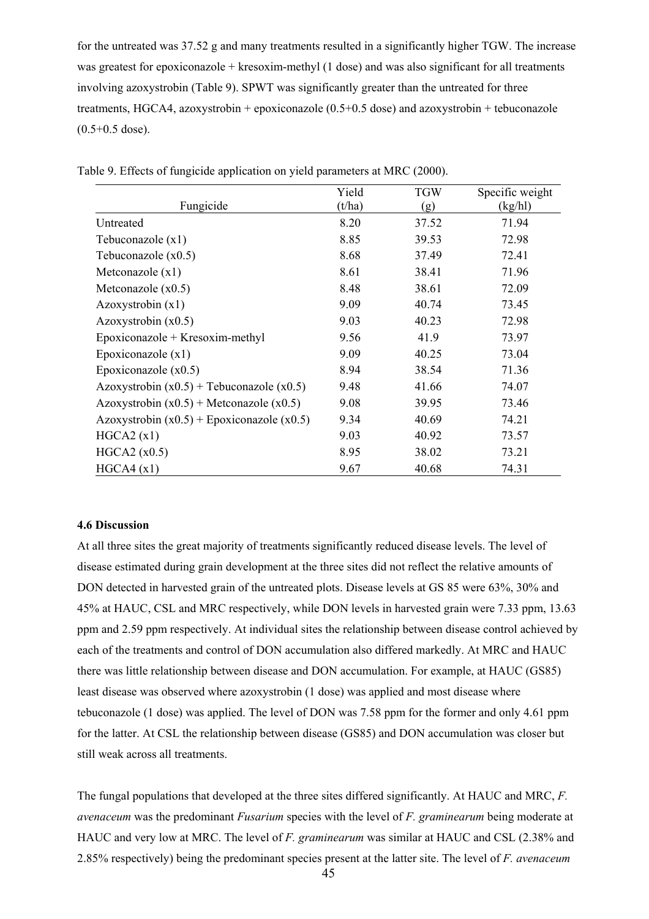for the untreated was 37.52 g and many treatments resulted in a significantly higher TGW. The increase was greatest for epoxiconazole + kresoxim-methyl (1 dose) and was also significant for all treatments involving azoxystrobin (Table 9). SPWT was significantly greater than the untreated for three treatments, HGCA4, azoxystrobin + epoxiconazole  $(0.5+0.5$  dose) and azoxystrobin + tebuconazole  $(0.5+0.5$  dose).

|                                                | Yield  | <b>TGW</b> | Specific weight |
|------------------------------------------------|--------|------------|-----------------|
| Fungicide                                      | (t/ha) | (g)        | (kg/hl)         |
| Untreated                                      | 8.20   | 37.52      | 71.94           |
| Tebuconazole $(x1)$                            | 8.85   | 39.53      | 72.98           |
| Tebuconazole $(x0.5)$                          | 8.68   | 37.49      | 72.41           |
| Metconazole $(x1)$                             | 8.61   | 38.41      | 71.96           |
| Metconazole $(x0.5)$                           | 8.48   | 38.61      | 72.09           |
| Azoxystrobin $(x1)$                            | 9.09   | 40.74      | 73.45           |
| Azoxystrobin $(x0.5)$                          | 9.03   | 40.23      | 72.98           |
| $Epoxiconazole + Kresoxim-methyl$              | 9.56   | 41.9       | 73.97           |
| Epoxiconazole $(x1)$                           | 9.09   | 40.25      | 73.04           |
| Epoxiconazole $(x0.5)$                         | 8.94   | 38.54      | 71.36           |
| Azoxystrobin $(x0.5)$ + Tebuconazole $(x0.5)$  | 9.48   | 41.66      | 74.07           |
| Azoxystrobin $(x0.5)$ + Metconazole $(x0.5)$   | 9.08   | 39.95      | 73.46           |
| Azoxystrobin $(x0.5)$ + Epoxiconazole $(x0.5)$ | 9.34   | 40.69      | 74.21           |
| HGCA2(x1)                                      | 9.03   | 40.92      | 73.57           |
| HGCA2 $(x0.5)$                                 | 8.95   | 38.02      | 73.21           |
| HGCA4(x1)                                      | 9.67   | 40.68      | 74.31           |

Table 9. Effects of fungicide application on yield parameters at MRC (2000).

### **4.6 Discussion**

At all three sites the great majority of treatments significantly reduced disease levels. The level of disease estimated during grain development at the three sites did not reflect the relative amounts of DON detected in harvested grain of the untreated plots. Disease levels at GS 85 were 63%, 30% and 45% at HAUC, CSL and MRC respectively, while DON levels in harvested grain were 7.33 ppm, 13.63 ppm and 2.59 ppm respectively. At individual sites the relationship between disease control achieved by each of the treatments and control of DON accumulation also differed markedly. At MRC and HAUC there was little relationship between disease and DON accumulation. For example, at HAUC (GS85) least disease was observed where azoxystrobin (1 dose) was applied and most disease where tebuconazole (1 dose) was applied. The level of DON was 7.58 ppm for the former and only 4.61 ppm for the latter. At CSL the relationship between disease (GS85) and DON accumulation was closer but still weak across all treatments.

The fungal populations that developed at the three sites differed significantly. At HAUC and MRC, *F. avenaceum* was the predominant *Fusarium* species with the level of *F. graminearum* being moderate at HAUC and very low at MRC. The level of *F. graminearum* was similar at HAUC and CSL (2.38% and 2.85% respectively) being the predominant species present at the latter site. The level of *F. avenaceum*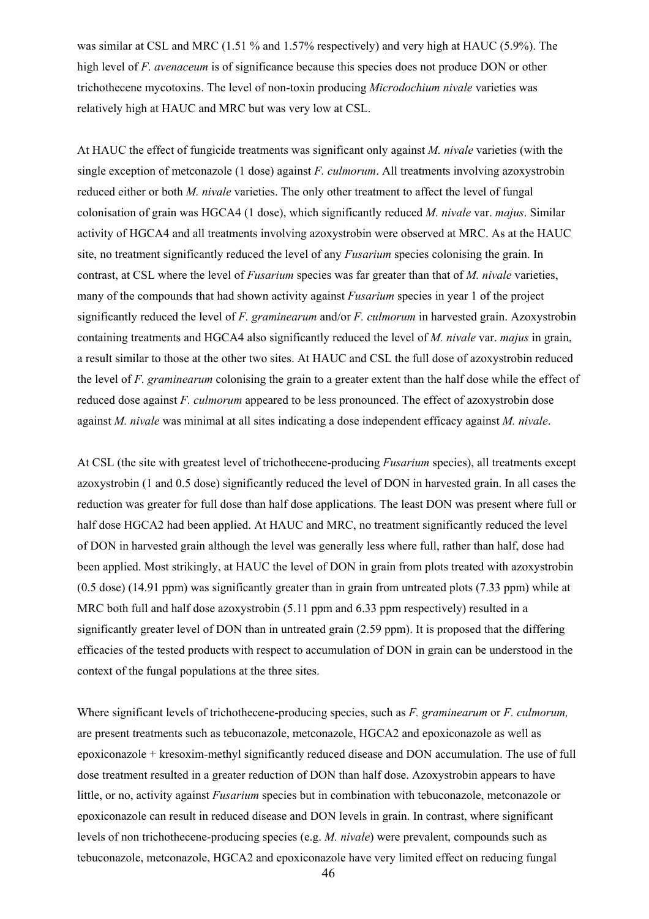was similar at CSL and MRC (1.51 % and 1.57% respectively) and very high at HAUC (5.9%). The high level of *F. avenaceum* is of significance because this species does not produce DON or other trichothecene mycotoxins. The level of non-toxin producing *Microdochium nivale* varieties was relatively high at HAUC and MRC but was very low at CSL.

At HAUC the effect of fungicide treatments was significant only against *M. nivale* varieties (with the single exception of metconazole (1 dose) against *F. culmorum*. All treatments involving azoxystrobin reduced either or both *M. nivale* varieties. The only other treatment to affect the level of fungal colonisation of grain was HGCA4 (1 dose), which significantly reduced *M. nivale* var. *majus*. Similar activity of HGCA4 and all treatments involving azoxystrobin were observed at MRC. As at the HAUC site, no treatment significantly reduced the level of any *Fusarium* species colonising the grain. In contrast, at CSL where the level of *Fusarium* species was far greater than that of *M. nivale* varieties, many of the compounds that had shown activity against *Fusarium* species in year 1 of the project significantly reduced the level of *F. graminearum* and/or *F. culmorum* in harvested grain. Azoxystrobin containing treatments and HGCA4 also significantly reduced the level of *M. nivale* var. *majus* in grain, a result similar to those at the other two sites. At HAUC and CSL the full dose of azoxystrobin reduced the level of *F. graminearum* colonising the grain to a greater extent than the half dose while the effect of reduced dose against *F. culmorum* appeared to be less pronounced. The effect of azoxystrobin dose against *M. nivale* was minimal at all sites indicating a dose independent efficacy against *M. nivale*.

At CSL (the site with greatest level of trichothecene-producing *Fusarium* species), all treatments except azoxystrobin (1 and 0.5 dose) significantly reduced the level of DON in harvested grain. In all cases the reduction was greater for full dose than half dose applications. The least DON was present where full or half dose HGCA2 had been applied. At HAUC and MRC, no treatment significantly reduced the level of DON in harvested grain although the level was generally less where full, rather than half, dose had been applied. Most strikingly, at HAUC the level of DON in grain from plots treated with azoxystrobin (0.5 dose) (14.91 ppm) was significantly greater than in grain from untreated plots (7.33 ppm) while at MRC both full and half dose azoxystrobin (5.11 ppm and 6.33 ppm respectively) resulted in a significantly greater level of DON than in untreated grain (2.59 ppm). It is proposed that the differing efficacies of the tested products with respect to accumulation of DON in grain can be understood in the context of the fungal populations at the three sites.

Where significant levels of trichothecene-producing species, such as *F. graminearum* or *F. culmorum,* are present treatments such as tebuconazole, metconazole, HGCA2 and epoxiconazole as well as epoxiconazole + kresoxim-methyl significantly reduced disease and DON accumulation. The use of full dose treatment resulted in a greater reduction of DON than half dose. Azoxystrobin appears to have little, or no, activity against *Fusarium* species but in combination with tebuconazole, metconazole or epoxiconazole can result in reduced disease and DON levels in grain. In contrast, where significant levels of non trichothecene-producing species (e.g. *M. nivale*) were prevalent, compounds such as tebuconazole, metconazole, HGCA2 and epoxiconazole have very limited effect on reducing fungal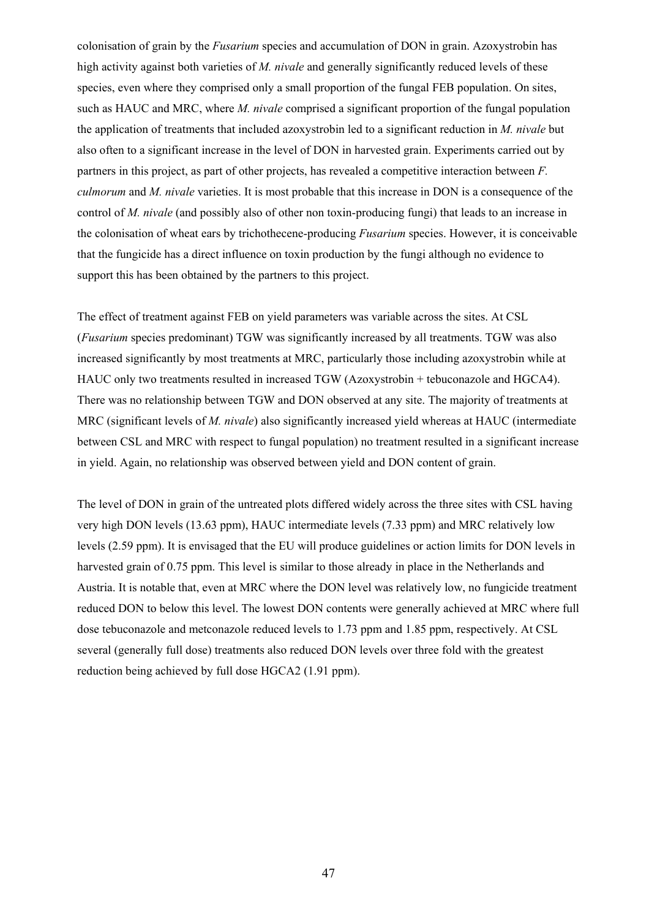colonisation of grain by the *Fusarium* species and accumulation of DON in grain. Azoxystrobin has high activity against both varieties of *M. nivale* and generally significantly reduced levels of these species, even where they comprised only a small proportion of the fungal FEB population. On sites, such as HAUC and MRC, where *M. nivale* comprised a significant proportion of the fungal population the application of treatments that included azoxystrobin led to a significant reduction in *M. nivale* but also often to a significant increase in the level of DON in harvested grain. Experiments carried out by partners in this project, as part of other projects, has revealed a competitive interaction between *F. culmorum* and *M. nivale* varieties. It is most probable that this increase in DON is a consequence of the control of *M. nivale* (and possibly also of other non toxin-producing fungi) that leads to an increase in the colonisation of wheat ears by trichothecene-producing *Fusarium* species. However, it is conceivable that the fungicide has a direct influence on toxin production by the fungi although no evidence to support this has been obtained by the partners to this project.

The effect of treatment against FEB on yield parameters was variable across the sites. At CSL (*Fusarium* species predominant) TGW was significantly increased by all treatments. TGW was also increased significantly by most treatments at MRC, particularly those including azoxystrobin while at HAUC only two treatments resulted in increased TGW (Azoxystrobin + tebuconazole and HGCA4). There was no relationship between TGW and DON observed at any site. The majority of treatments at MRC (significant levels of *M. nivale*) also significantly increased yield whereas at HAUC (intermediate between CSL and MRC with respect to fungal population) no treatment resulted in a significant increase in yield. Again, no relationship was observed between yield and DON content of grain.

The level of DON in grain of the untreated plots differed widely across the three sites with CSL having very high DON levels (13.63 ppm), HAUC intermediate levels (7.33 ppm) and MRC relatively low levels (2.59 ppm). It is envisaged that the EU will produce guidelines or action limits for DON levels in harvested grain of 0.75 ppm. This level is similar to those already in place in the Netherlands and Austria. It is notable that, even at MRC where the DON level was relatively low, no fungicide treatment reduced DON to below this level. The lowest DON contents were generally achieved at MRC where full dose tebuconazole and metconazole reduced levels to 1.73 ppm and 1.85 ppm, respectively. At CSL several (generally full dose) treatments also reduced DON levels over three fold with the greatest reduction being achieved by full dose HGCA2 (1.91 ppm).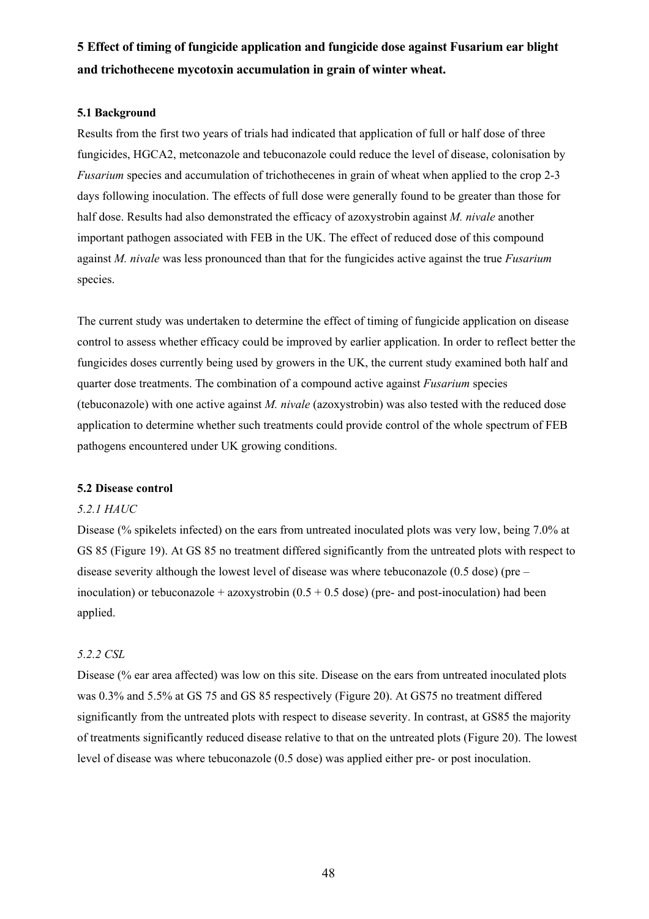# **5 Effect of timing of fungicide application and fungicide dose against Fusarium ear blight and trichothecene mycotoxin accumulation in grain of winter wheat.**

# **5.1 Background**

Results from the first two years of trials had indicated that application of full or half dose of three fungicides, HGCA2, metconazole and tebuconazole could reduce the level of disease, colonisation by *Fusarium* species and accumulation of trichothecenes in grain of wheat when applied to the crop 2-3 days following inoculation. The effects of full dose were generally found to be greater than those for half dose. Results had also demonstrated the efficacy of azoxystrobin against *M. nivale* another important pathogen associated with FEB in the UK. The effect of reduced dose of this compound against *M. nivale* was less pronounced than that for the fungicides active against the true *Fusarium* species.

The current study was undertaken to determine the effect of timing of fungicide application on disease control to assess whether efficacy could be improved by earlier application. In order to reflect better the fungicides doses currently being used by growers in the UK, the current study examined both half and quarter dose treatments. The combination of a compound active against *Fusarium* species (tebuconazole) with one active against *M. nivale* (azoxystrobin) was also tested with the reduced dose application to determine whether such treatments could provide control of the whole spectrum of FEB pathogens encountered under UK growing conditions.

## **5.2 Disease control**

## *5.2.1 HAUC*

Disease (% spikelets infected) on the ears from untreated inoculated plots was very low, being 7.0% at GS 85 (Figure 19). At GS 85 no treatment differed significantly from the untreated plots with respect to disease severity although the lowest level of disease was where tebuconazole  $(0.5$  dose) (pre – inoculation) or tebuconazole + azoxystrobin  $(0.5 + 0.5$  dose) (pre- and post-inoculation) had been applied.

# *5.2.2 CSL*

Disease (% ear area affected) was low on this site. Disease on the ears from untreated inoculated plots was 0.3% and 5.5% at GS 75 and GS 85 respectively (Figure 20). At GS75 no treatment differed significantly from the untreated plots with respect to disease severity. In contrast, at GS85 the majority of treatments significantly reduced disease relative to that on the untreated plots (Figure 20). The lowest level of disease was where tebuconazole (0.5 dose) was applied either pre- or post inoculation.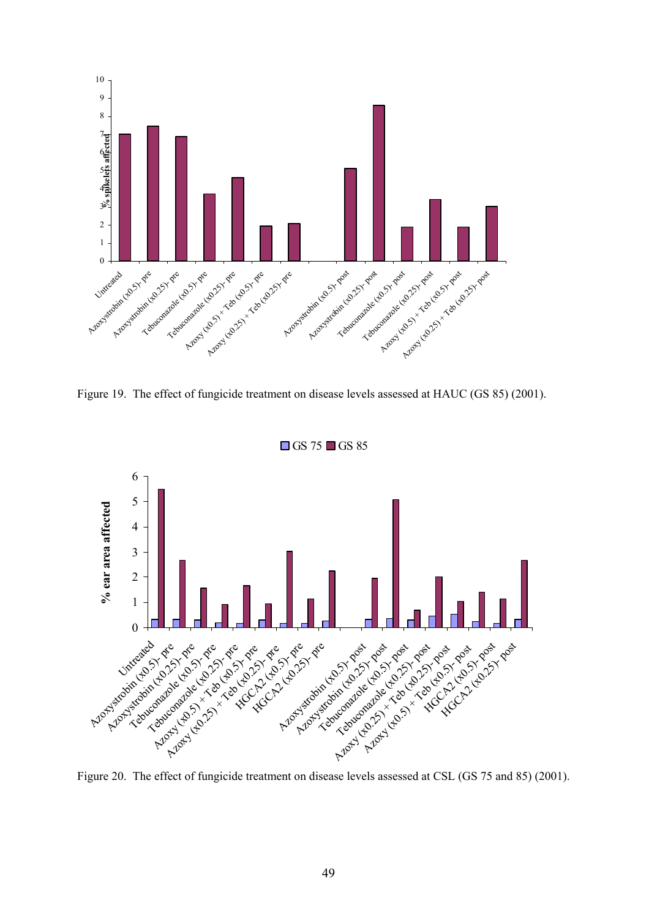

Figure 19. The effect of fungicide treatment on disease levels assessed at HAUC (GS 85) (2001).



Figure 20. The effect of fungicide treatment on disease levels assessed at CSL (GS 75 and 85) (2001).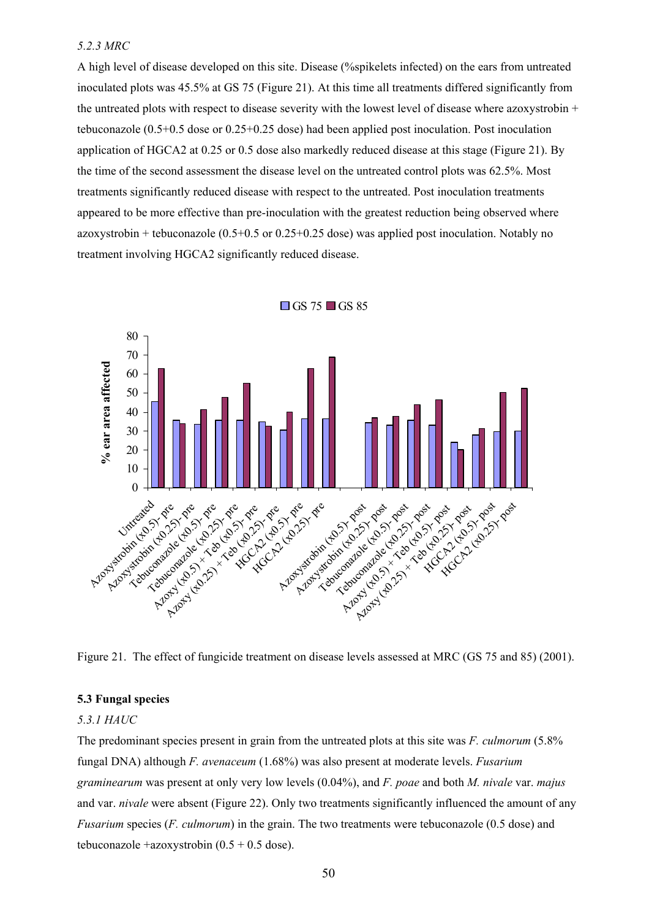## *5.2.3 MRC*

A high level of disease developed on this site. Disease (%spikelets infected) on the ears from untreated inoculated plots was 45.5% at GS 75 (Figure 21). At this time all treatments differed significantly from the untreated plots with respect to disease severity with the lowest level of disease where azoxystrobin + tebuconazole (0.5+0.5 dose or 0.25+0.25 dose) had been applied post inoculation. Post inoculation application of HGCA2 at 0.25 or 0.5 dose also markedly reduced disease at this stage (Figure 21). By the time of the second assessment the disease level on the untreated control plots was 62.5%. Most treatments significantly reduced disease with respect to the untreated. Post inoculation treatments appeared to be more effective than pre-inoculation with the greatest reduction being observed where azoxystrobin + tebuconazole (0.5+0.5 or 0.25+0.25 dose) was applied post inoculation. Notably no treatment involving HGCA2 significantly reduced disease.



Figure 21. The effect of fungicide treatment on disease levels assessed at MRC (GS 75 and 85) (2001).

### **5.3 Fungal species**

#### *5.3.1 HAUC*

The predominant species present in grain from the untreated plots at this site was *F. culmorum* (5.8% fungal DNA) although *F. avenaceum* (1.68%) was also present at moderate levels. *Fusarium graminearum* was present at only very low levels (0.04%), and *F. poae* and both *M. nivale* var. *majus* and var. *nivale* were absent (Figure 22). Only two treatments significantly influenced the amount of any *Fusarium* species (*F. culmorum*) in the grain. The two treatments were tebuconazole (0.5 dose) and tebuconazole +azoxystrobin  $(0.5 + 0.5$  dose).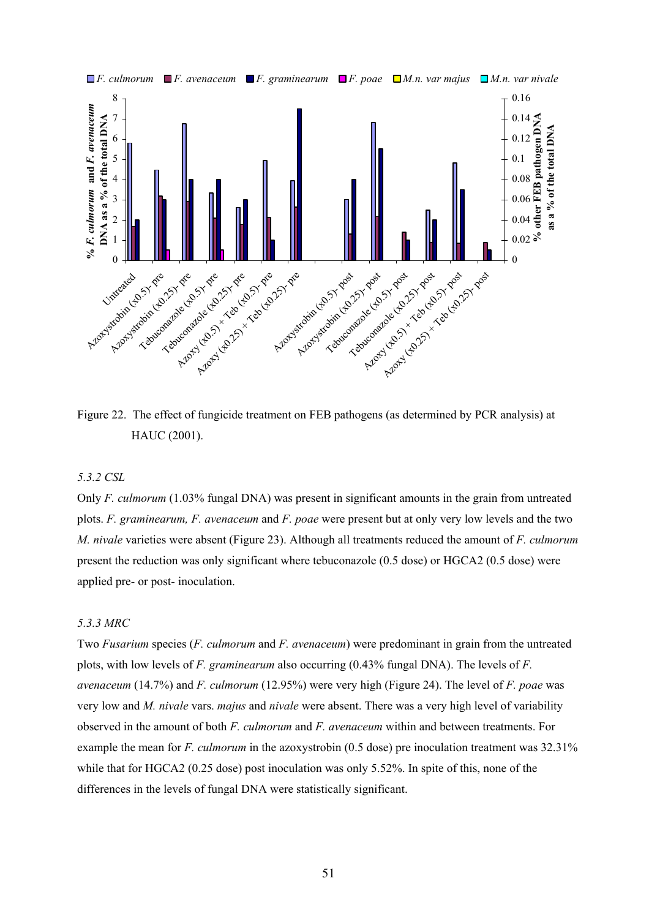

Figure 22. The effect of fungicide treatment on FEB pathogens (as determined by PCR analysis) at HAUC (2001).

#### *5.3.2 CSL*

Only *F. culmorum* (1.03% fungal DNA) was present in significant amounts in the grain from untreated plots. *F. graminearum, F. avenaceum* and *F. poae* were present but at only very low levels and the two *M. nivale* varieties were absent (Figure 23). Although all treatments reduced the amount of *F. culmorum* present the reduction was only significant where tebuconazole (0.5 dose) or HGCA2 (0.5 dose) were applied pre- or post- inoculation.

## *5.3.3 MRC*

Two *Fusarium* species (*F. culmorum* and *F. avenaceum*) were predominant in grain from the untreated plots, with low levels of *F. graminearum* also occurring (0.43% fungal DNA). The levels of *F. avenaceum* (14.7%) and *F. culmorum* (12.95%) were very high (Figure 24). The level of *F. poae* was very low and *M. nivale* vars. *majus* and *nivale* were absent. There was a very high level of variability observed in the amount of both *F. culmorum* and *F. avenaceum* within and between treatments. For example the mean for *F. culmorum* in the azoxystrobin (0.5 dose) pre inoculation treatment was 32.31% while that for HGCA2 (0.25 dose) post inoculation was only 5.52%. In spite of this, none of the differences in the levels of fungal DNA were statistically significant.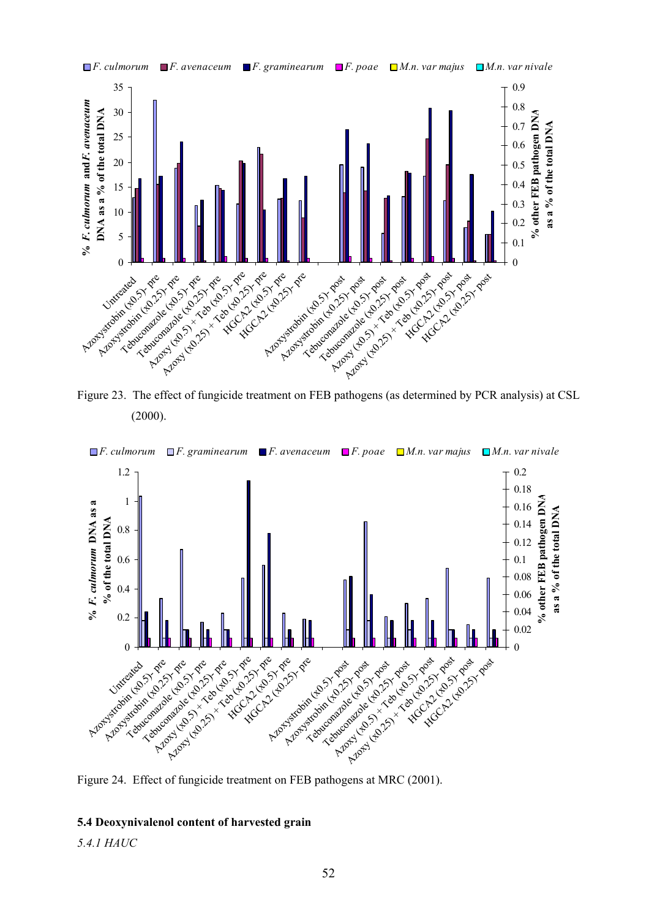

Figure 23. The effect of fungicide treatment on FEB pathogens (as determined by PCR analysis) at CSL (2000).



Figure 24. Effect of fungicide treatment on FEB pathogens at MRC (2001).

# **5.4 Deoxynivalenol content of harvested grain**

*5.4.1 HAUC*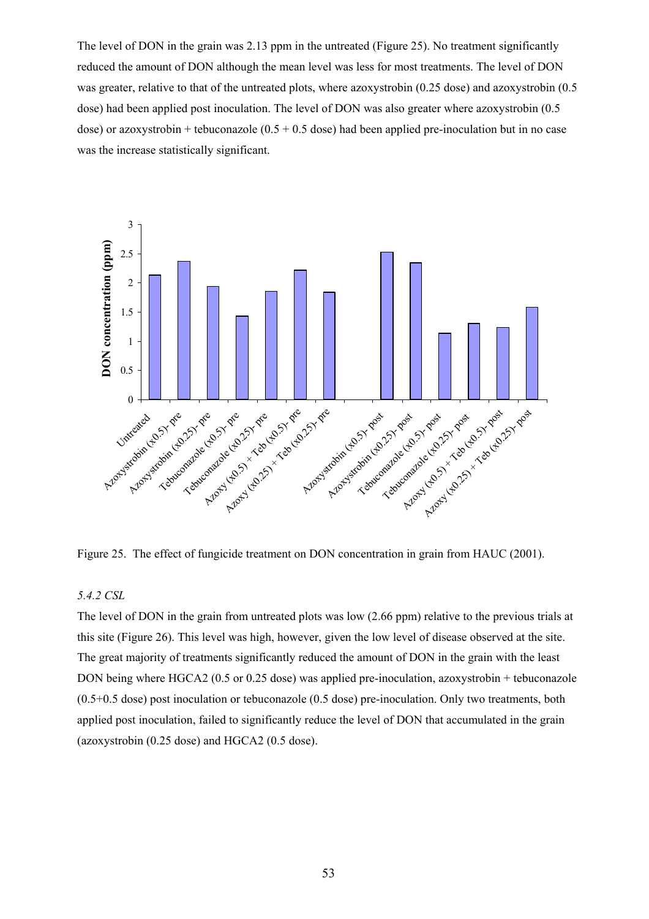The level of DON in the grain was 2.13 ppm in the untreated (Figure 25). No treatment significantly reduced the amount of DON although the mean level was less for most treatments. The level of DON was greater, relative to that of the untreated plots, where azoxystrobin (0.25 dose) and azoxystrobin (0.5 dose) had been applied post inoculation. The level of DON was also greater where azoxystrobin (0.5 dose) or azoxystrobin + tebuconazole  $(0.5 + 0.5$  dose) had been applied pre-inoculation but in no case was the increase statistically significant.



Figure 25. The effect of fungicide treatment on DON concentration in grain from HAUC (2001).

## *5.4.2 CSL*

The level of DON in the grain from untreated plots was low (2.66 ppm) relative to the previous trials at this site (Figure 26). This level was high, however, given the low level of disease observed at the site. The great majority of treatments significantly reduced the amount of DON in the grain with the least DON being where HGCA2 (0.5 or 0.25 dose) was applied pre-inoculation, azoxystrobin + tebuconazole (0.5+0.5 dose) post inoculation or tebuconazole (0.5 dose) pre-inoculation. Only two treatments, both applied post inoculation, failed to significantly reduce the level of DON that accumulated in the grain (azoxystrobin (0.25 dose) and HGCA2 (0.5 dose).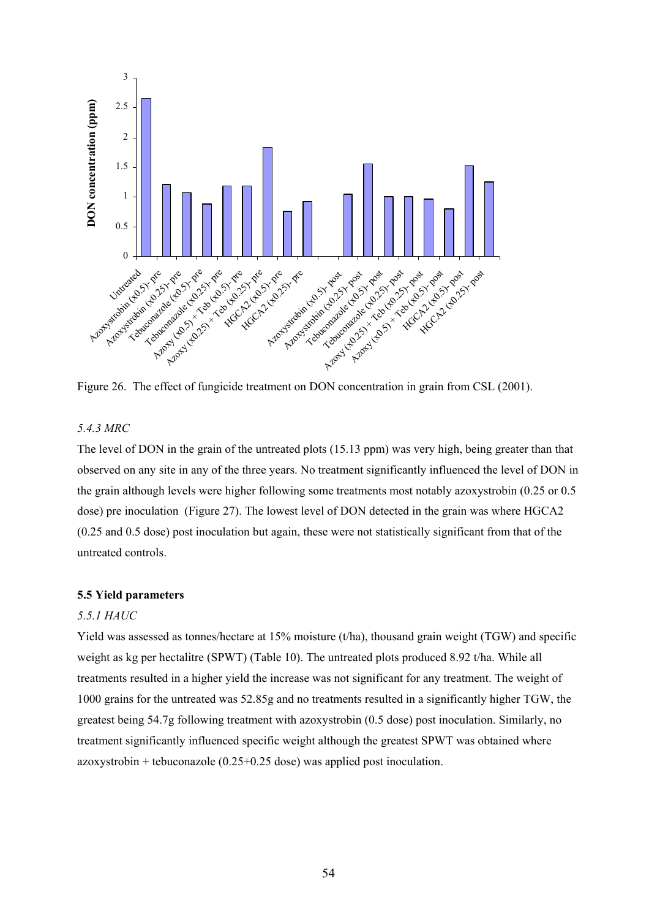

Figure 26. The effect of fungicide treatment on DON concentration in grain from CSL (2001).

# *5.4.3 MRC*

The level of DON in the grain of the untreated plots (15.13 ppm) was very high, being greater than that observed on any site in any of the three years. No treatment significantly influenced the level of DON in the grain although levels were higher following some treatments most notably azoxystrobin (0.25 or 0.5 dose) pre inoculation (Figure 27). The lowest level of DON detected in the grain was where HGCA2 (0.25 and 0.5 dose) post inoculation but again, these were not statistically significant from that of the untreated controls.

## **5.5 Yield parameters**

## *5.5.1 HAUC*

Yield was assessed as tonnes/hectare at 15% moisture (t/ha), thousand grain weight (TGW) and specific weight as kg per hectalitre (SPWT) (Table 10). The untreated plots produced 8.92 t/ha. While all treatments resulted in a higher yield the increase was not significant for any treatment. The weight of 1000 grains for the untreated was 52.85g and no treatments resulted in a significantly higher TGW, the greatest being 54.7g following treatment with azoxystrobin (0.5 dose) post inoculation. Similarly, no treatment significantly influenced specific weight although the greatest SPWT was obtained where  $a$ zoxystrobin + tebuconazole (0.25+0.25 dose) was applied post inoculation.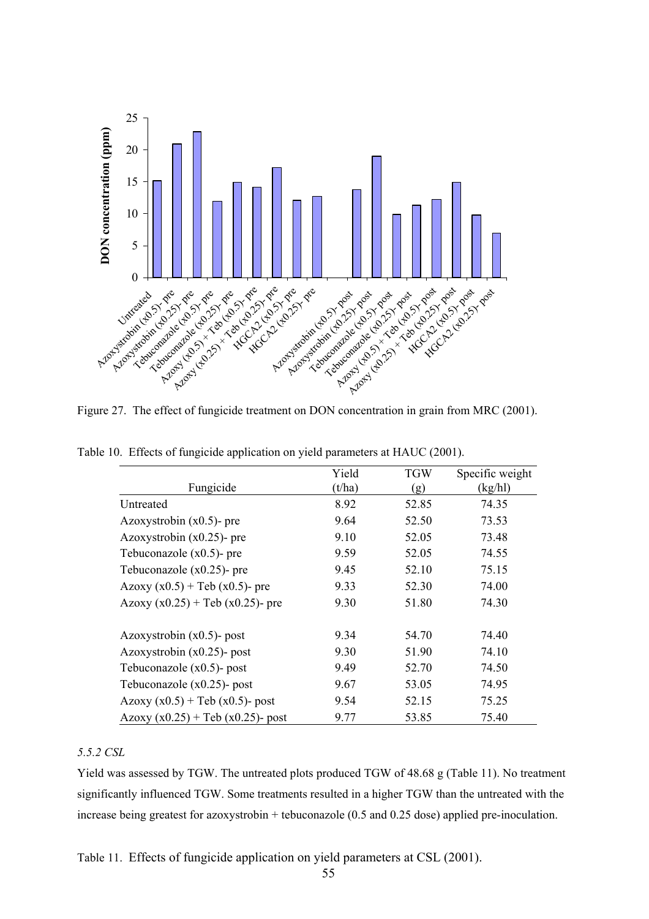

Figure 27. The effect of fungicide treatment on DON concentration in grain from MRC (2001).

|                                        | Yield  | <b>TGW</b> | Specific weight |
|----------------------------------------|--------|------------|-----------------|
| Fungicide                              | (t/ha) | (g)        | (kg/hl)         |
| Untreated                              | 8.92   | 52.85      | 74.35           |
| Azoxystrobin $(x0.5)$ - pre            | 9.64   | 52.50      | 73.53           |
| Azoxystrobin $(x0.25)$ - pre           | 9.10   | 52.05      | 73.48           |
| Tebuconazole $(x0.5)$ - pre            | 9.59   | 52.05      | 74.55           |
| Tebuconazole $(x0.25)$ - pre           | 9.45   | 52.10      | 75.15           |
| Azoxy $(x0.5)$ + Teb $(x0.5)$ - pre    | 9.33   | 52.30      | 74.00           |
| Azoxy $(x0.25)$ + Teb $(x0.25)$ - pre  | 9.30   | 51.80      | 74.30           |
| Azoxystrobin $(x0.5)$ - post           | 9.34   | 54.70      | 74.40           |
| Azoxystrobin $(x0.25)$ - post          | 9.30   | 51.90      | 74.10           |
| Tebuconazole $(x0.5)$ - post           | 9.49   | 52.70      | 74.50           |
| Tebuconazole $(x0.25)$ - post          | 9.67   | 53.05      | 74.95           |
| Azoxy $(x0.5)$ + Teb $(x0.5)$ - post   | 9.54   | 52.15      | 75.25           |
| Azoxy $(x0.25)$ + Teb $(x0.25)$ - post | 9.77   | 53.85      | 75.40           |

Table 10. Effects of fungicide application on yield parameters at HAUC (2001).

# *5.5.2 CSL*

Yield was assessed by TGW. The untreated plots produced TGW of 48.68 g (Table 11). No treatment significantly influenced TGW. Some treatments resulted in a higher TGW than the untreated with the increase being greatest for azoxystrobin + tebuconazole (0.5 and 0.25 dose) applied pre-inoculation.

Table 11. Effects of fungicide application on yield parameters at CSL (2001).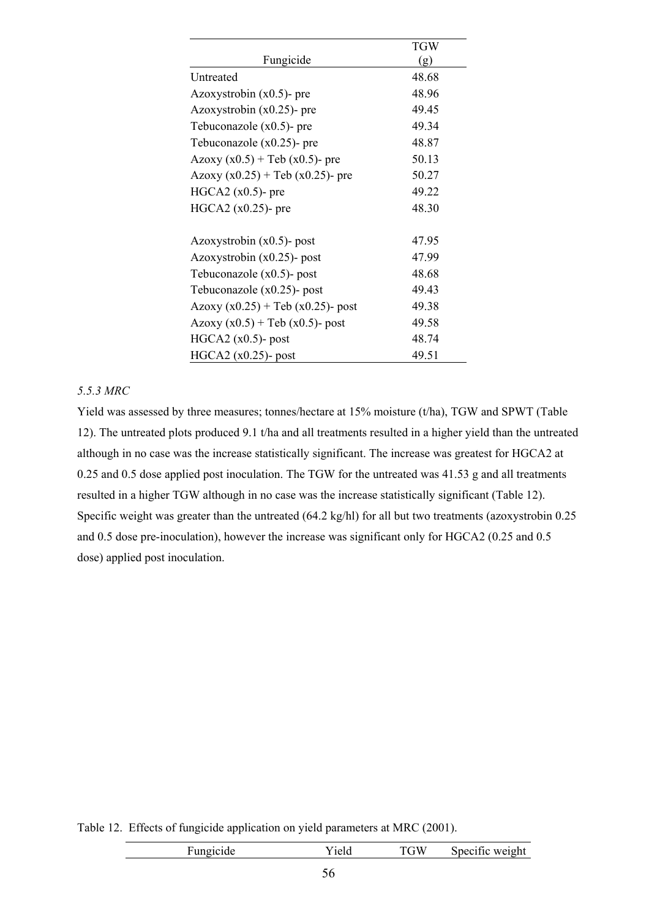|                                        | <b>TGW</b> |
|----------------------------------------|------------|
| Fungicide                              | (g)        |
| Untreated                              | 48.68      |
| Azoxystrobin $(x0.5)$ - pre            | 48.96      |
| Azoxystrobin $(x0.25)$ - pre           | 49.45      |
| Tebuconazole $(x0.5)$ - pre            | 49.34      |
| Tebuconazole $(x0.25)$ - pre           | 48.87      |
| Azoxy $(x0.5)$ + Teb $(x0.5)$ - pre    | 50.13      |
| Azoxy $(x0.25)$ + Teb $(x0.25)$ - pre  | 50.27      |
| $HGCA2 (x0.5)$ - pre                   | 49.22      |
| HGCA2 $(x0.25)$ - pre                  | 48.30      |
| Azoxystrobin $(x0.5)$ - post           | 47.95      |
| Azoxystrobin $(x0.25)$ - post          | 47.99      |
| Tebuconazole $(x0.5)$ - post           | 48.68      |
| Tebuconazole $(x0.25)$ - post          | 49.43      |
| Azoxy $(x0.25)$ + Teb $(x0.25)$ - post | 49.38      |
| Azoxy $(x0.5)$ + Teb $(x0.5)$ - post   | 49.58      |
| HGCA2 $(x0.5)$ - post                  | 48.74      |
| HGCA2 $(x0.25)$ - post                 | 49.51      |

# *5.5.3 MRC*

Yield was assessed by three measures; tonnes/hectare at 15% moisture (t/ha), TGW and SPWT (Table 12). The untreated plots produced 9.1 t/ha and all treatments resulted in a higher yield than the untreated although in no case was the increase statistically significant. The increase was greatest for HGCA2 at 0.25 and 0.5 dose applied post inoculation. The TGW for the untreated was 41.53 g and all treatments resulted in a higher TGW although in no case was the increase statistically significant (Table 12). Specific weight was greater than the untreated (64.2 kg/hl) for all but two treatments (azoxystrobin 0.25 and 0.5 dose pre-inoculation), however the increase was significant only for HGCA2 (0.25 and 0.5 dose) applied post inoculation.

Table 12. Effects of fungicide application on yield parameters at MRC (2001).

| TGW<br>Fungicide<br>Specific weight<br>i iviu<br>~ |
|----------------------------------------------------|
|----------------------------------------------------|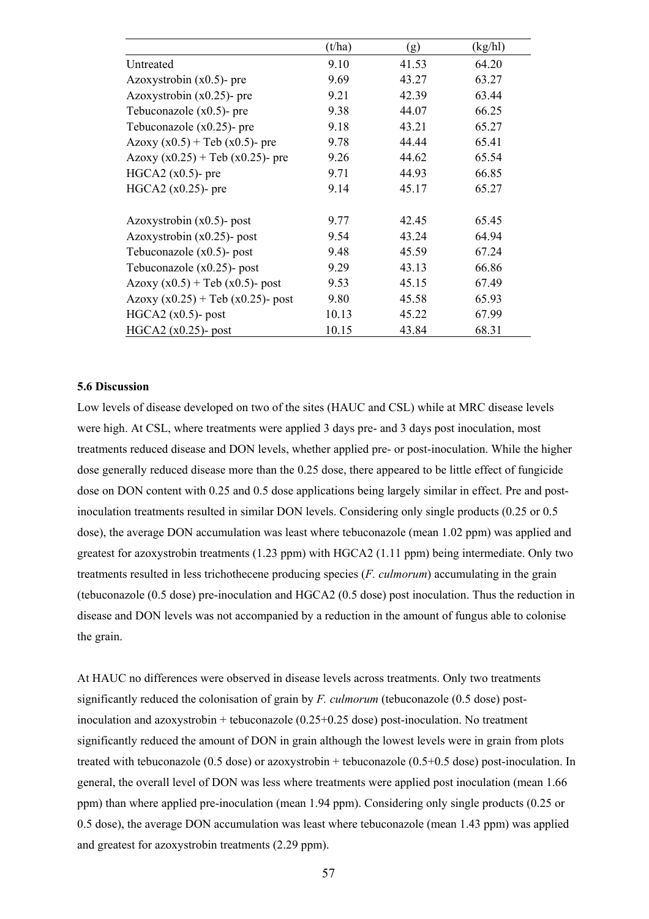|                                        | (t/ha) | (g)   | (kg/hl) |
|----------------------------------------|--------|-------|---------|
| Untreated                              | 9.10   | 41.53 | 64.20   |
| Azoxystrobin $(x0.5)$ - pre            | 9.69   | 43.27 | 63.27   |
| Azoxystrobin $(x0.25)$ - pre           | 9.21   | 42.39 | 63.44   |
| Tebuconazole $(x0.5)$ - pre            | 9.38   | 44.07 | 66.25   |
| Tebuconazole $(x0.25)$ - pre           | 9.18   | 43.21 | 65.27   |
| Azoxy $(x0.5)$ + Teb $(x0.5)$ - pre    | 9.78   | 44.44 | 65.41   |
| Azoxy $(x0.25)$ + Teb $(x0.25)$ - pre  | 9.26   | 44.62 | 65.54   |
| HGCA2 $(x0.5)$ - pre                   | 9.71   | 44.93 | 66.85   |
| HGCA2 $(x0.25)$ - pre                  | 9.14   | 45.17 | 65.27   |
| Azoxystrobin $(x0.5)$ - post           | 9.77   | 42.45 | 65.45   |
| Azoxystrobin $(x0.25)$ - post          | 9.54   | 43.24 | 64.94   |
| Tebuconazole $(x0.5)$ - post           | 9.48   | 45.59 | 67.24   |
| Tebuconazole $(x0.25)$ - post          | 9.29   | 43.13 | 66.86   |
| Azoxy $(x0.5)$ + Teb $(x0.5)$ - post   | 9.53   | 45.15 | 67.49   |
| Azoxy $(x0.25)$ + Teb $(x0.25)$ - post | 9.80   | 45.58 | 65.93   |
| HGCA2 $(x0.5)$ - post                  | 10.13  | 45.22 | 67.99   |
| $HGCA2 (x0.25)$ - post                 | 10.15  | 43.84 | 68.31   |

#### **5.6 Discussion**

Low levels of disease developed on two of the sites (HAUC and CSL) while at MRC disease levels were high. At CSL, where treatments were applied 3 days pre- and 3 days post inoculation, most treatments reduced disease and DON levels, whether applied pre- or post-inoculation. While the higher dose generally reduced disease more than the 0.25 dose, there appeared to be little effect of fungicide dose on DON content with 0.25 and 0.5 dose applications being largely similar in effect. Pre and postinoculation treatments resulted in similar DON levels. Considering only single products (0.25 or 0.5 dose), the average DON accumulation was least where tebuconazole (mean 1.02 ppm) was applied and greatest for azoxystrobin treatments (1.23 ppm) with HGCA2 (1.11 ppm) being intermediate. Only two treatments resulted in less trichothecene producing species (*F. culmorum*) accumulating in the grain (tebuconazole (0.5 dose) pre-inoculation and HGCA2 (0.5 dose) post inoculation. Thus the reduction in disease and DON levels was not accompanied by a reduction in the amount of fungus able to colonise the grain.

At HAUC no differences were observed in disease levels across treatments. Only two treatments significantly reduced the colonisation of grain by *F. culmorum* (tebuconazole (0.5 dose) postinoculation and azoxystrobin + tebuconazole (0.25+0.25 dose) post-inoculation. No treatment significantly reduced the amount of DON in grain although the lowest levels were in grain from plots treated with tebuconazole (0.5 dose) or azoxystrobin + tebuconazole (0.5+0.5 dose) post-inoculation. In general, the overall level of DON was less where treatments were applied post inoculation (mean 1.66 ppm) than where applied pre-inoculation (mean 1.94 ppm). Considering only single products (0.25 or 0.5 dose), the average DON accumulation was least where tebuconazole (mean 1.43 ppm) was applied and greatest for azoxystrobin treatments (2.29 ppm).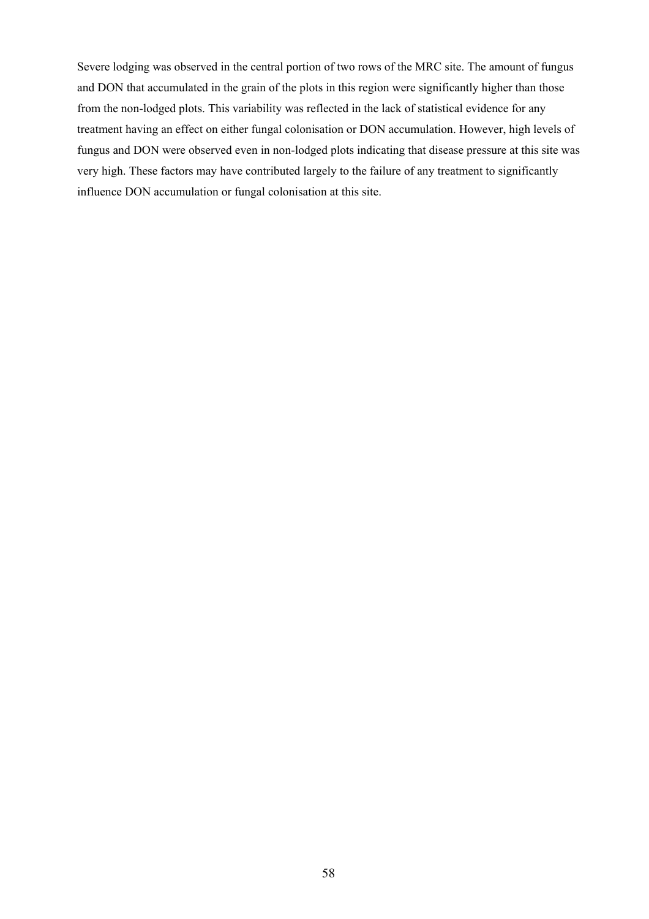Severe lodging was observed in the central portion of two rows of the MRC site. The amount of fungus and DON that accumulated in the grain of the plots in this region were significantly higher than those from the non-lodged plots. This variability was reflected in the lack of statistical evidence for any treatment having an effect on either fungal colonisation or DON accumulation. However, high levels of fungus and DON were observed even in non-lodged plots indicating that disease pressure at this site was very high. These factors may have contributed largely to the failure of any treatment to significantly influence DON accumulation or fungal colonisation at this site.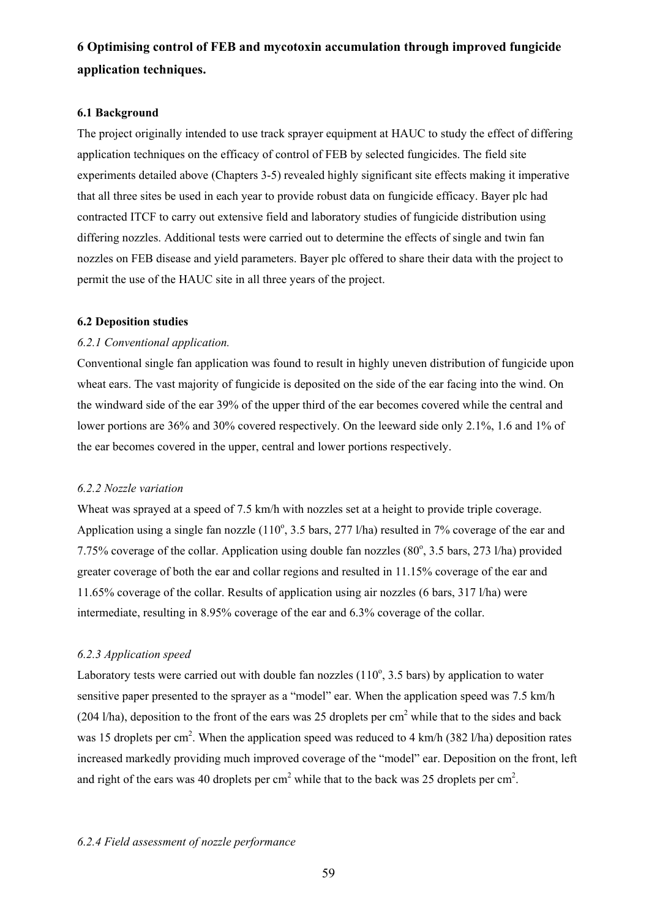# **6 Optimising control of FEB and mycotoxin accumulation through improved fungicide application techniques.**

# **6.1 Background**

The project originally intended to use track sprayer equipment at HAUC to study the effect of differing application techniques on the efficacy of control of FEB by selected fungicides. The field site experiments detailed above (Chapters 3-5) revealed highly significant site effects making it imperative that all three sites be used in each year to provide robust data on fungicide efficacy. Bayer plc had contracted ITCF to carry out extensive field and laboratory studies of fungicide distribution using differing nozzles. Additional tests were carried out to determine the effects of single and twin fan nozzles on FEB disease and yield parameters. Bayer plc offered to share their data with the project to permit the use of the HAUC site in all three years of the project.

# **6.2 Deposition studies**

# *6.2.1 Conventional application.*

Conventional single fan application was found to result in highly uneven distribution of fungicide upon wheat ears. The vast majority of fungicide is deposited on the side of the ear facing into the wind. On the windward side of the ear 39% of the upper third of the ear becomes covered while the central and lower portions are 36% and 30% covered respectively. On the leeward side only 2.1%, 1.6 and 1% of the ear becomes covered in the upper, central and lower portions respectively.

## *6.2.2 Nozzle variation*

Wheat was sprayed at a speed of 7.5 km/h with nozzles set at a height to provide triple coverage. Application using a single fan nozzle  $(110^{\circ}, 3.5 \text{ bars}, 277 \text{ l/ha})$  resulted in 7% coverage of the ear and 7.75% coverage of the collar. Application using double fan nozzles (80°, 3.5 bars, 273 l/ha) provided greater coverage of both the ear and collar regions and resulted in 11.15% coverage of the ear and 11.65% coverage of the collar. Results of application using air nozzles (6 bars, 317 l/ha) were intermediate, resulting in 8.95% coverage of the ear and 6.3% coverage of the collar.

# *6.2.3 Application speed*

Laboratory tests were carried out with double fan nozzles  $(110^{\circ}, 3.5 \text{ bars})$  by application to water sensitive paper presented to the sprayer as a "model" ear. When the application speed was 7.5 km/h (204  $l/ha$ ), deposition to the front of the ears was 25 droplets per cm<sup>2</sup> while that to the sides and back was 15 droplets per cm<sup>2</sup>. When the application speed was reduced to 4 km/h (382 l/ha) deposition rates increased markedly providing much improved coverage of the "model" ear. Deposition on the front, left and right of the ears was 40 droplets per  $\text{cm}^2$  while that to the back was 25 droplets per  $\text{cm}^2$ .

## *6.2.4 Field assessment of nozzle performance*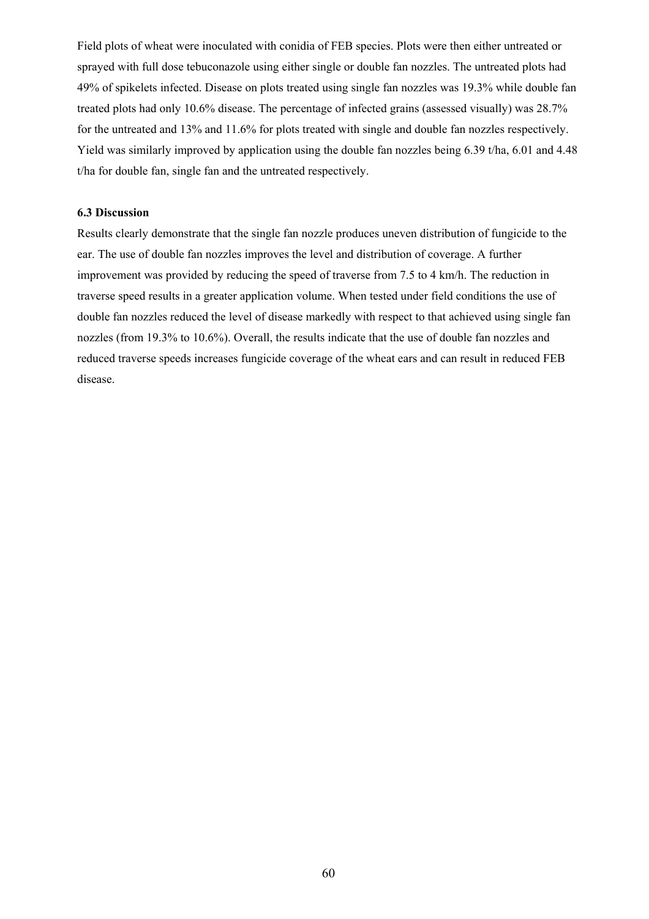Field plots of wheat were inoculated with conidia of FEB species. Plots were then either untreated or sprayed with full dose tebuconazole using either single or double fan nozzles. The untreated plots had 49% of spikelets infected. Disease on plots treated using single fan nozzles was 19.3% while double fan treated plots had only 10.6% disease. The percentage of infected grains (assessed visually) was 28.7% for the untreated and 13% and 11.6% for plots treated with single and double fan nozzles respectively. Yield was similarly improved by application using the double fan nozzles being 6.39 t/ha, 6.01 and 4.48 t/ha for double fan, single fan and the untreated respectively.

### **6.3 Discussion**

Results clearly demonstrate that the single fan nozzle produces uneven distribution of fungicide to the ear. The use of double fan nozzles improves the level and distribution of coverage. A further improvement was provided by reducing the speed of traverse from 7.5 to 4 km/h. The reduction in traverse speed results in a greater application volume. When tested under field conditions the use of double fan nozzles reduced the level of disease markedly with respect to that achieved using single fan nozzles (from 19.3% to 10.6%). Overall, the results indicate that the use of double fan nozzles and reduced traverse speeds increases fungicide coverage of the wheat ears and can result in reduced FEB disease.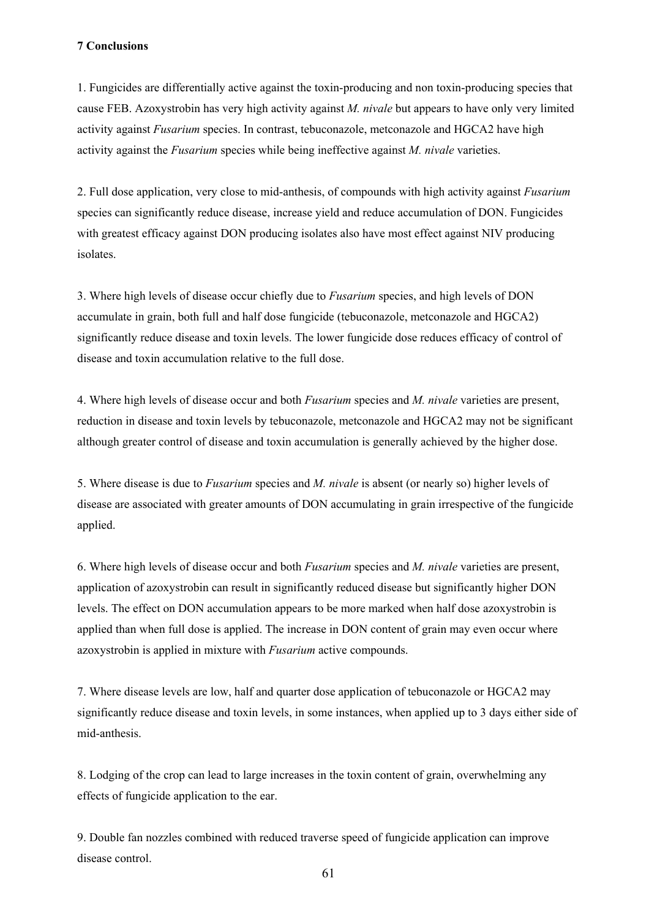## **7 Conclusions**

1. Fungicides are differentially active against the toxin-producing and non toxin-producing species that cause FEB. Azoxystrobin has very high activity against *M. nivale* but appears to have only very limited activity against *Fusarium* species. In contrast, tebuconazole, metconazole and HGCA2 have high activity against the *Fusarium* species while being ineffective against *M. nivale* varieties.

2. Full dose application, very close to mid-anthesis, of compounds with high activity against *Fusarium* species can significantly reduce disease, increase yield and reduce accumulation of DON. Fungicides with greatest efficacy against DON producing isolates also have most effect against NIV producing isolates.

3. Where high levels of disease occur chiefly due to *Fusarium* species, and high levels of DON accumulate in grain, both full and half dose fungicide (tebuconazole, metconazole and HGCA2) significantly reduce disease and toxin levels. The lower fungicide dose reduces efficacy of control of disease and toxin accumulation relative to the full dose.

4. Where high levels of disease occur and both *Fusarium* species and *M. nivale* varieties are present, reduction in disease and toxin levels by tebuconazole, metconazole and HGCA2 may not be significant although greater control of disease and toxin accumulation is generally achieved by the higher dose.

5. Where disease is due to *Fusarium* species and *M. nivale* is absent (or nearly so) higher levels of disease are associated with greater amounts of DON accumulating in grain irrespective of the fungicide applied.

6. Where high levels of disease occur and both *Fusarium* species and *M. nivale* varieties are present, application of azoxystrobin can result in significantly reduced disease but significantly higher DON levels. The effect on DON accumulation appears to be more marked when half dose azoxystrobin is applied than when full dose is applied. The increase in DON content of grain may even occur where azoxystrobin is applied in mixture with *Fusarium* active compounds.

7. Where disease levels are low, half and quarter dose application of tebuconazole or HGCA2 may significantly reduce disease and toxin levels, in some instances, when applied up to 3 days either side of mid-anthesis.

8. Lodging of the crop can lead to large increases in the toxin content of grain, overwhelming any effects of fungicide application to the ear.

9. Double fan nozzles combined with reduced traverse speed of fungicide application can improve disease control.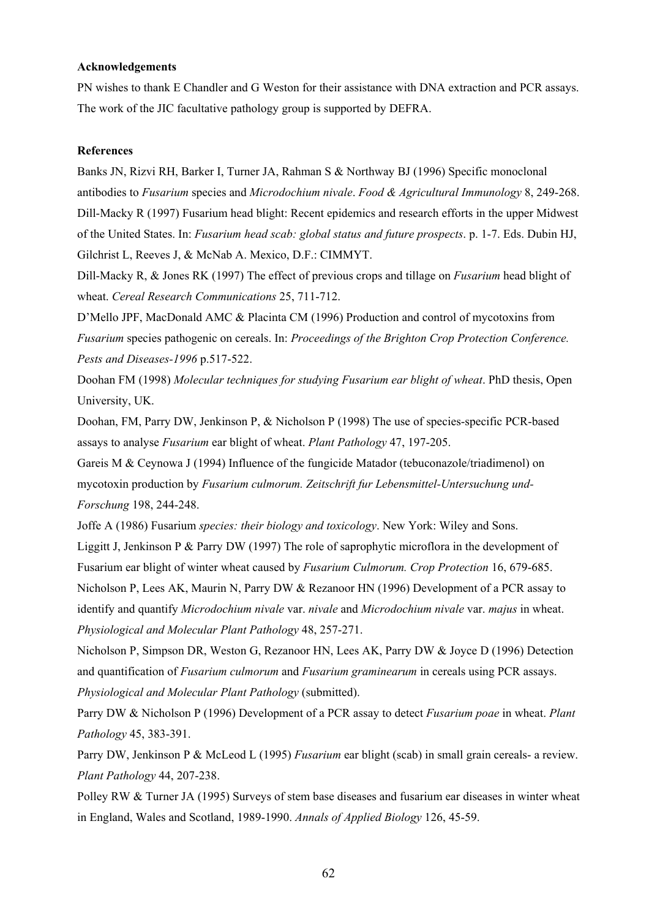# **Acknowledgements**

PN wishes to thank E Chandler and G Weston for their assistance with DNA extraction and PCR assays. The work of the JIC facultative pathology group is supported by DEFRA.

## **References**

Banks JN, Rizvi RH, Barker I, Turner JA, Rahman S & Northway BJ (1996) Specific monoclonal antibodies to *Fusarium* species and *Microdochium nivale*. *Food & Agricultural Immunology* 8, 249-268. Dill-Macky R (1997) Fusarium head blight: Recent epidemics and research efforts in the upper Midwest of the United States. In: *Fusarium head scab: global status and future prospects*. p. 1-7. Eds. Dubin HJ, Gilchrist L, Reeves J, & McNab A. Mexico, D.F.: CIMMYT.

Dill-Macky R, & Jones RK (1997) The effect of previous crops and tillage on *Fusarium* head blight of wheat. *Cereal Research Communications* 25, 711-712.

D'Mello JPF, MacDonald AMC & Placinta CM (1996) Production and control of mycotoxins from *Fusarium* species pathogenic on cereals. In: *Proceedings of the Brighton Crop Protection Conference. Pests and Diseases-1996* p.517-522.

Doohan FM (1998) *Molecular techniques for studying Fusarium ear blight of wheat*. PhD thesis, Open University, UK.

Doohan, FM, Parry DW, Jenkinson P, & Nicholson P (1998) The use of species-specific PCR-based assays to analyse *Fusarium* ear blight of wheat. *Plant Pathology* 47, 197-205.

Gareis M & Ceynowa J (1994) Influence of the fungicide Matador (tebuconazole/triadimenol) on mycotoxin production by *Fusarium culmorum. Zeitschrift fur Lebensmittel-Untersuchung und-Forschung* 198, 244-248.

Joffe A (1986) Fusarium *species: their biology and toxicology*. New York: Wiley and Sons. Liggitt J, Jenkinson P & Parry DW (1997) The role of saprophytic microflora in the development of Fusarium ear blight of winter wheat caused by *Fusarium Culmorum. Crop Protection* 16, 679-685. Nicholson P, Lees AK, Maurin N, Parry DW & Rezanoor HN (1996) Development of a PCR assay to

identify and quantify *Microdochium nivale* var. *nivale* and *Microdochium nivale* var. *majus* in wheat. *Physiological and Molecular Plant Pathology* 48, 257-271.

Nicholson P, Simpson DR, Weston G, Rezanoor HN, Lees AK, Parry DW & Joyce D (1996) Detection and quantification of *Fusarium culmorum* and *Fusarium graminearum* in cereals using PCR assays. *Physiological and Molecular Plant Pathology* (submitted).

Parry DW & Nicholson P (1996) Development of a PCR assay to detect *Fusarium poae* in wheat. *Plant Pathology* 45, 383-391.

Parry DW, Jenkinson P & McLeod L (1995) *Fusarium* ear blight (scab) in small grain cereals- a review. *Plant Pathology* 44, 207-238.

Polley RW & Turner JA (1995) Surveys of stem base diseases and fusarium ear diseases in winter wheat in England, Wales and Scotland, 1989-1990. *Annals of Applied Biology* 126, 45-59.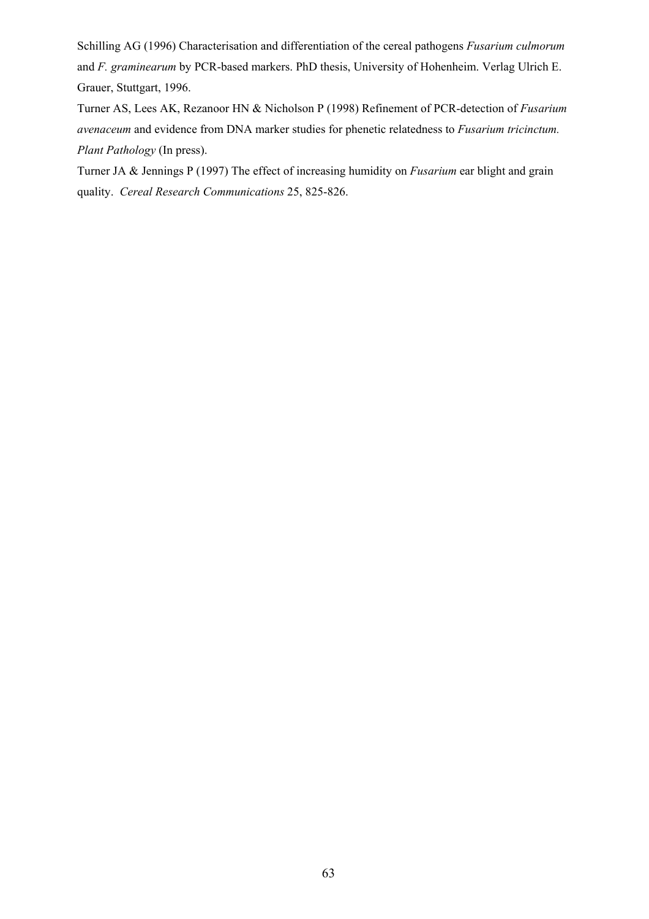Schilling AG (1996) Characterisation and differentiation of the cereal pathogens *Fusarium culmorum* and *F. graminearum* by PCR-based markers. PhD thesis, University of Hohenheim. Verlag Ulrich E. Grauer, Stuttgart, 1996.

Turner AS, Lees AK, Rezanoor HN & Nicholson P (1998) Refinement of PCR-detection of *Fusarium avenaceum* and evidence from DNA marker studies for phenetic relatedness to *Fusarium tricinctum. Plant Pathology* (In press).

Turner JA & Jennings P (1997) The effect of increasing humidity on *Fusarium* ear blight and grain quality. *Cereal Research Communications* 25, 825-826.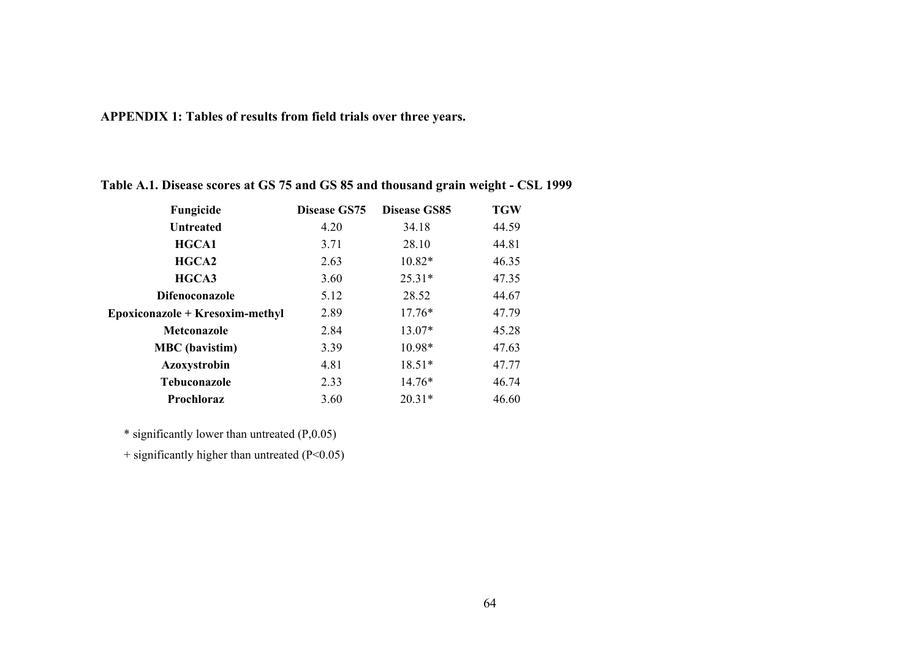**APPENDIX 1: Tables of results from field trials over three years.** 

| Fungicide                       | <b>Disease GS75</b> | <b>Disease GS85</b> | <b>TGW</b> |
|---------------------------------|---------------------|---------------------|------------|
| <b>Untreated</b>                | 4.20                | 34.18               | 44.59      |
| HGCA1                           | 3.71                | 28.10               | 44.81      |
| HGCA2                           | 2.63                | 10.82*              | 46.35      |
| HGCA3                           | 3.60                | $25.31*$            | 47.35      |
| <b>Difenoconazole</b>           | 5.12                | 28.52               | 44.67      |
| Epoxiconazole + Kresoxim-methyl | 2.89                | $17.76*$            | 47.79      |
| <b>Metconazole</b>              | 2.84                | 13.07*              | 45.28      |
| <b>MBC</b> (bavistim)           | 3.39                | 10.98*              | 47.63      |
| Azoxystrobin                    | 4.81                | $18.51*$            | 47.77      |
| <b>Tebuconazole</b>             | 2.33                | 14.76*              | 46.74      |
| Prochloraz                      | 3.60                | $20.31*$            | 46.60      |

**Table A.1. Disease scores at GS 75 and GS 85 and thousand grain weight - CSL 1999** 

\* significantly lower than untreated (P,0.05)

 $+$  significantly higher than untreated (P<0.05)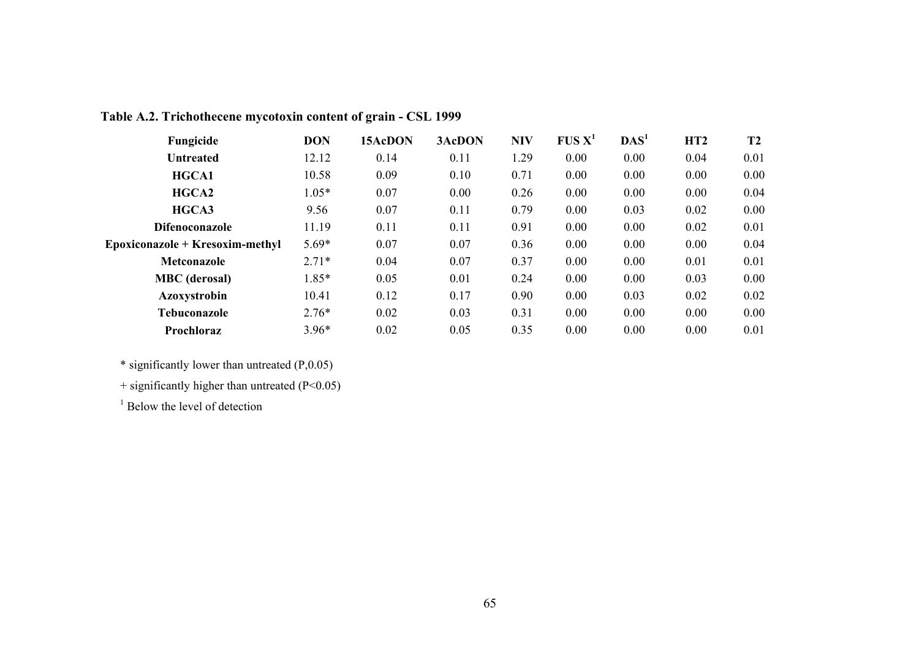| Fungicide                              | <b>DON</b> | 15AcDON | 3AcDON | <b>NIV</b> | FUS X <sup>1</sup> | $\mathbf{D}\mathbf{A}\mathbf{S}^1$ | HT2  | <b>T2</b> |
|----------------------------------------|------------|---------|--------|------------|--------------------|------------------------------------|------|-----------|
| <b>Untreated</b>                       | 12.12      | 0.14    | 0.11   | 1.29       | 0.00               | 0.00                               | 0.04 | 0.01      |
| HGCA1                                  | 10.58      | 0.09    | 0.10   | 0.71       | 0.00               | 0.00                               | 0.00 | 0.00      |
| HGCA2                                  | $1.05*$    | 0.07    | 0.00   | 0.26       | 0.00               | 0.00                               | 0.00 | 0.04      |
| HGCA3                                  | 9.56       | 0.07    | 0.11   | 0.79       | 0.00               | 0.03                               | 0.02 | 0.00      |
| <b>Difenoconazole</b>                  | 11.19      | 0.11    | 0.11   | 0.91       | 0.00               | 0.00                               | 0.02 | 0.01      |
| <b>Epoxiconazole + Kresoxim-methyl</b> | $5.69*$    | 0.07    | 0.07   | 0.36       | 0.00               | 0.00                               | 0.00 | 0.04      |
| <b>Metconazole</b>                     | $2.71*$    | 0.04    | 0.07   | 0.37       | 0.00               | 0.00                               | 0.01 | 0.01      |
| <b>MBC</b> (derosal)                   | 1.85*      | 0.05    | 0.01   | 0.24       | 0.00               | 0.00                               | 0.03 | 0.00      |
| Azoxystrobin                           | 10.41      | 0.12    | 0.17   | 0.90       | 0.00               | 0.03                               | 0.02 | 0.02      |
| <b>Tebuconazole</b>                    | $2.76*$    | 0.02    | 0.03   | 0.31       | 0.00               | 0.00                               | 0.00 | 0.00      |
| Prochloraz                             | $3.96*$    | 0.02    | 0.05   | 0.35       | 0.00               | 0.00                               | 0.00 | 0.01      |

# **Table A.2. Trichothecene mycotoxin content of grain - CSL 1999**

 $*$  significantly lower than untreated  $(P, 0.05)$ 

+ significantly higher than untreated (P<0.05)

<sup>1</sup> Below the level of detection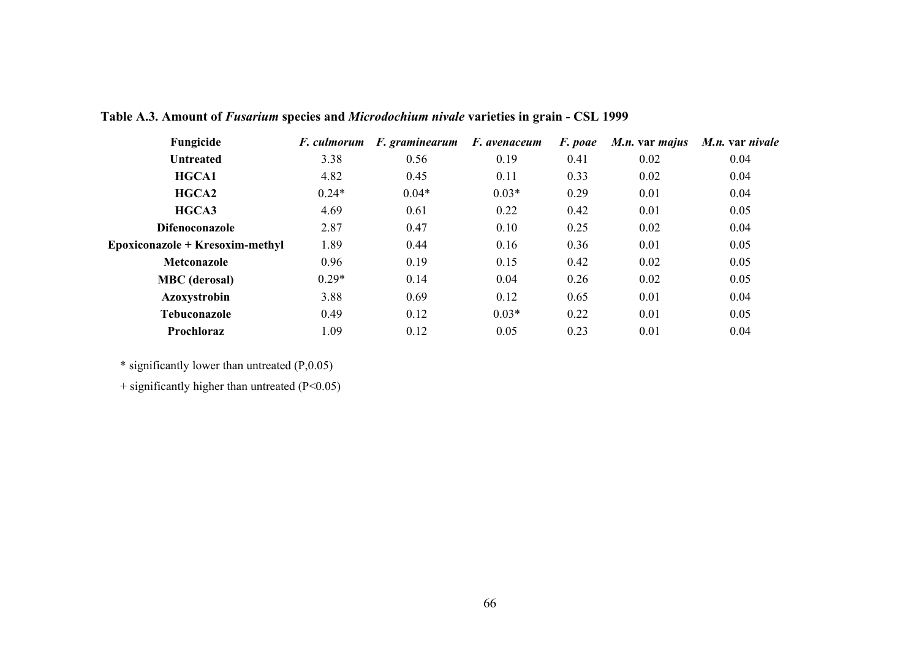| Fungicide                         | <i>F. culmorum</i> | <i>F.</i> graminearum | F. avenaceum | <i>F.</i> poae | M.n. var majus | M.n. var nivale |
|-----------------------------------|--------------------|-----------------------|--------------|----------------|----------------|-----------------|
| <b>Untreated</b>                  | 3.38               | 0.56                  | 0.19         | 0.41           | 0.02           | 0.04            |
| HGCA1                             | 4.82               | 0.45                  | 0.11         | 0.33           | 0.02           | 0.04            |
| HGCA2                             | $0.24*$            | $0.04*$               | $0.03*$      | 0.29           | 0.01           | 0.04            |
| HGCA3                             | 4.69               | 0.61                  | 0.22         | 0.42           | 0.01           | 0.05            |
| <b>Difenoconazole</b>             | 2.87               | 0.47                  | 0.10         | 0.25           | 0.02           | 0.04            |
| $Epoxiconazole + Kresoxim-methyl$ | 1.89               | 0.44                  | 0.16         | 0.36           | 0.01           | 0.05            |
| <b>Metconazole</b>                | 0.96               | 0.19                  | 0.15         | 0.42           | 0.02           | 0.05            |
| <b>MBC</b> (derosal)              | $0.29*$            | 0.14                  | 0.04         | 0.26           | 0.02           | 0.05            |
| Azoxystrobin                      | 3.88               | 0.69                  | 0.12         | 0.65           | 0.01           | 0.04            |
| <b>Tebuconazole</b>               | 0.49               | 0.12                  | $0.03*$      | 0.22           | 0.01           | 0.05            |
| Prochloraz                        | 1.09               | 0.12                  | 0.05         | 0.23           | 0.01           | 0.04            |

**Table A.3. Amount of** *Fusarium* **species and** *Microdochium nivale* **varieties in grain - CSL 1999**

 $*$  significantly lower than untreated  $(P, 0.05)$ 

+ significantly higher than untreated (P<0.05)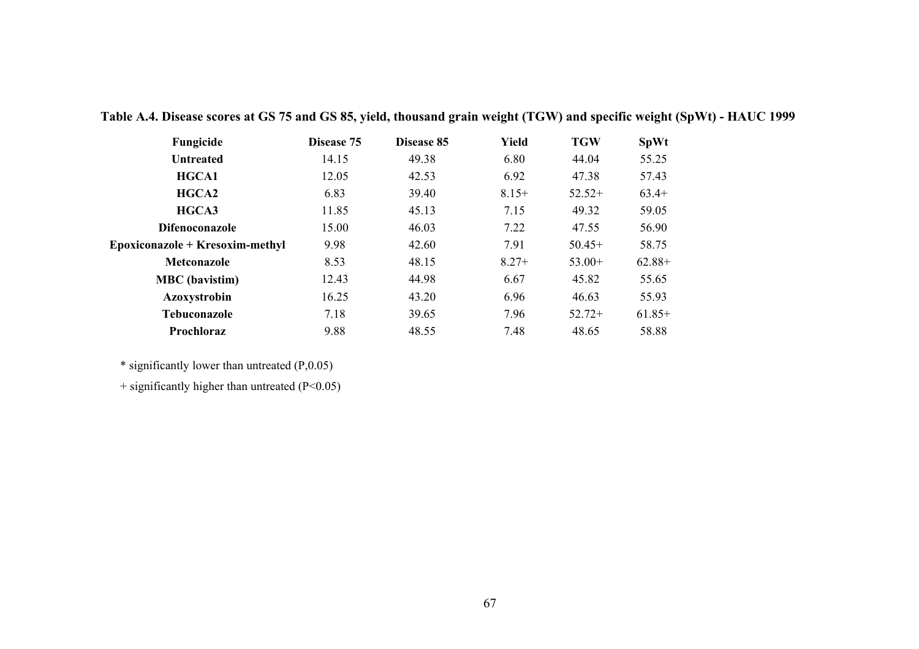| Fungicide                         | Disease 75 | Disease 85 | <b>Yield</b> | <b>TGW</b> | <b>SpWt</b> |
|-----------------------------------|------------|------------|--------------|------------|-------------|
| <b>Untreated</b>                  | 14.15      | 49.38      | 6.80         | 44.04      | 55.25       |
| <b>HGCA1</b>                      | 12.05      | 42.53      | 6.92         | 47.38      | 57.43       |
| HGCA2                             | 6.83       | 39.40      | $8.15+$      | $52.52+$   | $63.4+$     |
| HGCA3                             | 11.85      | 45.13      | 7.15         | 49.32      | 59.05       |
| <b>Difenoconazole</b>             | 15.00      | 46.03      | 7.22         | 47.55      | 56.90       |
| $Epoxiconazole + Kresoxim-methyl$ | 9.98       | 42.60      | 7.91         | $50.45+$   | 58.75       |
| <b>Metconazole</b>                | 8.53       | 48.15      | $8.27+$      | $53.00+$   | $62.88+$    |
| <b>MBC</b> (bavistim)             | 12.43      | 44.98      | 6.67         | 45.82      | 55.65       |
| Azoxystrobin                      | 16.25      | 43.20      | 6.96         | 46.63      | 55.93       |
| <b>Tebuconazole</b>               | 7.18       | 39.65      | 7.96         | $52.72+$   | $61.85+$    |
| Prochloraz                        | 9.88       | 48.55      | 7.48         | 48.65      | 58.88       |

**Table A.4. Disease scores at GS 75 and GS 85, yield, thousand grain weight (TGW) and specific weight (SpWt) - HAUC 1999**

 $*$  significantly lower than untreated  $(P, 0.05)$ 

+ significantly higher than untreated (P<0.05)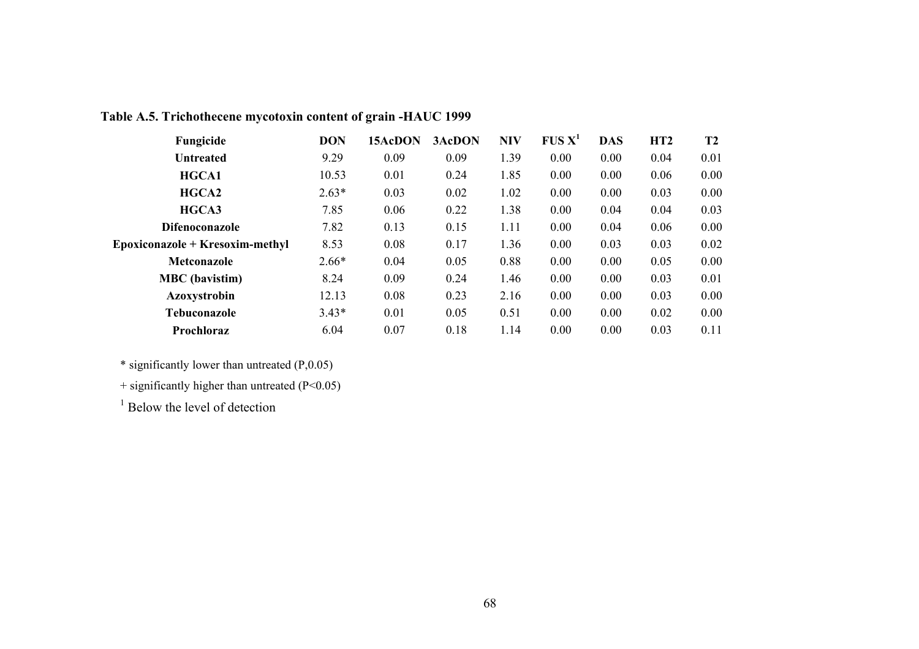| Fungicide                         | <b>DON</b> | 15AcDON | 3AcDON | <b>NIV</b> | FUS X <sup>1</sup> | <b>DAS</b> | HT2  | <b>T2</b> |
|-----------------------------------|------------|---------|--------|------------|--------------------|------------|------|-----------|
| <b>Untreated</b>                  | 9.29       | 0.09    | 0.09   | 1.39       | 0.00               | 0.00       | 0.04 | 0.01      |
| <b>HGCA1</b>                      | 10.53      | 0.01    | 0.24   | 1.85       | 0.00               | 0.00       | 0.06 | 0.00      |
| HGCA2                             | $2.63*$    | 0.03    | 0.02   | 1.02       | 0.00               | 0.00       | 0.03 | 0.00      |
| HGCA3                             | 7.85       | 0.06    | 0.22   | 1.38       | 0.00               | 0.04       | 0.04 | 0.03      |
| <b>Difenoconazole</b>             | 7.82       | 0.13    | 0.15   | 1.11       | 0.00               | 0.04       | 0.06 | 0.00      |
| $Epoxiconazole + Kresoxim-methyl$ | 8.53       | 0.08    | 0.17   | 1.36       | 0.00               | 0.03       | 0.03 | 0.02      |
| <b>Metconazole</b>                | $2.66*$    | 0.04    | 0.05   | 0.88       | 0.00               | 0.00       | 0.05 | 0.00      |
| <b>MBC</b> (bavistim)             | 8.24       | 0.09    | 0.24   | 1.46       | 0.00               | 0.00       | 0.03 | 0.01      |
| Azoxystrobin                      | 12.13      | 0.08    | 0.23   | 2.16       | 0.00               | 0.00       | 0.03 | 0.00      |
| <b>Tebuconazole</b>               | $3.43*$    | 0.01    | 0.05   | 0.51       | 0.00               | 0.00       | 0.02 | 0.00      |
| Prochloraz                        | 6.04       | 0.07    | 0.18   | 1.14       | 0.00               | 0.00       | 0.03 | 0.11      |

# **Table A.5. Trichothecene mycotoxin content of grain -HAUC 1999**

\* significantly lower than untreated (P,0.05)

+ significantly higher than untreated (P<0.05)

<sup>1</sup> Below the level of detection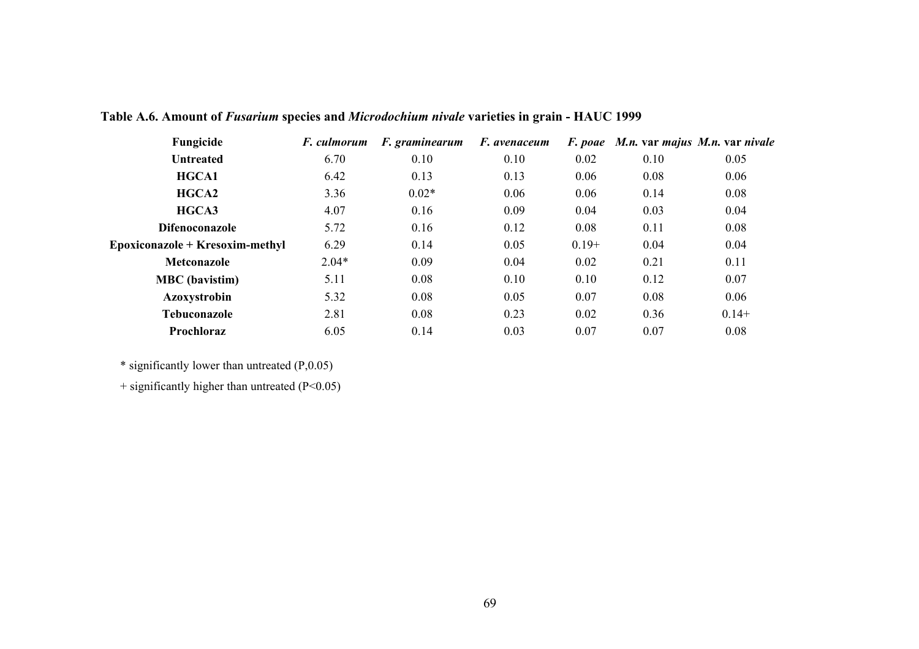| Fungicide                         | <i>F. culmorum</i> | <i>F.</i> graminearum | F. avenaceum |         | F. poae M.n. var majus M.n. var nivale |         |
|-----------------------------------|--------------------|-----------------------|--------------|---------|----------------------------------------|---------|
| <b>Untreated</b>                  | 6.70               | 0.10                  | 0.10         | 0.02    | 0.10                                   | 0.05    |
| HGCA1                             | 6.42               | 0.13                  | 0.13         | 0.06    | 0.08                                   | 0.06    |
| HGCA2                             | 3.36               | $0.02*$               | 0.06         | 0.06    | 0.14                                   | 0.08    |
| HGCA3                             | 4.07               | 0.16                  | 0.09         | 0.04    | 0.03                                   | 0.04    |
| <b>Difenoconazole</b>             | 5.72               | 0.16                  | 0.12         | 0.08    | 0.11                                   | 0.08    |
| $Epoxiconazole + Kresoxim-methyl$ | 6.29               | 0.14                  | 0.05         | $0.19+$ | 0.04                                   | 0.04    |
| Metconazole                       | $2.04*$            | 0.09                  | 0.04         | 0.02    | 0.21                                   | 0.11    |
| <b>MBC</b> (bavistim)             | 5.11               | 0.08                  | 0.10         | 0.10    | 0.12                                   | 0.07    |
| Azoxystrobin                      | 5.32               | 0.08                  | 0.05         | 0.07    | 0.08                                   | 0.06    |
| <b>Tebuconazole</b>               | 2.81               | 0.08                  | 0.23         | 0.02    | 0.36                                   | $0.14+$ |
| Prochloraz                        | 6.05               | 0.14                  | 0.03         | 0.07    | 0.07                                   | 0.08    |

**Table A.6. Amount of** *Fusarium* **species and** *Microdochium nivale* **varieties in grain - HAUC 1999**

 $*$  significantly lower than untreated  $(P, 0.05)$ 

+ significantly higher than untreated (P<0.05)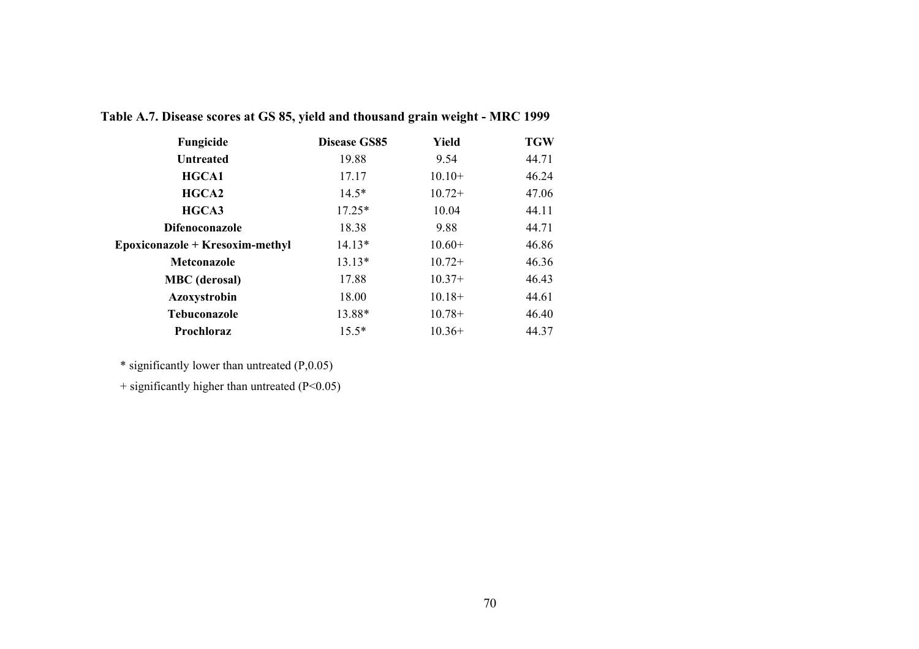| Fungicide                       | <b>Disease GS85</b> | Yield    | <b>TGW</b> |
|---------------------------------|---------------------|----------|------------|
| <b>Untreated</b>                | 19.88               | 9.54     | 44.71      |
| <b>HGCA1</b>                    | 17.17               | $10.10+$ | 46.24      |
| HGCA2                           | $14.5*$             | $10.72+$ | 47.06      |
| HGCA3                           | $17.25*$            | 10.04    | 44.11      |
| <b>Difenoconazole</b>           | 18.38               | 9.88     | 44.71      |
| Epoxiconazole + Kresoxim-methyl | $14.13*$            | $10.60+$ | 46.86      |
| <b>Metconazole</b>              | $13.13*$            | $10.72+$ | 46.36      |
| <b>MBC</b> (derosal)            | 17.88               | $10.37+$ | 46.43      |
| <b>Azoxystrobin</b>             | 18.00               | $10.18+$ | 44.61      |
| <b>Tebuconazole</b>             | 13.88*              | $10.78+$ | 46.40      |
| Prochloraz                      | $15.5*$             | $10.36+$ | 44.37      |

**Table A.7. Disease scores at GS 85, yield and thousand grain weight - MRC 1999** 

 $*$  significantly lower than untreated  $(P, 0.05)$ 

+ significantly higher than untreated (P<0.05)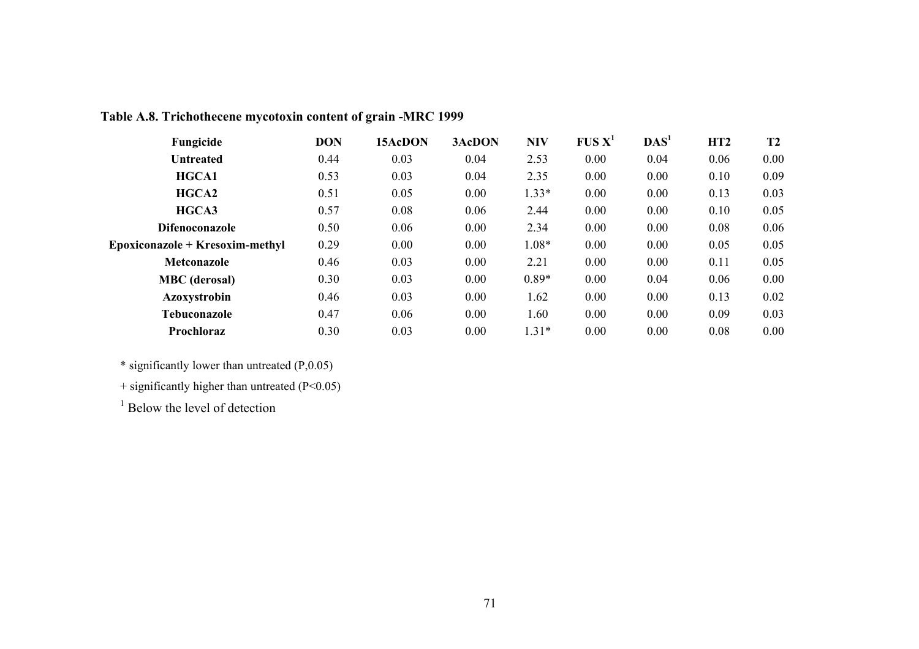| Fungicide                         | <b>DON</b> | 15AcDON | 3AcDON | <b>NIV</b> | FUS X <sup>1</sup> | $\mathbf{D}\mathbf{A}\mathbf{S}^1$ | HT <sub>2</sub> | <b>T2</b> |
|-----------------------------------|------------|---------|--------|------------|--------------------|------------------------------------|-----------------|-----------|
| <b>Untreated</b>                  | 0.44       | 0.03    | 0.04   | 2.53       | 0.00               | 0.04                               | 0.06            | 0.00      |
| <b>HGCA1</b>                      | 0.53       | 0.03    | 0.04   | 2.35       | 0.00               | 0.00                               | 0.10            | 0.09      |
| HGCA2                             | 0.51       | 0.05    | 0.00   | $1.33*$    | 0.00               | 0.00                               | 0.13            | 0.03      |
| HGCA3                             | 0.57       | 0.08    | 0.06   | 2.44       | 0.00               | 0.00                               | 0.10            | 0.05      |
| <b>Difenoconazole</b>             | 0.50       | 0.06    | 0.00   | 2.34       | 0.00               | 0.00                               | 0.08            | 0.06      |
| $Epoxiconazole + Kresoxim-methyl$ | 0.29       | 0.00    | 0.00   | 1.08*      | 0.00               | 0.00                               | 0.05            | 0.05      |
| <b>Metconazole</b>                | 0.46       | 0.03    | 0.00   | 2.21       | 0.00               | 0.00                               | 0.11            | 0.05      |
| <b>MBC</b> (derosal)              | 0.30       | 0.03    | 0.00   | $0.89*$    | 0.00               | 0.04                               | 0.06            | 0.00      |
| <b>Azoxystrobin</b>               | 0.46       | 0.03    | 0.00   | 1.62       | 0.00               | 0.00                               | 0.13            | 0.02      |
| <b>Tebuconazole</b>               | 0.47       | 0.06    | 0.00   | 1.60       | 0.00               | 0.00                               | 0.09            | 0.03      |
| Prochloraz                        | 0.30       | 0.03    | 0.00   | $1.31*$    | 0.00               | 0.00                               | 0.08            | 0.00      |

# **Table A.8. Trichothecene mycotoxin content of grain -MRC 1999**

 $*$  significantly lower than untreated  $(P, 0.05)$ 

+ significantly higher than untreated (P<0.05)

<sup>1</sup> Below the level of detection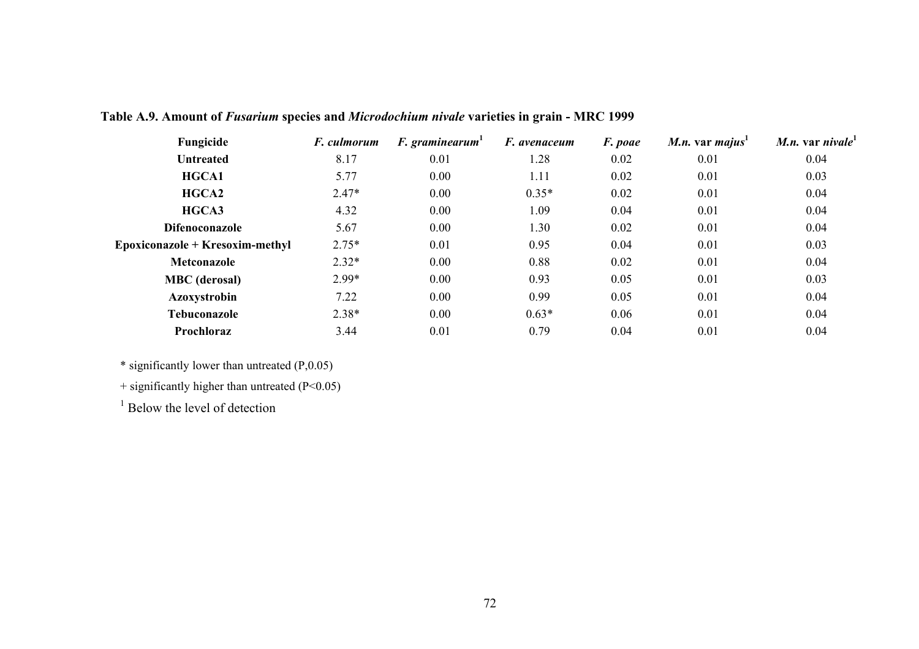| Fungicide                       | <i>F. culmorum</i> | $F.$ graminearum <sup>1</sup> | F. avenaceum | F. poae | <i>M.n.</i> var <i>majus</i> <sup><math>1</math></sup> | <i>M.n.</i> var <i>nivale</i> <sup>1</sup> |
|---------------------------------|--------------------|-------------------------------|--------------|---------|--------------------------------------------------------|--------------------------------------------|
| <b>Untreated</b>                | 8.17               | 0.01                          | 1.28         | 0.02    | 0.01                                                   | 0.04                                       |
| HGCA1                           | 5.77               | 0.00                          | 1.11         | 0.02    | 0.01                                                   | 0.03                                       |
| HGCA2                           | $2.47*$            | 0.00                          | $0.35*$      | 0.02    | 0.01                                                   | 0.04                                       |
| HGCA3                           | 4.32               | 0.00                          | 1.09         | 0.04    | 0.01                                                   | 0.04                                       |
| <b>Difenoconazole</b>           | 5.67               | 0.00                          | 1.30         | 0.02    | 0.01                                                   | 0.04                                       |
| Epoxiconazole + Kresoxim-methyl | $2.75*$            | 0.01                          | 0.95         | 0.04    | 0.01                                                   | 0.03                                       |
| <b>Metconazole</b>              | $2.32*$            | 0.00                          | 0.88         | 0.02    | 0.01                                                   | 0.04                                       |
| <b>MBC</b> (derosal)            | $2.99*$            | 0.00                          | 0.93         | 0.05    | 0.01                                                   | 0.03                                       |
| Azoxystrobin                    | 7.22               | 0.00                          | 0.99         | 0.05    | 0.01                                                   | 0.04                                       |
| Tebuconazole                    | $2.38*$            | 0.00                          | $0.63*$      | 0.06    | 0.01                                                   | 0.04                                       |
| Prochloraz                      | 3.44               | 0.01                          | 0.79         | 0.04    | 0.01                                                   | 0.04                                       |

**Table A.9. Amount of** *Fusarium* **species and** *Microdochium nivale* **varieties in grain - MRC 1999**

+ significantly higher than untreated (P<0.05)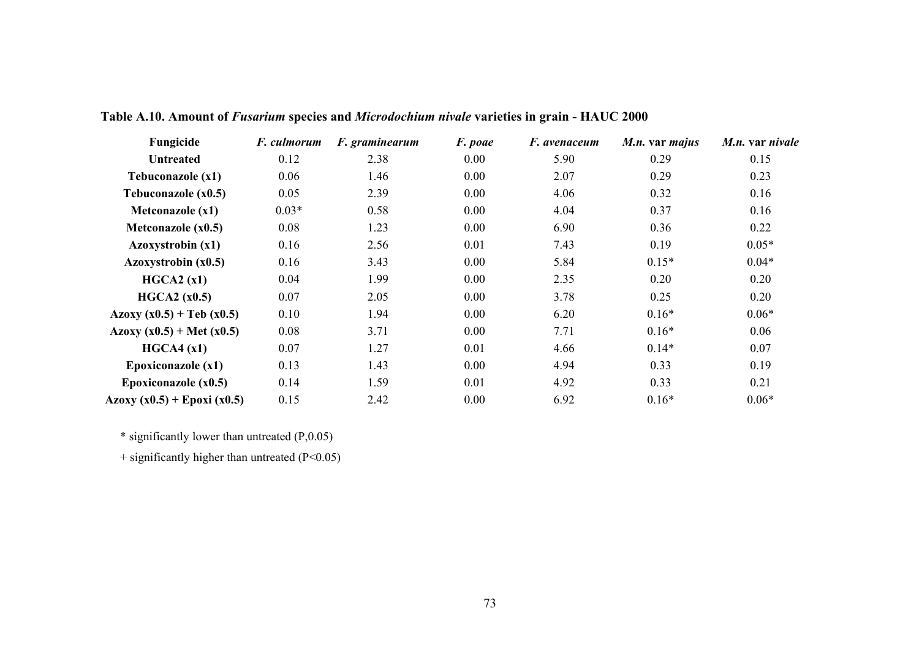| Fungicide                       | F. culmorum | F. graminearum | F. poae | <i>F.</i> avenaceum | M.n. var majus | M.n. var nivale |
|---------------------------------|-------------|----------------|---------|---------------------|----------------|-----------------|
| <b>Untreated</b>                | 0.12        | 2.38           | 0.00    | 5.90                | 0.29           | 0.15            |
| Tebuconazole (x1)               | 0.06        | 1.46           | 0.00    | 2.07                | 0.29           | 0.23            |
| Tebuconazole (x0.5)             | 0.05        | 2.39           | 0.00    | 4.06                | 0.32           | 0.16            |
| <b>Metconazole (x1)</b>         | $0.03*$     | 0.58           | 0.00    | 4.04                | 0.37           | 0.16            |
| Metconazole $(x0.5)$            | 0.08        | 1.23           | 0.00    | 6.90                | 0.36           | 0.22            |
| <b>Azoxystrobin</b> (x1)        | 0.16        | 2.56           | 0.01    | 7.43                | 0.19           | $0.05*$         |
| Azoxystrobin $(x0.5)$           | 0.16        | 3.43           | 0.00    | 5.84                | $0.15*$        | $0.04*$         |
| HGCA2(x1)                       | 0.04        | 1.99           | 0.00    | 2.35                | 0.20           | 0.20            |
| HGCA2(x0.5)                     | 0.07        | 2.05           | 0.00    | 3.78                | 0.25           | 0.20            |
| Azoxy $(x0.5)$ + Teb $(x0.5)$   | 0.10        | 1.94           | 0.00    | 6.20                | $0.16*$        | $0.06*$         |
| Azoxy $(x0.5)$ + Met $(x0.5)$   | 0.08        | 3.71           | 0.00    | 7.71                | $0.16*$        | 0.06            |
| HGCA4(x1)                       | 0.07        | 1.27           | 0.01    | 4.66                | $0.14*$        | 0.07            |
| <b>Epoxiconazole</b> (x1)       | 0.13        | 1.43           | 0.00    | 4.94                | 0.33           | 0.19            |
| Epoxiconazole $(x0.5)$          | 0.14        | 1.59           | 0.01    | 4.92                | 0.33           | 0.21            |
| Azoxy $(x0.5)$ + Epoxi $(x0.5)$ | 0.15        | 2.42           | 0.00    | 6.92                | $0.16*$        | $0.06*$         |

**Table A.10. Amount of** *Fusarium* **species and** *Microdochium nivale* **varieties in grain - HAUC 2000**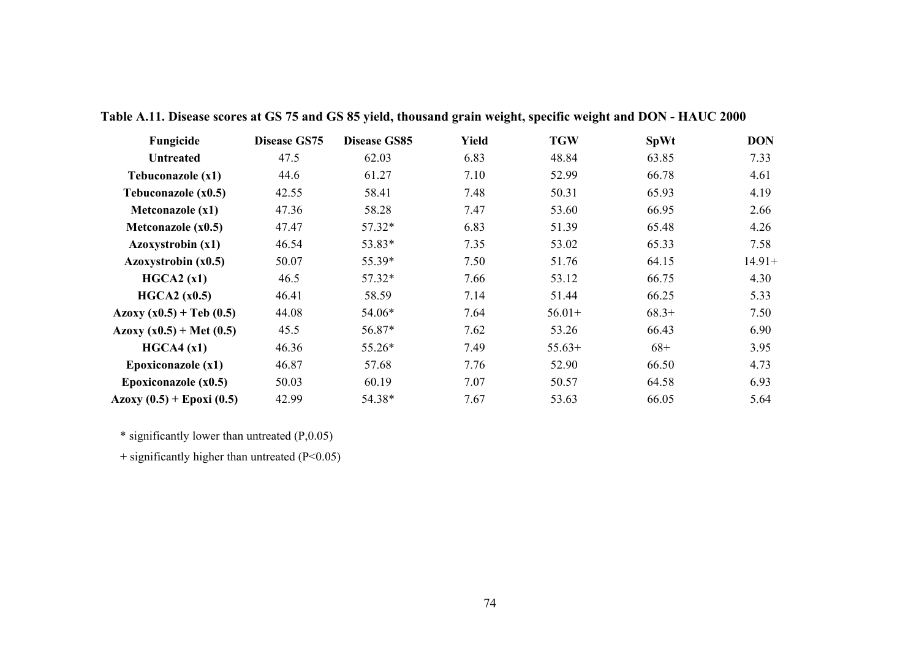| Fungicide                     | <b>Disease GS75</b> | <b>Disease GS85</b> | Yield | <b>TGW</b> | <b>SpWt</b> | <b>DON</b> |
|-------------------------------|---------------------|---------------------|-------|------------|-------------|------------|
| <b>Untreated</b>              | 47.5                | 62.03               | 6.83  | 48.84      | 63.85       | 7.33       |
| Tebuconazole (x1)             | 44.6                | 61.27               | 7.10  | 52.99      | 66.78       | 4.61       |
| Tebuconazole (x0.5)           | 42.55               | 58.41               | 7.48  | 50.31      | 65.93       | 4.19       |
| <b>Metconazole (x1)</b>       | 47.36               | 58.28               | 7.47  | 53.60      | 66.95       | 2.66       |
| Metconazole $(x0.5)$          | 47.47               | 57.32*              | 6.83  | 51.39      | 65.48       | 4.26       |
| <b>Azoxystrobin</b> (x1)      | 46.54               | 53.83*              | 7.35  | 53.02      | 65.33       | 7.58       |
| Azoxystrobin $(x0.5)$         | 50.07               | 55.39*              | 7.50  | 51.76      | 64.15       | $14.91+$   |
| HGCA2(x1)                     | 46.5                | 57.32*              | 7.66  | 53.12      | 66.75       | 4.30       |
| HGCA2(x0.5)                   | 46.41               | 58.59               | 7.14  | 51.44      | 66.25       | 5.33       |
| Azoxy $(x0.5) + Teb(0.5)$     | 44.08               | 54.06*              | 7.64  | $56.01+$   | $68.3+$     | 7.50       |
| Azoxy $(x0.5)$ + Met $(0.5)$  | 45.5                | 56.87*              | 7.62  | 53.26      | 66.43       | 6.90       |
| HGCA4(x1)                     | 46.36               | 55.26*              | 7.49  | $55.63+$   | $68+$       | 3.95       |
| Epoxiconazole $(x1)$          | 46.87               | 57.68               | 7.76  | 52.90      | 66.50       | 4.73       |
| Epoxiconazole $(x0.5)$        | 50.03               | 60.19               | 7.07  | 50.57      | 64.58       | 6.93       |
| Azoxy $(0.5)$ + Epoxi $(0.5)$ | 42.99               | 54.38*              | 7.67  | 53.63      | 66.05       | 5.64       |

**Table A.11. Disease scores at GS 75 and GS 85 yield, thousand grain weight, specific weight and DON - HAUC 2000**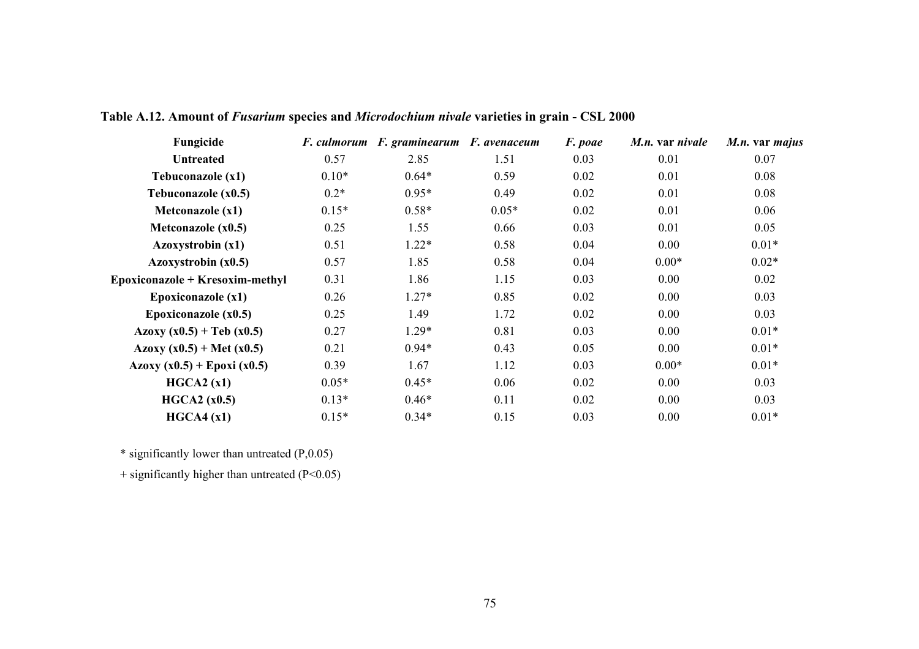| Fungicide                         |         | F. culmorum F. graminearum F. avenaceum |         | F. poae | M.n. var nivale | M.n. var majus |
|-----------------------------------|---------|-----------------------------------------|---------|---------|-----------------|----------------|
| <b>Untreated</b>                  | 0.57    | 2.85                                    | 1.51    | 0.03    | 0.01            | 0.07           |
| Tebuconazole (x1)                 | $0.10*$ | $0.64*$                                 | 0.59    | 0.02    | 0.01            | 0.08           |
| Tebuconazole (x0.5)               | $0.2*$  | $0.95*$                                 | 0.49    | 0.02    | 0.01            | 0.08           |
| <b>Metconazole (x1)</b>           | $0.15*$ | $0.58*$                                 | $0.05*$ | 0.02    | 0.01            | 0.06           |
| Metconazole $(x0.5)$              | 0.25    | 1.55                                    | 0.66    | 0.03    | 0.01            | 0.05           |
| Azoxystrobin (x1)                 | 0.51    | $1.22*$                                 | 0.58    | 0.04    | 0.00            | $0.01*$        |
| Azoxystrobin $(x0.5)$             | 0.57    | 1.85                                    | 0.58    | 0.04    | $0.00*$         | $0.02*$        |
| $Epoxiconazole + Kresoxim-methyl$ | 0.31    | 1.86                                    | 1.15    | 0.03    | 0.00            | 0.02           |
| Epoxiconazole $(x1)$              | 0.26    | $1.27*$                                 | 0.85    | 0.02    | 0.00            | 0.03           |
| Epoxiconazole $(x0.5)$            | 0.25    | 1.49                                    | 1.72    | 0.02    | 0.00            | 0.03           |
| Azoxy $(x0.5) + Teb(x0.5)$        | 0.27    | $1.29*$                                 | 0.81    | 0.03    | 0.00            | $0.01*$        |
| Azoxy $(x0.5)$ + Met $(x0.5)$     | 0.21    | $0.94*$                                 | 0.43    | 0.05    | 0.00            | $0.01*$        |
| Azoxy $(x0.5)$ + Epoxi $(x0.5)$   | 0.39    | 1.67                                    | 1.12    | 0.03    | $0.00*$         | $0.01*$        |
| HGCA2(x1)                         | $0.05*$ | $0.45*$                                 | 0.06    | 0.02    | 0.00            | 0.03           |
| HGCA2(x0.5)                       | $0.13*$ | $0.46*$                                 | 0.11    | 0.02    | 0.00            | 0.03           |
| HGCA4(x1)                         | $0.15*$ | $0.34*$                                 | 0.15    | 0.03    | 0.00            | $0.01*$        |

**Table A.12. Amount of** *Fusarium* **species and** *Microdochium nivale* **varieties in grain - CSL 2000**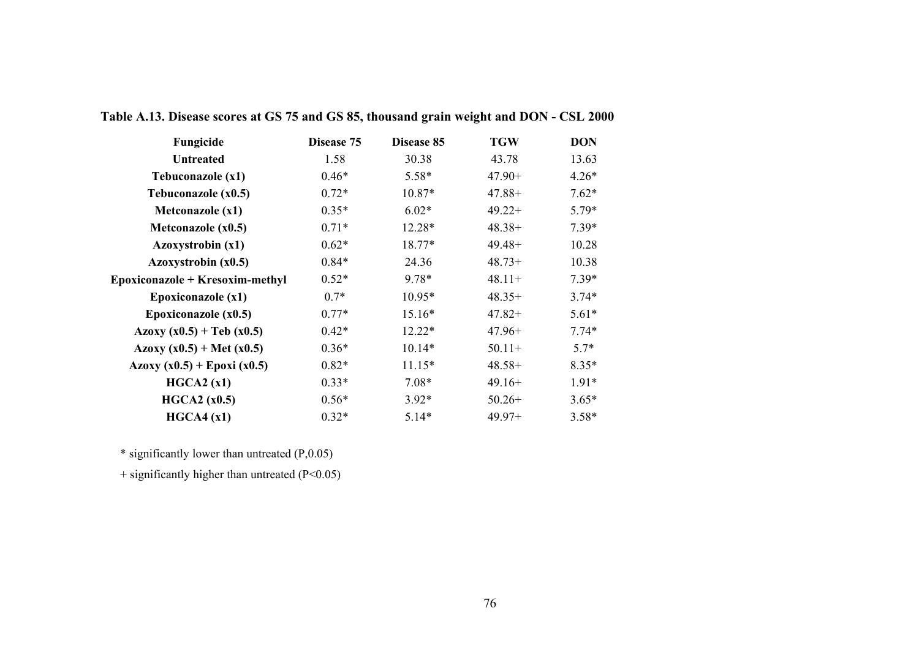| Fungicide                         | Disease 75 | Disease 85 | <b>TGW</b> | <b>DON</b> |
|-----------------------------------|------------|------------|------------|------------|
| <b>Untreated</b>                  | 1.58       | 30.38      | 43.78      | 13.63      |
| Tebuconazole (x1)                 | $0.46*$    | $5.58*$    | $47.90+$   | $4.26*$    |
| Tebuconazole (x0.5)               | $0.72*$    | 10.87*     | $47.88+$   | $7.62*$    |
| Metconazole (x1)                  | $0.35*$    | $6.02*$    | $49.22+$   | $5.79*$    |
| Metconazole $(x0.5)$              | $0.71*$    | 12.28*     | $48.38+$   | $7.39*$    |
| Azoxystrobin (x1)                 | $0.62*$    | 18.77*     | $49.48+$   | 10.28      |
| Azoxystrobin $(x0.5)$             | $0.84*$    | 24.36      | $48.73+$   | 10.38      |
| $Epoxiconazole + Kresoxim-methyl$ | $0.52*$    | 9.78*      | $48.11+$   | $7.39*$    |
| Epoxiconazole (x1)                | $0.7*$     | $10.95*$   | $48.35+$   | $3.74*$    |
| Epoxiconazole $(x0.5)$            | $0.77*$    | $15.16*$   | $47.82+$   | $5.61*$    |
| Azoxy $(x0.5)$ + Teb $(x0.5)$     | $0.42*$    | $12.22*$   | $47.96+$   | $7.74*$    |
| Azoxy $(x0.5)$ + Met $(x0.5)$     | $0.36*$    | $10.14*$   | $50.11+$   | $5.7*$     |
| Azoxy $(x0.5)$ + Epoxi $(x0.5)$   | $0.82*$    | $11.15*$   | $48.58+$   | $8.35*$    |
| HGCA2(x1)                         | $0.33*$    | $7.08*$    | $49.16+$   | $1.91*$    |
| HGCA2 (x0.5)                      | $0.56*$    | $3.92*$    | $50.26+$   | $3.65*$    |
| HGCA4(x1)                         | $0.32*$    | $5.14*$    | $49.97+$   | $3.58*$    |

**Table A.13. Disease scores at GS 75 and GS 85, thousand grain weight and DON - CSL 2000**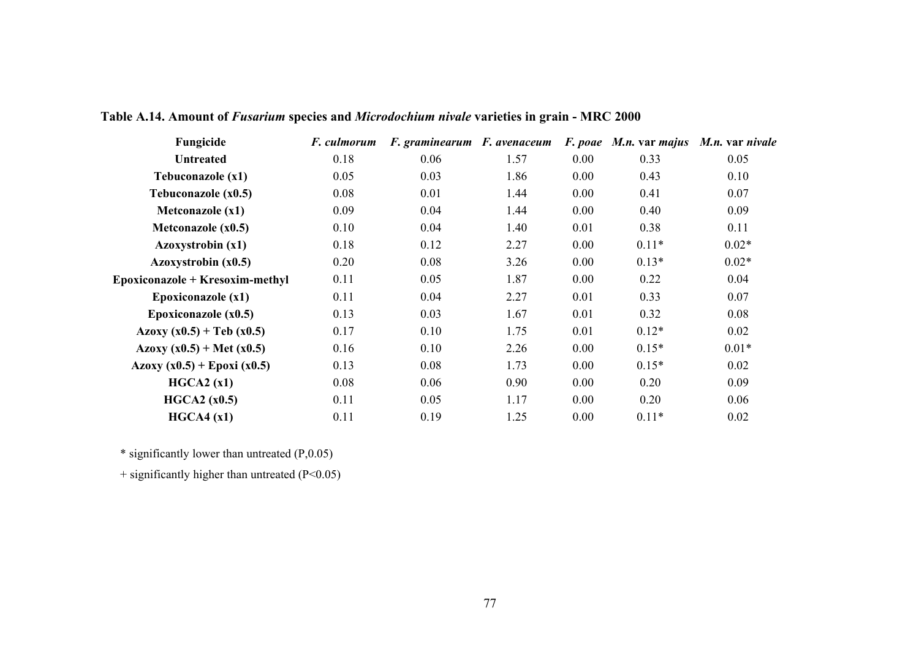| Fungicide                         | <i>F. culmorum</i> | F. graminearum F. avenaceum |      |      | F. poae M.n. var majus M.n. var nivale |         |
|-----------------------------------|--------------------|-----------------------------|------|------|----------------------------------------|---------|
| <b>Untreated</b>                  | 0.18               | 0.06                        | 1.57 | 0.00 | 0.33                                   | 0.05    |
| Tebuconazole (x1)                 | 0.05               | 0.03                        | 1.86 | 0.00 | 0.43                                   | 0.10    |
| Tebuconazole $(x0.5)$             | 0.08               | 0.01                        | 1.44 | 0.00 | 0.41                                   | 0.07    |
| <b>Metconazole (x1)</b>           | 0.09               | 0.04                        | 1.44 | 0.00 | 0.40                                   | 0.09    |
| Metconazole $(x0.5)$              | 0.10               | 0.04                        | 1.40 | 0.01 | 0.38                                   | 0.11    |
| Azoxystrobin(x1)                  | 0.18               | 0.12                        | 2.27 | 0.00 | $0.11*$                                | $0.02*$ |
| Azoxystrobin $(x0.5)$             | 0.20               | 0.08                        | 3.26 | 0.00 | $0.13*$                                | $0.02*$ |
| $Epoxiconazole + Kresoxim-methyl$ | 0.11               | 0.05                        | 1.87 | 0.00 | 0.22                                   | 0.04    |
| Epoxiconazole (x1)                | 0.11               | 0.04                        | 2.27 | 0.01 | 0.33                                   | 0.07    |
| Epoxiconazole $(x0.5)$            | 0.13               | 0.03                        | 1.67 | 0.01 | 0.32                                   | 0.08    |
| Azoxy $(x0.5)$ + Teb $(x0.5)$     | 0.17               | 0.10                        | 1.75 | 0.01 | $0.12*$                                | 0.02    |
| Azoxy $(x0.5)$ + Met $(x0.5)$     | 0.16               | 0.10                        | 2.26 | 0.00 | $0.15*$                                | $0.01*$ |
| Azoxy $(x0.5)$ + Epoxi $(x0.5)$   | 0.13               | 0.08                        | 1.73 | 0.00 | $0.15*$                                | 0.02    |
| HGCA2(x1)                         | 0.08               | 0.06                        | 0.90 | 0.00 | 0.20                                   | 0.09    |
| HGCA2 $(x0.5)$                    | 0.11               | 0.05                        | 1.17 | 0.00 | 0.20                                   | 0.06    |
| HGCA4(x1)                         | 0.11               | 0.19                        | 1.25 | 0.00 | $0.11*$                                | 0.02    |

**Table A.14. Amount of** *Fusarium* **species and** *Microdochium nivale* **varieties in grain - MRC 2000**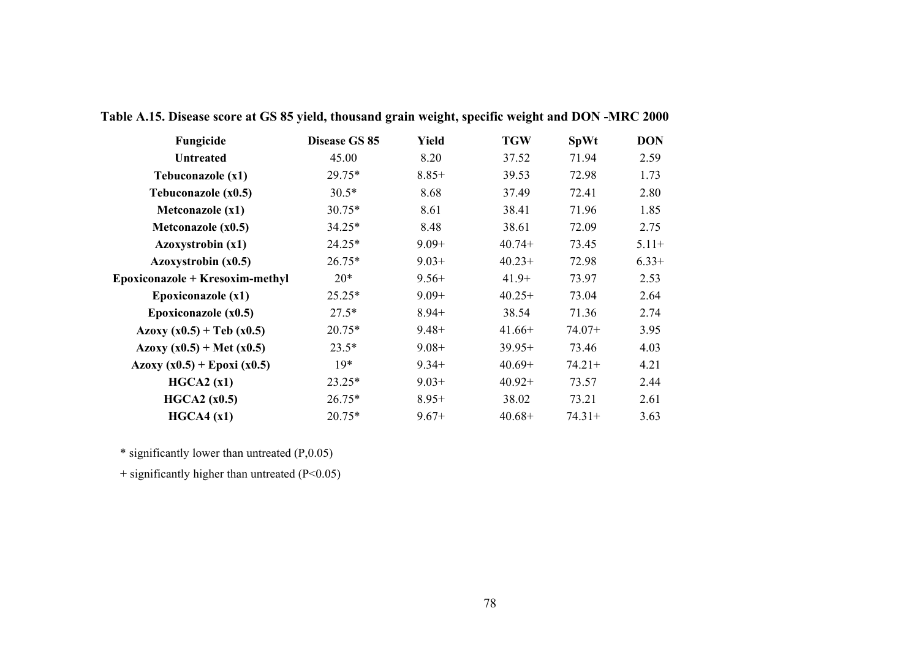| Fungicide                       | Disease GS 85 | <b>Yield</b> | <b>TGW</b> | <b>SpWt</b> | <b>DON</b> |
|---------------------------------|---------------|--------------|------------|-------------|------------|
| <b>Untreated</b>                | 45.00         | 8.20         | 37.52      | 71.94       | 2.59       |
| Tebuconazole (x1)               | 29.75*        | $8.85+$      | 39.53      | 72.98       | 1.73       |
| Tebuconazole (x0.5)             | $30.5*$       | 8.68         | 37.49      | 72.41       | 2.80       |
| Metconazole (x1)                | $30.75*$      | 8.61         | 38.41      | 71.96       | 1.85       |
| Metconazole $(x0.5)$            | $34.25*$      | 8.48         | 38.61      | 72.09       | 2.75       |
| Azoxystrobin (x1)               | 24.25*        | $9.09 +$     | $40.74+$   | 73.45       | $5.11+$    |
| Azoxystrobin $(x0.5)$           | 26.75*        | $9.03+$      | $40.23+$   | 72.98       | $6.33+$    |
| Epoxiconazole + Kresoxim-methyl | $20*$         | $9.56+$      | $41.9+$    | 73.97       | 2.53       |
| Epoxiconazole (x1)              | $25.25*$      | $9.09 +$     | $40.25+$   | 73.04       | 2.64       |
| Epoxiconazole (x0.5)            | $27.5*$       | $8.94+$      | 38.54      | 71.36       | 2.74       |
| Azoxy $(x0.5) + Teb(x0.5)$      | 20.75*        | $9.48+$      | $41.66+$   | $74.07+$    | 3.95       |
| Azoxy $(x0.5)$ + Met $(x0.5)$   | $23.5*$       | $9.08 +$     | $39.95+$   | 73.46       | 4.03       |
| Azoxy $(x0.5)$ + Epoxi $(x0.5)$ | $19*$         | $9.34+$      | $40.69+$   | $74.21+$    | 4.21       |
| HGCA2(x1)                       | $23.25*$      | $9.03+$      | $40.92+$   | 73.57       | 2.44       |
| HGCA2 $(x0.5)$                  | $26.75*$      | $8.95+$      | 38.02      | 73.21       | 2.61       |
| HGCA4(x1)                       | 20.75*        | $9.67+$      | $40.68+$   | $74.31+$    | 3.63       |

**Table A.15. Disease score at GS 85 yield, thousand grain weight, specific weight and DON -MRC 2000**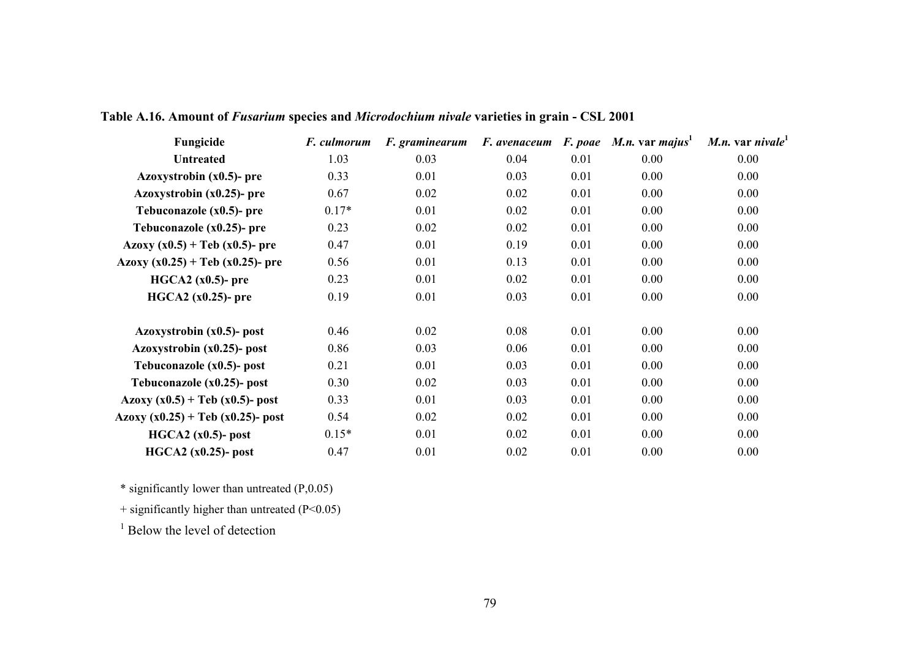| Fungicide                              | F. culmorum | F. graminearum | F. avenaceum |      | <i>F. poae M.n.</i> var <i>majus</i> <sup>1</sup> | <i>M.n.</i> var nivale |
|----------------------------------------|-------------|----------------|--------------|------|---------------------------------------------------|------------------------|
| <b>Untreated</b>                       | 1.03        | 0.03           | 0.04         | 0.01 | 0.00                                              | 0.00                   |
| Azoxystrobin (x0.5)- pre               | 0.33        | 0.01           | 0.03         | 0.01 | 0.00                                              | 0.00                   |
| Azoxystrobin $(x0.25)$ - pre           | 0.67        | 0.02           | 0.02         | 0.01 | 0.00                                              | 0.00                   |
| Tebuconazole $(x0.5)$ - pre            | $0.17*$     | 0.01           | 0.02         | 0.01 | 0.00                                              | 0.00                   |
| Tebuconazole $(x0.25)$ - pre           | 0.23        | 0.02           | 0.02         | 0.01 | 0.00                                              | 0.00                   |
| Azoxy $(x0.5)$ + Teb $(x0.5)$ - pre    | 0.47        | 0.01           | 0.19         | 0.01 | 0.00                                              | 0.00                   |
| Azoxy $(x0.25)$ + Teb $(x0.25)$ - pre  | 0.56        | 0.01           | 0.13         | 0.01 | 0.00                                              | 0.00                   |
| $HGCA2 (x0.5)$ - pre                   | 0.23        | 0.01           | 0.02         | 0.01 | 0.00                                              | 0.00                   |
| $HGCA2 (x0.25)$ - pre                  | 0.19        | 0.01           | 0.03         | 0.01 | 0.00                                              | 0.00                   |
| Azoxystrobin $(x0.5)$ - post           | 0.46        | 0.02           | 0.08         | 0.01 | 0.00                                              | 0.00                   |
| Azoxystrobin $(x0.25)$ - post          | 0.86        | 0.03           | 0.06         | 0.01 | 0.00                                              | 0.00                   |
| Tebuconazole $(x0.5)$ - post           | 0.21        | 0.01           | 0.03         | 0.01 | 0.00                                              | 0.00                   |
| Tebuconazole $(x0.25)$ - post          | 0.30        | 0.02           | 0.03         | 0.01 | 0.00                                              | 0.00                   |
| Azoxy $(x0.5)$ + Teb $(x0.5)$ - post   | 0.33        | 0.01           | 0.03         | 0.01 | 0.00                                              | 0.00                   |
| Azoxy $(x0.25)$ + Teb $(x0.25)$ - post | 0.54        | 0.02           | 0.02         | 0.01 | 0.00                                              | 0.00                   |
| $HGCA2 (x0.5)$ - post                  | $0.15*$     | 0.01           | 0.02         | 0.01 | 0.00                                              | 0.00                   |
| $HGCA2 (x0.25)$ - post                 | 0.47        | 0.01           | 0.02         | 0.01 | 0.00                                              | 0.00                   |

**Table A.16. Amount of** *Fusarium* **species and** *Microdochium nivale* **varieties in grain - CSL 2001**

 $+$  significantly higher than untreated (P<0.05)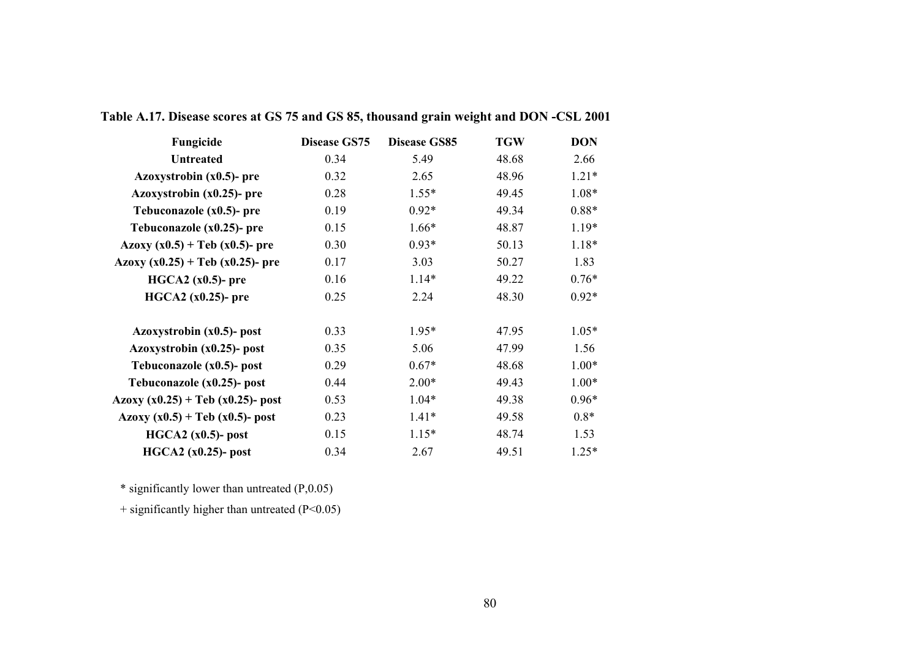| Fungicide                             | <b>Disease GS75</b> | <b>Disease GS85</b> | <b>TGW</b> | <b>DON</b> |
|---------------------------------------|---------------------|---------------------|------------|------------|
| <b>Untreated</b>                      | 0.34                | 5.49                | 48.68      | 2.66       |
| Azoxystrobin (x0.5)- pre              | 0.32                | 2.65                | 48.96      | $1.21*$    |
| Azoxystrobin (x0.25)- pre             | 0.28                | $1.55*$             | 49.45      | $1.08*$    |
| Tebuconazole $(x0.5)$ - pre           | 0.19                | $0.92*$             | 49.34      | $0.88*$    |
| Tebuconazole (x0.25)- pre             | 0.15                | $1.66*$             | 48.87      | $1.19*$    |
| Azoxy $(x0.5) +$ Teb $(x0.5)$ - pre   | 0.30                | $0.93*$             | 50.13      | $1.18*$    |
| Azoxy $(x0.25)$ + Teb $(x0.25)$ - pre | 0.17                | 3.03                | 50.27      | 1.83       |
| $HGCA2 (x0.5)$ - pre                  | 0.16                | $1.14*$             | 49.22      | $0.76*$    |
| $HGCA2 (x0.25)$ - pre                 | 0.25                | 2.24                | 48.30      | $0.92*$    |
| Azoxystrobin (x0.5)- post             | 0.33                | $1.95*$             | 47.95      | $1.05*$    |
| Azoxystrobin $(x0.25)$ - post         | 0.35                | 5.06                | 47.99      | 1.56       |
| Tebuconazole (x0.5)- post             | 0.29                | $0.67*$             | 48.68      | $1.00*$    |
| Tebuconazole (x0.25)- post            | 0.44                | $2.00*$             | 49.43      | $1.00*$    |
| Azoxy $(x0.25) + Teb(x0.25)$ - post   | 0.53                | $1.04*$             | 49.38      | $0.96*$    |
| Azoxy $(x0.5)$ + Teb $(x0.5)$ - post  | 0.23                | $1.41*$             | 49.58      | $0.8*$     |
| $HGCA2 (x0.5)$ - post                 | 0.15                | $1.15*$             | 48.74      | 1.53       |
| $HGCA2 (x0.25)$ - post                | 0.34                | 2.67                | 49.51      | $1.25*$    |

**Table A.17. Disease scores at GS 75 and GS 85, thousand grain weight and DON -CSL 2001**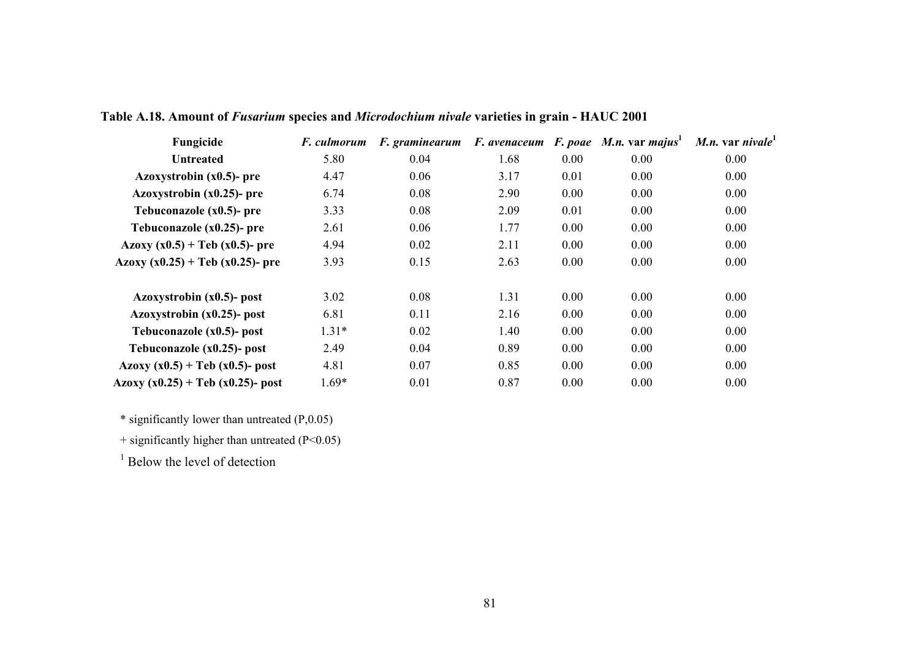| Fungicide                              | <i>F. culmorum</i> | <i>F.</i> graminearum |      |      | <i>F. avenaceum F. poae M.n.</i> var <i>majus</i> <sup>1</sup> | <i>M.n.</i> var <i>nivale</i> |
|----------------------------------------|--------------------|-----------------------|------|------|----------------------------------------------------------------|-------------------------------|
| <b>Untreated</b>                       | 5.80               | 0.04                  | 1.68 | 0.00 | 0.00                                                           | 0.00                          |
| Azoxystrobin $(x0.5)$ - pre            | 4.47               | 0.06                  | 3.17 | 0.01 | 0.00                                                           | 0.00                          |
| Azoxystrobin $(x0.25)$ - pre           | 6.74               | 0.08                  | 2.90 | 0.00 | 0.00                                                           | 0.00                          |
| Tebuconazole $(x0.5)$ - pre            | 3.33               | 0.08                  | 2.09 | 0.01 | 0.00                                                           | 0.00                          |
| Tebuconazole $(x0.25)$ - pre           | 2.61               | 0.06                  | 1.77 | 0.00 | 0.00                                                           | 0.00                          |
| Azoxy $(x0.5) + Teb(x0.5)$ - pre       | 4.94               | 0.02                  | 2.11 | 0.00 | 0.00                                                           | 0.00                          |
| Azoxy $(x0.25) + Teb(x0.25)$ - pre     | 3.93               | 0.15                  | 2.63 | 0.00 | 0.00                                                           | 0.00                          |
| Azoxystrobin $(x0.5)$ - post           | 3.02               | 0.08                  | 1.31 | 0.00 | 0.00                                                           | 0.00                          |
| Azoxystrobin $(x0.25)$ - post          | 6.81               | 0.11                  | 2.16 | 0.00 | 0.00                                                           | 0.00                          |
| Tebuconazole $(x0.5)$ - post           | $1.31*$            | 0.02                  | 1.40 | 0.00 | 0.00                                                           | 0.00                          |
| Tebuconazole (x0.25)- post             | 2.49               | 0.04                  | 0.89 | 0.00 | 0.00                                                           | 0.00                          |
| Azoxy $(x0.5)$ + Teb $(x0.5)$ - post   | 4.81               | 0.07                  | 0.85 | 0.00 | 0.00                                                           | 0.00                          |
| Azoxy $(x0.25)$ + Teb $(x0.25)$ - post | $1.69*$            | 0.01                  | 0.87 | 0.00 | 0.00                                                           | 0.00                          |

**Table A.18. Amount of** *Fusarium* **species and** *Microdochium nivale* **varieties in grain - HAUC 2001**

+ significantly higher than untreated (P<0.05)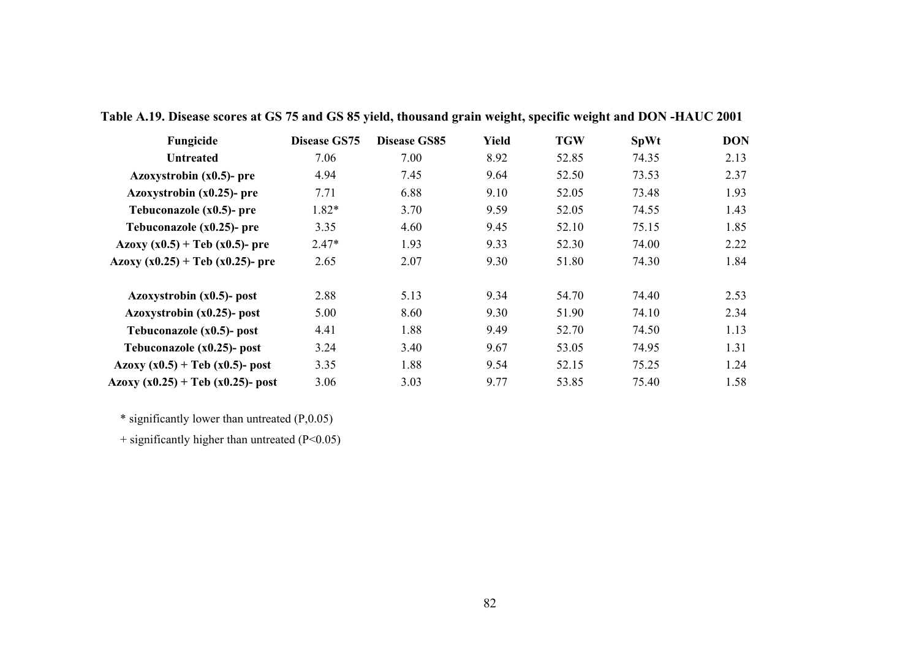| Fungicide                              | <b>Disease GS75</b> | <b>Disease GS85</b> | Yield | <b>TGW</b> | <b>SpWt</b> | <b>DON</b> |
|----------------------------------------|---------------------|---------------------|-------|------------|-------------|------------|
| <b>Untreated</b>                       | 7.06                | 7.00                | 8.92  | 52.85      | 74.35       | 2.13       |
| Azoxystrobin (x0.5)- pre               | 4.94                | 7.45                | 9.64  | 52.50      | 73.53       | 2.37       |
| Azoxystrobin $(x0.25)$ - pre           | 7.71                | 6.88                | 9.10  | 52.05      | 73.48       | 1.93       |
| Tebuconazole $(x0.5)$ - pre            | 1.82*               | 3.70                | 9.59  | 52.05      | 74.55       | 1.43       |
| Tebuconazole $(x0.25)$ - pre           | 3.35                | 4.60                | 9.45  | 52.10      | 75.15       | 1.85       |
| Azoxy $(x0.5) + Teb(x0.5)$ - pre       | $2.47*$             | 1.93                | 9.33  | 52.30      | 74.00       | 2.22       |
| Azoxy $(x0.25)$ + Teb $(x0.25)$ - pre  | 2.65                | 2.07                | 9.30  | 51.80      | 74.30       | 1.84       |
| Azoxystrobin $(x0.5)$ - post           | 2.88                | 5.13                | 9.34  | 54.70      | 74.40       | 2.53       |
| Azoxystrobin $(x0.25)$ - post          | 5.00                | 8.60                | 9.30  | 51.90      | 74.10       | 2.34       |
| Tebuconazole $(x0.5)$ - post           | 4.41                | 1.88                | 9.49  | 52.70      | 74.50       | 1.13       |
| Tebuconazole $(x0.25)$ - post          | 3.24                | 3.40                | 9.67  | 53.05      | 74.95       | 1.31       |
| Azoxy $(x0.5)$ + Teb $(x0.5)$ - post   | 3.35                | 1.88                | 9.54  | 52.15      | 75.25       | 1.24       |
| Azoxy $(x0.25)$ + Teb $(x0.25)$ - post | 3.06                | 3.03                | 9.77  | 53.85      | 75.40       | 1.58       |

**Table A.19. Disease scores at GS 75 and GS 85 yield, thousand grain weight, specific weight and DON -HAUC 2001**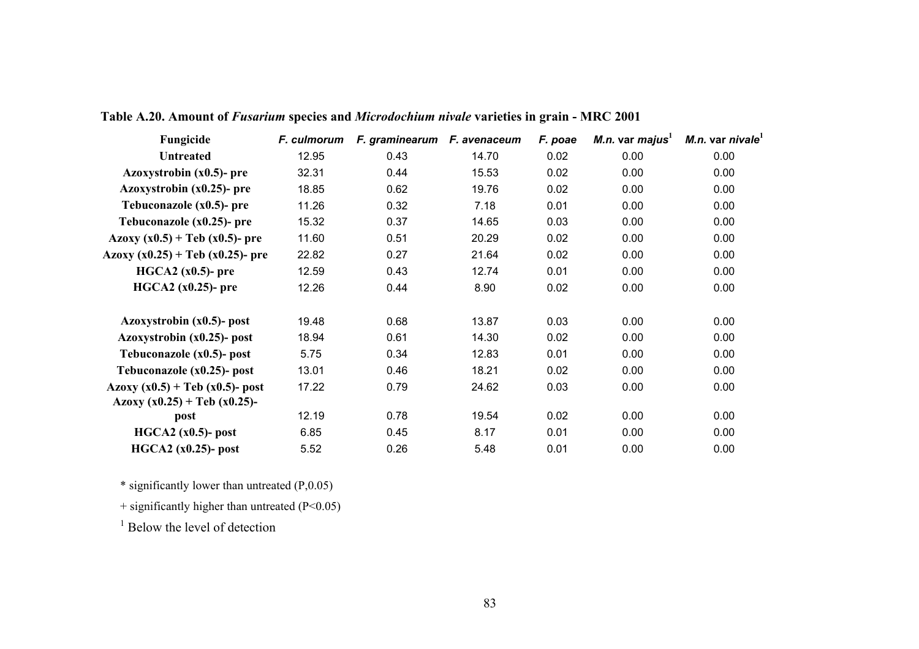| Fungicide                             | F. culmorum | F. graminearum F. avenaceum |       | F. poae | <i>M.n.</i> var majus <sup>1</sup> | M.n. var nivale |
|---------------------------------------|-------------|-----------------------------|-------|---------|------------------------------------|-----------------|
| <b>Untreated</b>                      | 12.95       | 0.43                        | 14.70 | 0.02    | 0.00                               | 0.00            |
| Azoxystrobin $(x0.5)$ - pre           | 32.31       | 0.44                        | 15.53 | 0.02    | 0.00                               | 0.00            |
| Azoxystrobin $(x0.25)$ - pre          | 18.85       | 0.62                        | 19.76 | 0.02    | 0.00                               | 0.00            |
| Tebuconazole $(x0.5)$ - pre           | 11.26       | 0.32                        | 7.18  | 0.01    | 0.00                               | 0.00            |
| Tebuconazole $(x0.25)$ - pre          | 15.32       | 0.37                        | 14.65 | 0.03    | 0.00                               | 0.00            |
| Azoxy $(x0.5)$ + Teb $(x0.5)$ - pre   | 11.60       | 0.51                        | 20.29 | 0.02    | 0.00                               | 0.00            |
| Azoxy $(x0.25)$ + Teb $(x0.25)$ - pre | 22.82       | 0.27                        | 21.64 | 0.02    | 0.00                               | 0.00            |
| $HGCA2 (x0.5)$ - pre                  | 12.59       | 0.43                        | 12.74 | 0.01    | 0.00                               | 0.00            |
| $HGCA2 (x0.25)$ - pre                 | 12.26       | 0.44                        | 8.90  | 0.02    | 0.00                               | 0.00            |
| Azoxystrobin (x0.5)- post             | 19.48       | 0.68                        | 13.87 | 0.03    | 0.00                               | 0.00            |
| Azoxystrobin $(x0.25)$ - post         | 18.94       | 0.61                        | 14.30 | 0.02    | 0.00                               | 0.00            |
| Tebuconazole $(x0.5)$ - post          | 5.75        | 0.34                        | 12.83 | 0.01    | 0.00                               | 0.00            |
| Tebuconazole (x0.25)- post            | 13.01       | 0.46                        | 18.21 | 0.02    | 0.00                               | 0.00            |
| Azoxy $(x0.5) + Teb(x0.5)$ - post     | 17.22       | 0.79                        | 24.62 | 0.03    | 0.00                               | 0.00            |
| Azoxy $(x0.25) + Teb(x0.25)$ -        |             |                             |       |         |                                    |                 |
| post                                  | 12.19       | 0.78                        | 19.54 | 0.02    | 0.00                               | 0.00            |
| $HGCA2 (x0.5)$ - post                 | 6.85        | 0.45                        | 8.17  | 0.01    | 0.00                               | 0.00            |
| $HGCA2 (x0.25)$ - post                | 5.52        | 0.26                        | 5.48  | 0.01    | 0.00                               | 0.00            |

**Table A.20. Amount of** *Fusarium* **species and** *Microdochium nivale* **varieties in grain - MRC 2001**

 $+$  significantly higher than untreated (P<0.05)